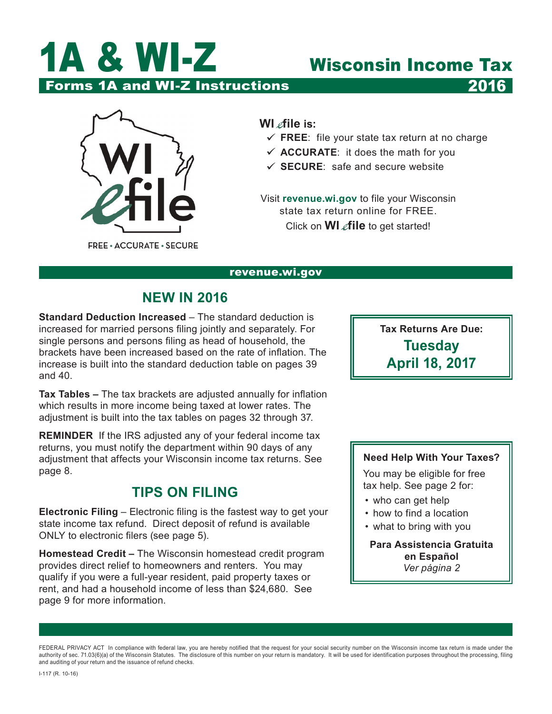

Forms 1A and WI-Z Instructions 2016



**WI** *e*file is:

- $\checkmark$  FREE: file your state tax return at no charge
- $\checkmark$  **ACCURATE**: it does the math for you
- $\checkmark$  **SECURE**: safe and secure website

Visit **[revenue.wi.gov](https://www.revenue.wi.gov)** to file your Wisconsin state tax return online for FREE. Click on **WI** *e***file** to get started!

#### [revenue.wi.gov](https://www.revenue.wi.gov)

# **NEW IN 2016**

**Standard Deduction Increased** – The standard deduction is increased for married persons filing jointly and separately. For single persons and persons filing as head of household, the brackets have been increased based on the rate of inflation. The increase is built into the standard deduction table on pages 39 and 40.

**Tax Tables –** The tax brackets are adjusted annually for inflation which results in more income being taxed at lower rates. The adjustment is built into the tax tables on pages 32 through 37.

**REMINDER** If the IRS adjusted any of your federal income tax returns, you must notify the department within 90 days of any adjustment that affects your Wisconsin income tax returns. See page 8.

# **TIPS ON FILING**

**Electronic Filing** – Electronic filing is the fastest way to get your state income tax refund. Direct deposit of refund is available ONLY to electronic filers (see page 5).

**Homestead Credit –** The Wisconsin homestead credit program provides direct relief to homeowners and renters. You may qualify if you were a full-year resident, paid property taxes or rent, and had a household income of less than \$24,680. See page 9 for more information.

**Tax Returns Are Due: Tuesday April 18, 2017**

### **Need Help With Your Taxes?**

You may be eligible for free tax help. See page 2 for:

- who can get help
- how to find a location
- what to bring with you

**Para Assistencia Gratuita en Español** *Ver página 2*

FEDERAL PRIVACY ACT In compliance with federal law, you are hereby notified that the request for your social security number on the Wisconsin income tax return is made under the authority of sec. 71.03(6)(a) of the Wisconsin Statutes. The disclosure of this number on your return is mandatory. It will be used for identification purposes throughout the processing, filing and auditing of your return and the issuance of refund checks.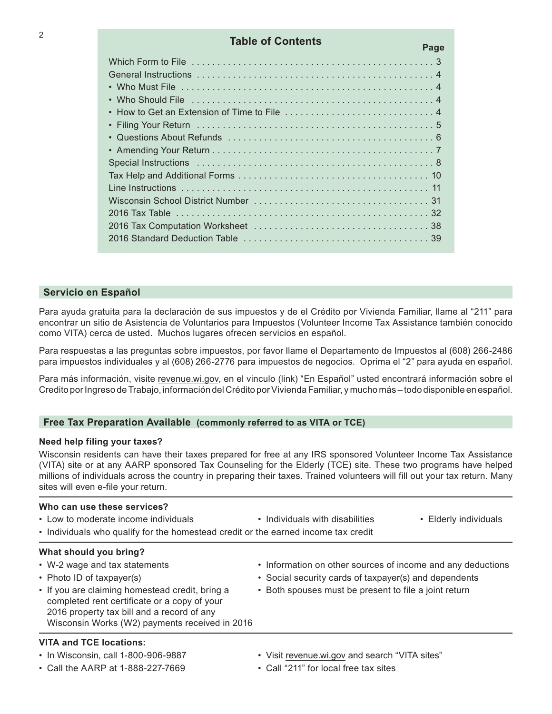| <b>Table of Contents</b> | Page |
|--------------------------|------|
|                          |      |
|                          |      |
|                          |      |
|                          |      |
|                          |      |
|                          |      |
|                          |      |
|                          |      |
|                          |      |
|                          |      |
|                          |      |
|                          |      |
|                          |      |
|                          |      |
|                          |      |

#### **Servicio en Español**

Para ayuda gratuita para la declaración de sus impuestos y de el Crédito por Vivienda Familiar, llame al "211" para encontrar un sitio de Asistencia de Voluntarios para Impuestos (Volunteer Income Tax Assistance también conocido como VITA) cerca de usted. Muchos lugares ofrecen servicios en español.

Para respuestas a las preguntas sobre impuestos, por favor llame el Departamento de Impuestos al (608) 266‑2486 para impuestos individuales y al (608) 266‑2776 para impuestos de negocios. Oprima el "2" para ayuda en español.

Para más información, visite [revenue.wi.gov](https://www.revenue.wi.gov), en el vinculo (link) "En Español" usted encontrará información sobre el Credito por Ingreso de Trabajo, información del Crédito por Vivienda Familiar, y mucho más – todo disponible en español.

#### **Free Tax Preparation Available (commonly referred to as VITA or TCE)**

#### **Need help filing your taxes?**

Wisconsin residents can have their taxes prepared for free at any IRS sponsored Volunteer Income Tax Assistance (VITA) site or at any AARP sponsored Tax Counseling for the Elderly (TCE) site. These two programs have helped millions of individuals across the country in preparing their taxes. Trained volunteers will fill out your tax return. Many sites will even e-file your return.

#### **Who can use these services?**

| • Low to moderate income individuals                                               | • Individuals with disabilities | • Elderly individuals |
|------------------------------------------------------------------------------------|---------------------------------|-----------------------|
| • Individuals who qualify for the homestead credit or the earned income tax credit |                                 |                       |

#### **What should you bring?**

- 
- 
- If you are claiming homestead credit, bring a Both spouses must be present to file a joint return completed rent certificate or a copy of your 2016 property tax bill and a record of any Wisconsin Works (W2) payments received in 2016

#### **VITA and TCE locations:**

- 
- Call the AARP at 1-888-227-7669 Call "211" for local free tax sites
- W-2 wage and tax statements Information on other sources of income and any deductions
- Photo ID of taxpayer(s) Social security cards of taxpayer(s) and dependents
	-
- In Wisconsin, call 1-800-906-9887 Visit [revenue.wi.gov](https://www.revenue.wi.gov) and search "VITA sites"
	-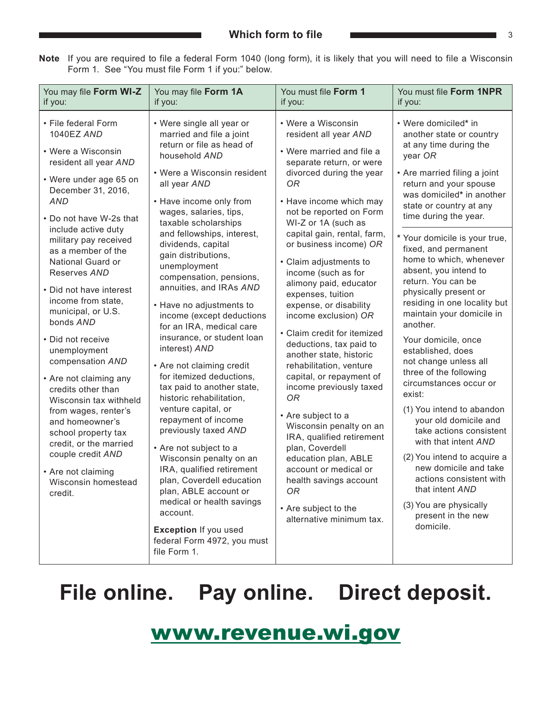<span id="page-2-0"></span>

| Note If you are required to file a federal Form 1040 (long form), it is likely that you will need to file a Wisconsin |
|-----------------------------------------------------------------------------------------------------------------------|
| Form 1. See "You must file Form 1 if you:" below.                                                                     |

| You may file Form WI-Z<br>if you:                                                                                                                                                                                         | You may file Form 1A<br>if you:                                                                                                                                                                                                                                                                                                                                                                                                                                                                                                                                               | You must file Form 1<br>if you:                                                                                                                                                                                                                                                            | You must file Form 1NPR<br>if you:                                                                                                                                                                                                                                           |                                                                                                                                                                                                                                                                                           |
|---------------------------------------------------------------------------------------------------------------------------------------------------------------------------------------------------------------------------|-------------------------------------------------------------------------------------------------------------------------------------------------------------------------------------------------------------------------------------------------------------------------------------------------------------------------------------------------------------------------------------------------------------------------------------------------------------------------------------------------------------------------------------------------------------------------------|--------------------------------------------------------------------------------------------------------------------------------------------------------------------------------------------------------------------------------------------------------------------------------------------|------------------------------------------------------------------------------------------------------------------------------------------------------------------------------------------------------------------------------------------------------------------------------|-------------------------------------------------------------------------------------------------------------------------------------------------------------------------------------------------------------------------------------------------------------------------------------------|
| • File federal Form<br>1040EZ AND<br>• Were a Wisconsin<br>resident all year AND<br>• Were under age 65 on<br>December 31, 2016,<br><b>AND</b><br>• Do not have W-2s that<br>include active duty<br>military pay received | • Were single all year or<br>married and file a joint<br>return or file as head of<br>household AND<br>• Were a Wisconsin resident<br>all year AND<br>• Have income only from<br>wages, salaries, tips,<br>taxable scholarships<br>and fellowships, interest,<br>dividends, capital<br>gain distributions,<br>unemployment<br>compensation, pensions,<br>annuities, and IRAs AND<br>• Have no adjustments to<br>income (except deductions<br>for an IRA, medical care<br>insurance, or student loan<br>interest) AND<br>• Are not claiming credit<br>for itemized deductions, |                                                                                                                                                                                                                                                                                            | • Were a Wisconsin<br>resident all year AND<br>• Were married and file a<br>separate return, or were<br>divorced during the year<br>0R<br>• Have income which may<br>not be reported on Form<br>WI-Z or 1A (such as<br>capital gain, rental, farm,<br>or business income) OR | • Were domiciled* in<br>another state or country<br>at any time during the<br>year OR<br>• Are married filing a joint<br>return and your spouse<br>was domiciled* in another<br>state or country at any<br>time during the year.<br>* Your domicile is your true,<br>fixed, and permanent |
| as a member of the<br>National Guard or<br>Reserves AND<br>• Did not have interest<br>income from state,<br>municipal, or U.S.                                                                                            |                                                                                                                                                                                                                                                                                                                                                                                                                                                                                                                                                                               | • Claim adjustments to<br>income (such as for<br>alimony paid, educator<br>expenses, tuition<br>expense, or disability<br>income exclusion) OR<br>• Claim credit for itemized<br>deductions, tax paid to<br>another state, historic<br>rehabilitation, venture<br>capital, or repayment of | home to which, whenever<br>absent, you intend to<br>return. You can be<br>physically present or<br>residing in one locality but<br>maintain your domicile in                                                                                                                 |                                                                                                                                                                                                                                                                                           |
| bonds AND<br>• Did not receive<br>unemployment<br>compensation AND<br>• Are not claiming any                                                                                                                              |                                                                                                                                                                                                                                                                                                                                                                                                                                                                                                                                                                               |                                                                                                                                                                                                                                                                                            | another.<br>Your domicile, once<br>established, does<br>not change unless all<br>three of the following<br>circumstances occur or                                                                                                                                            |                                                                                                                                                                                                                                                                                           |
| credits other than<br>Wisconsin tax withheld<br>from wages, renter's<br>and homeowner's<br>school property tax<br>credit, or the married                                                                                  | tax paid to another state,<br>historic rehabilitation,<br>venture capital, or<br>repayment of income<br>previously taxed AND<br>• Are not subject to a                                                                                                                                                                                                                                                                                                                                                                                                                        | income previously taxed<br><b>OR</b><br>• Are subject to a<br>Wisconsin penalty on an<br>IRA, qualified retirement<br>plan, Coverdell                                                                                                                                                      | exist:<br>(1) You intend to abandon<br>your old domicile and<br>take actions consistent<br>with that intent AND                                                                                                                                                              |                                                                                                                                                                                                                                                                                           |
| couple credit AND<br>• Are not claiming<br>Wisconsin homestead<br>credit.                                                                                                                                                 | Wisconsin penalty on an<br>IRA, qualified retirement<br>plan, Coverdell education<br>plan, ABLE account or<br>medical or health savings<br>account.                                                                                                                                                                                                                                                                                                                                                                                                                           | education plan, ABLE<br>account or medical or<br>health savings account<br>0R<br>• Are subject to the                                                                                                                                                                                      | (2) You intend to acquire a<br>new domicile and take<br>actions consistent with<br>that intent AND<br>(3) You are physically                                                                                                                                                 |                                                                                                                                                                                                                                                                                           |
|                                                                                                                                                                                                                           | <b>Exception If you used</b><br>federal Form 4972, you must<br>file Form 1.                                                                                                                                                                                                                                                                                                                                                                                                                                                                                                   | alternative minimum tax.                                                                                                                                                                                                                                                                   | present in the new<br>domicile.                                                                                                                                                                                                                                              |                                                                                                                                                                                                                                                                                           |

# **File online. Pay online. Direct deposit.**

# [www.revenue.wi.gov](https://www.revenue.wi.gov)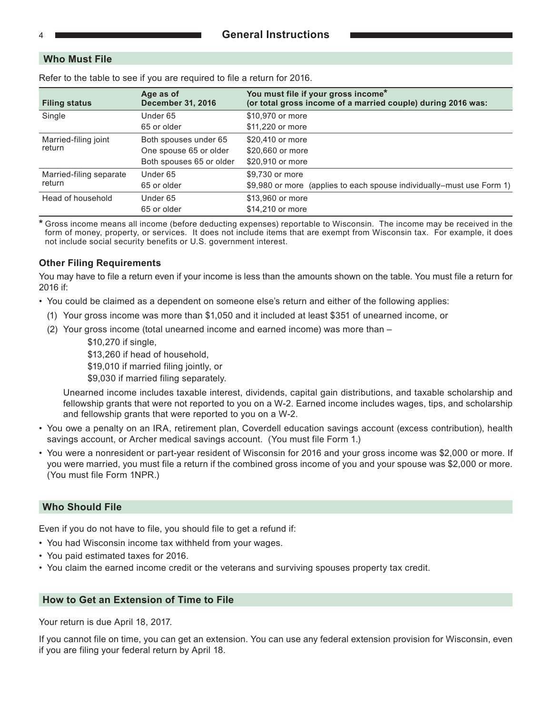#### **Who Must File**

| <b>Filing status</b>    | Age as of<br><b>December 31, 2016</b> | You must file if your gross income*<br>(or total gross income of a married couple) during 2016 was: |
|-------------------------|---------------------------------------|-----------------------------------------------------------------------------------------------------|
| Single                  | Under 65                              | \$10,970 or more                                                                                    |
|                         | 65 or older                           | \$11,220 or more                                                                                    |
| Married-filing joint    | Both spouses under 65                 | \$20,410 or more                                                                                    |
| return                  | One spouse 65 or older                | \$20,660 or more                                                                                    |
|                         | Both spouses 65 or older              | \$20,910 or more                                                                                    |
| Married-filing separate | Under 65                              | \$9.730 or more                                                                                     |
| return                  | 65 or older                           | \$9,980 or more (applies to each spouse individually–must use Form 1)                               |
| Head of household       | Under 65                              | \$13,960 or more                                                                                    |
|                         | 65 or older                           | \$14,210 or more                                                                                    |

Refer to the table to see if you are required to file a return for 2016.

**\*** Gross income means all income (before deducting expenses) reportable to Wisconsin. The income may be received in the form of money, property, or services. It does not include items that are exempt from Wisconsin tax. For example, it does not include social security benefits or U.S. government interest.

#### **Other Filing Requirements**

You may have to file a return even if your income is less than the amounts shown on the table. You must file a return for 2016 if:

- You could be claimed as a dependent on someone else's return and either of the following applies:
	- (1) Your gross income was more than \$1,050 and it included at least \$351 of unearned income, or
	- (2) Your gross income (total unearned income and earned income) was more than
		- \$10,270 if single,
		- \$13,260 if head of household,

\$19,010 if married filing jointly, or

\$9,030 if married filing separately.

Unearned income includes taxable interest, dividends, capital gain distributions, and taxable scholarship and fellowship grants that were not reported to you on a W‑2. Earned income includes wages, tips, and scholarship and fellowship grants that were reported to you on a W‑2.

- You owe a penalty on an IRA, retirement plan, Coverdell education savings account (excess contribution), health savings account, or Archer medical savings account. (You must file Form 1.)
- You were a nonresident or part-year resident of Wisconsin for 2016 and your gross income was \$2,000 or more. If you were married, you must file a return if the combined gross income of you and your spouse was \$2,000 or more. (You must file Form 1NPR.)

#### **Who Should File**

Even if you do not have to file, you should file to get a refund if:

- You had Wisconsin income tax withheld from your wages.
- You paid estimated taxes for 2016.
- You claim the earned income credit or the veterans and surviving spouses property tax credit.

#### **How to Get an Extension of Time to File**

Your return is due April 18, 2017.

If you cannot file on time, you can get an extension. You can use any federal extension provision for Wisconsin, even if you are filing your federal return by April 18.

<span id="page-3-0"></span>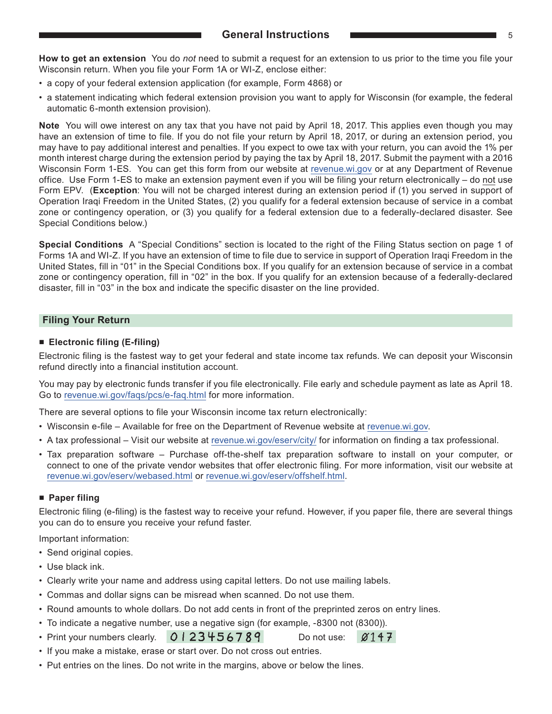<span id="page-4-0"></span>**How to get an extension** You do *not* need to submit a request for an extension to us prior to the time you file your Wisconsin return. When you file your Form 1A or WI-Z, enclose either:

- a copy of your federal extension application (for example, Form 4868) or
- a statement indicating which federal extension provision you want to apply for Wisconsin (for example, the federal automatic 6‑month extension provision).

**Note** You will owe interest on any tax that you have not paid by April 18, 2017. This applies even though you may have an extension of time to file. If you do not file your return by April 18, 2017, or during an extension period, you may have to pay additional interest and penalties. If you expect to owe tax with your return, you can avoid the 1% per month interest charge during the extension period by paying the tax by April 18, 2017. Submit the payment with a 2016 Wisconsin Form 1-ES. You can get this form from our website at [revenue.wi.gov](https://www.revenue.wi.gov) or at any Department of Revenue office. Use Form 1‑ES to make an extension payment even if you will be filing your return electronically – do not use Form EPV. (**Exception**: You will not be charged interest during an extension period if (1) you served in support of Operation Iraqi Freedom in the United States, (2) you qualify for a federal extension because of service in a combat zone or contingency operation, or (3) you qualify for a federal extension due to a federally-declared disaster. See Special Conditions below.)

**Special Conditions** A "Special Conditions" section is located to the right of the Filing Status section on page 1 of Forms 1A and WI‑Z. If you have an extension of time to file due to service in support of Operation Iraqi Freedom in the United States, fill in "01" in the Special Conditions box. If you qualify for an extension because of service in a combat zone or contingency operation, fill in "02" in the box. If you qualify for an extension because of a federally-declared disaster, fill in "03" in the box and indicate the specific disaster on the line provided.

#### **Filing Your Return**

#### ■ **Electronic filing (E‑filing)**

Electronic filing is the fastest way to get your federal and state income tax refunds. We can deposit your Wisconsin refund directly into a financial institution account.

You may pay by electronic funds transfer if you file electronically. File early and schedule payment as late as April 18. Go to [revenue.wi.gov/faqs/pcs/e-faq.html](https://www.revenue.wi.gov/Pages/WI-efile/home.aspx) for more information.

There are several options to file your Wisconsin income tax return electronically:

- Wisconsin e-file Available for free on the Department of Revenue website at [revenue.wi.gov.](https://www.revenue.wi.gov)
- A tax professional Visit our website at [revenue.wi.gov/eserv/city/](https://www.revenue.wi.gov/Pages/OnlineServices/eftgen.aspx) for information on finding a tax professional.
- Tax preparation software Purchase off-the-shelf tax preparation software to install on your computer, or connect to one of the private vendor websites that offer electronic filing. For more information, visit our website at [revenue.wi.gov/eserv/webased.html](https://www.revenue.wi.gov/Pages/OnlineServices/eftgen.aspx) or [revenue.wi.gov/eserv/offshelf.html](https://www.revenue.wi.gov/Pages/OnlineServices/eftgen.aspx).

#### ■ **Paper filing**

Electronic filing (e-filing) is the fastest way to receive your refund. However, if you paper file, there are several things you can do to ensure you receive your refund faster.

Important information:

- Send original copies.
- Use black ink.
- Clearly write your name and address using capital letters. Do not use mailing labels.
- Commas and dollar signs can be misread when scanned. Do not use them.
- Round amounts to whole dollars. Do not add cents in front of the preprinted zeros on entry lines.
- To indicate a negative number, use a negative sign (for example, -8300 not (8300)).
- Print your numbers clearly.  $Q123456789$  Do not use:  $\varnothing$ 147
- If you make a mistake, erase or start over. Do not cross out entries.
- Put entries on the lines. Do not write in the margins, above or below the lines.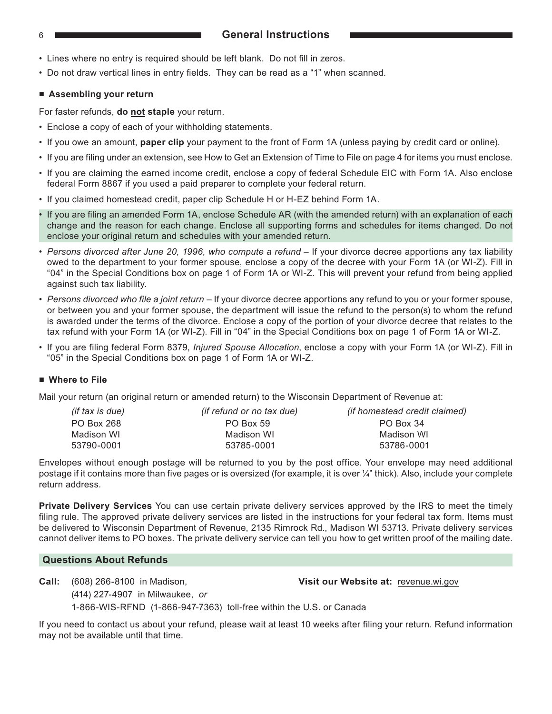#### <span id="page-5-0"></span>6 **General Instructions**

- Lines where no entry is required should be left blank. Do not fill in zeros.
- Do not draw vertical lines in entry fields. They can be read as a "1" when scanned.

#### ■ **Assembling your return**

For faster refunds, **do not staple** your return.

- Enclose a copy of each of your withholding statements.
- If you owe an amount, **paper clip** your payment to the front of Form 1A (unless paying by credit card or online).
- If you are filing under an extension, see How to Get an Extension of Time to File on page 4 for items you must enclose.
- If you are claiming the earned income credit, enclose a copy of federal Schedule EIC with Form 1A. Also enclose federal Form 8867 if you used a paid preparer to complete your federal return.
- If you claimed homestead credit, paper clip Schedule H or H‑EZ behind Form 1A.
- If you are filing an amended Form 1A, enclose Schedule AR (with the amended return) with an explanation of each change and the reason for each change. Enclose all supporting forms and schedules for items changed. Do not enclose your original return and schedules with your amended return.
- *Persons divorced after June 20, 1996, who compute a refund –* If your divorce decree apportions any tax liability owed to the department to your former spouse, enclose a copy of the decree with your Form 1A (or WI‑Z). Fill in "04" in the Special Conditions box on page 1 of Form 1A or WI‑Z. This will prevent your refund from being applied against such tax liability.
- *Persons divorced who file a joint return* If your divorce decree apportions any refund to you or your former spouse, or between you and your former spouse, the department will issue the refund to the person(s) to whom the refund is awarded under the terms of the divorce. Enclose a copy of the portion of your divorce decree that relates to the tax refund with your Form 1A (or WI‑Z). Fill in "04" in the Special Conditions box on page 1 of Form 1A or WI‑Z.
- If you are filing federal Form 8379, *Injured Spouse Allocation*, enclose a copy with your Form 1A (or WI‑Z). Fill in "05" in the Special Conditions box on page 1 of Form 1A or WI‑Z.

#### ■ Where to File

Mail your return (an original return or amended return) to the Wisconsin Department of Revenue at:

| (if tax is due) | <i>(if refund or no tax due)</i> | <i>(if homestead credit claimed)</i> |
|-----------------|----------------------------------|--------------------------------------|
| PO Box 268      | PO Box 59                        | PO Box 34                            |
| Madison WI      | Madison WI                       | Madison WI                           |
| 53790-0001      | 53785-0001                       | 53786-0001                           |

Envelopes without enough postage will be returned to you by the post office. Your envelope may need additional postage if it contains more than five pages or is oversized (for example, it is over ¼" thick). Also, include your complete return address.

**Private Delivery Services** You can use certain private delivery services approved by the IRS to meet the timely filing rule. The approved private delivery services are listed in the instructions for your federal tax form. Items must be delivered to Wisconsin Department of Revenue, 2135 Rimrock Rd., Madison WI 53713. Private delivery services cannot deliver items to PO boxes. The private delivery service can tell you how to get written proof of the mailing date.

#### **Questions About Refunds**

**Call:** (608) 266‑8100 in Madison, **Visit our Website at:** revenue.wi.gov

(414) 227‑4907 in Milwaukee, *or*

1‑866‑WIS‑RFND (1‑866‑947‑7363) toll-free within the U.S. or Canada

If you need to contact us about your refund, please wait at least 10 weeks after filing your return. Refund information may not be available until that time.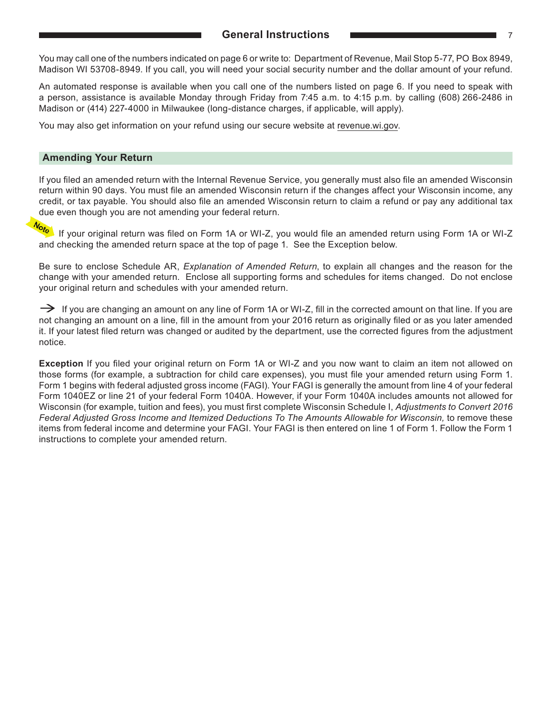<span id="page-6-0"></span>You may call one of the numbers indicated on page 6 or write to: Department of Revenue, Mail Stop 5‑77, PO Box 8949, Madison WI 53708-8949. If you call, you will need your social security number and the dollar amount of your refund.

An automated response is available when you call one of the numbers listed on page 6. If you need to speak with a person, assistance is available Monday through Friday from 7:45 a.m. to 4:15 p.m. by calling (608) 266‑2486 in Madison or (414) 227-4000 in Milwaukee (long-distance charges, if applicable, will apply).

You may also get information on your refund using our secure website at [revenue.wi.gov.](https://www.revenue.wi.gov)

#### **Amending Your Return**

If you filed an amended return with the Internal Revenue Service, you generally must also file an amended Wisconsin return within 90 days. You must file an amended Wisconsin return if the changes affect your Wisconsin income, any credit, or tax payable. You should also file an amended Wisconsin return to claim a refund or pay any additional tax due even though you are not amending your federal return.

Note If your original return was filed on Form 1A or WI‑Z, you would file an amended return using Form 1A or WI‑Z and checking the amended return space at the top of page 1. See the Exception below.

Be sure to enclose Schedule AR, *Explanation of Amended Return*, to explain all changes and the reason for the change with your amended return. Enclose all supporting forms and schedules for items changed. Do not enclose your original return and schedules with your amended return.

 $\rightarrow$  If you are changing an amount on any line of Form 1A or WI-Z, fill in the corrected amount on that line. If you are not changing an amount on a line, fill in the amount from your 2016 return as originally filed or as you later amended it. If your latest filed return was changed or audited by the department, use the corrected figures from the adjustment notice.

**Exception** If you filed your original return on Form 1A or WI-Z and you now want to claim an item not allowed on those forms (for example, a subtraction for child care expenses), you must file your amended return using Form 1. Form 1 begins with federal adjusted gross income (FAGI). Your FAGI is generally the amount from line 4 of your federal Form 1040EZ or line 21 of your federal Form 1040A. However, if your Form 1040A includes amounts not allowed for Wisconsin (for example, tuition and fees), you must first complete Wisconsin Schedule I, *Adjustments to Convert 2016 Federal Adjusted Gross Income and Itemized Deductions To The Amounts Allowable for Wisconsin,* to remove these items from federal income and determine your FAGI. Your FAGI is then entered on line 1 of Form 1. Follow the Form 1 instructions to complete your amended return.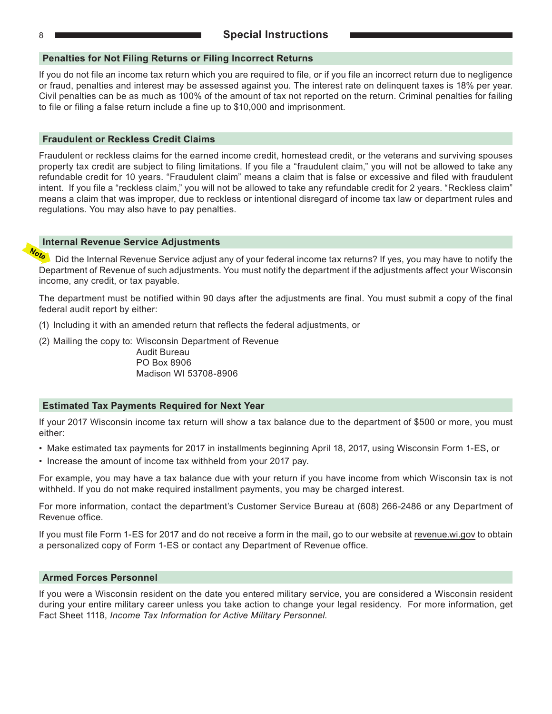<span id="page-7-0"></span>

#### **Penalties for Not Filing Returns or Filing Incorrect Returns**

If you do not file an income tax return which you are required to file, or if you file an incorrect return due to negligence or fraud, penalties and interest may be assessed against you. The interest rate on delinquent taxes is 18% per year. Civil penalties can be as much as 100% of the amount of tax not reported on the return. Criminal penalties for failing to file or filing a false return include a fine up to \$10,000 and imprisonment.

#### **Fraudulent or Reckless Credit Claims**

Fraudulent or reckless claims for the earned income credit, homestead credit, or the veterans and surviving spouses property tax credit are subject to filing limitations. If you file a "fraudulent claim," you will not be allowed to take any refundable credit for 10 years. "Fraudulent claim" means a claim that is false or excessive and filed with fraudulent intent. If you file a "reckless claim," you will not be allowed to take any refundable credit for 2 years. "Reckless claim" means a claim that was improper, due to reckless or intentional disregard of income tax law or department rules and regulations. You may also have to pay penalties.

#### **Internal Revenue Service Adjustments**

Did the Internal Revenue Service adjust any of your federal income tax returns? If yes, you may have to notify the Department of Revenue of such adjustments. You must notify the department if the adjustments affect your Wisconsin income, any credit, or tax payable.

The department must be notified within 90 days after the adjustments are final. You must submit a copy of the final federal audit report by either:

(1) Including it with an amended return that reflects the federal adjustments, or

(2) Mailing the copy to: Wisconsin Department of Revenue

Audit Bureau PO Box 8906 Madison WI 53708-8906

#### **Estimated Tax Payments Required for Next Year**

If your 2017 Wisconsin income tax return will show a tax balance due to the department of \$500 or more, you must either:

- Make estimated tax payments for 2017 in installments beginning April 18, 2017, using Wisconsin Form 1-ES, or
- Increase the amount of income tax withheld from your 2017 pay.

For example, you may have a tax balance due with your return if you have income from which Wisconsin tax is not withheld. If you do not make required installment payments, you may be charged interest.

For more information, contact the department's Customer Service Bureau at (608) 266‑2486 or any Department of Revenue office.

If you must file Form 1‑ES for 2017 and do not receive a form in the mail, go to our website at [revenue.wi.gov](https://www.revenue.wi.gov) to obtain a personalized copy of Form 1‑ES or contact any Department of Revenue office.

#### **Armed Forces Personnel**

If you were a Wisconsin resident on the date you entered military service, you are considered a Wisconsin resident during your entire military career unless you take action to change your legal residency. For more information, get Fact Sheet 1118, *Income Tax Information for Active Military Personnel*.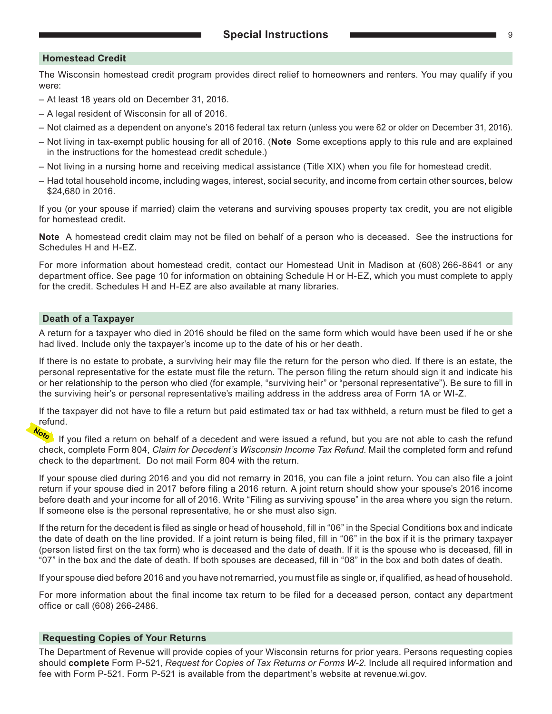#### **Homestead Credit**

The Wisconsin homestead credit program provides direct relief to homeowners and renters. You may qualify if you were:

- At least 18 years old on December 31, 2016.
- A legal resident of Wisconsin for all of 2016.
- Not claimed as a dependent on anyone's 2016 federal tax return (unless you were 62 or older on December 31, 2016).
- Not living in tax-exempt public housing for all of 2016. (**Note** Some exceptions apply to this rule and are explained in the instructions for the homestead credit schedule.)
- Not living in a nursing home and receiving medical assistance (Title XIX) when you file for homestead credit.
- Had total household income, including wages, interest, social security, and income from certain other sources, below \$24,680 in 2016.

If you (or your spouse if married) claim the veterans and surviving spouses property tax credit, you are not eligible for homestead credit.

**Note** A homestead credit claim may not be filed on behalf of a person who is deceased. See the instructions for Schedules H and H‑EZ.

For more information about homestead credit, contact our Homestead Unit in Madison at (608) 266-8641 or any department office. See page 10 for information on obtaining Schedule H or H‑EZ, which you must complete to apply for the credit. Schedules H and H‑EZ are also available at many libraries.

#### **Death of a Taxpayer**

A return for a taxpayer who died in 2016 should be filed on the same form which would have been used if he or she had lived. Include only the taxpayer's income up to the date of his or her death.

If there is no estate to probate, a surviving heir may file the return for the person who died. If there is an estate, the personal representative for the estate must file the return. The person filing the return should sign it and indicate his or her relationship to the person who died (for example, "surviving heir" or "personal representative"). Be sure to fill in the surviving heir's or personal representative's mailing address in the address area of Form 1A or WI‑Z.

If the taxpayer did not have to file a return but paid estimated tax or had tax withheld, a return must be filed to get a refund.

If you filed a return on behalf of a decedent and were issued a refund, but you are not able to cash the refund check, complete Form 804, *Claim for Decedent's Wisconsin Income Tax Refund*. Mail the completed form and refund check to the department. Do not mail Form 804 with the return.

If your spouse died during 2016 and you did not remarry in 2016, you can file a joint return. You can also file a joint return if your spouse died in 2017 before filing a 2016 return. A joint return should show your spouse's 2016 income before death and your income for all of 2016. Write "Filing as surviving spouse" in the area where you sign the return. If someone else is the personal representative, he or she must also sign.

If the return for the decedent is filed as single or head of household, fill in "06" in the Special Conditions box and indicate the date of death on the line provided. If a joint return is being filed, fill in "06" in the box if it is the primary taxpayer (person listed first on the tax form) who is deceased and the date of death. If it is the spouse who is deceased, fill in "07" in the box and the date of death. If both spouses are deceased, fill in "08" in the box and both dates of death.

If your spouse died before 2016 and you have not remarried, you must file as single or, if qualified, as head of household.

For more information about the final income tax return to be filed for a deceased person, contact any department office or call (608) 266‑2486.

#### **Requesting Copies of Your Returns**

The Department of Revenue will provide copies of your Wisconsin returns for prior years. Persons requesting copies should **complete** Form P-521, *Request for Copies of Tax Returns or Forms W-2.* Include all required information and fee with Form P‑521. Form P-521 is available from the department's website at [revenue.wi.gov.](https://www.revenue.wi.gov)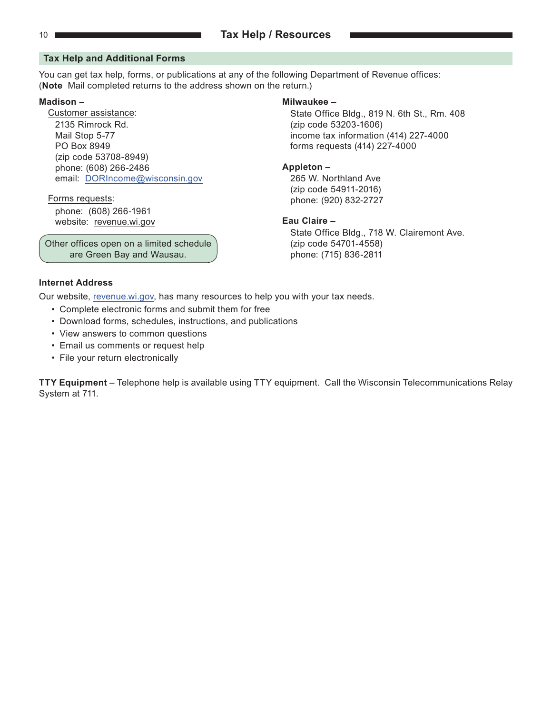#### <span id="page-9-0"></span>**Tax Help and Additional Forms**

You can get tax help, forms, or publications at any of the following Department of Revenue offices: (**Note** Mail completed returns to the address shown on the return.)

2135 Rimrock Rd. (zip code 53203-1606) PO Box 8949 forms requests (414) 227-4000 (zip code 53708-8949) phone: (608) 266-2486 **Appleton –** email: [DORIncome@wisconsin.gov](https://ww2.revenue.wi.gov/Internet/dorhelp.html?subject=income) 265 W. Northland Ave

phone: (608) 266-1961 website: [revenue.wi.gov](https://www.revenue.wi.gov) **Eau Claire –** 

Other offices open on a limited schedule  $(zip code 54701-4558)$ are Green Bay and Wausau.  $\sqrt{ }$  phone: (715) 836-2811

#### **Madison – Milwaukee –**

Customer assistance: State Office Bldg., 819 N. 6th St., Rm. 408 Mail Stop 5-77 **income tax information (414) 227-4000** 

(zip code 54911-2016) Forms requests: phone: (920) 832-2727

State Office Bldg., 718 W. Clairemont Ave.

#### **Internet Address**

Our website, [revenue.wi.gov,](https://www.revenue.wi.gov) has many resources to help you with your tax needs.

- Complete electronic forms and submit them for free
- Download forms, schedules, instructions, and publications
- View answers to common questions
- Email us comments or request help
- File your return electronically

**TTY Equipment** – Telephone help is available using TTY equipment. Call the Wisconsin Telecommunications Relay System at 711.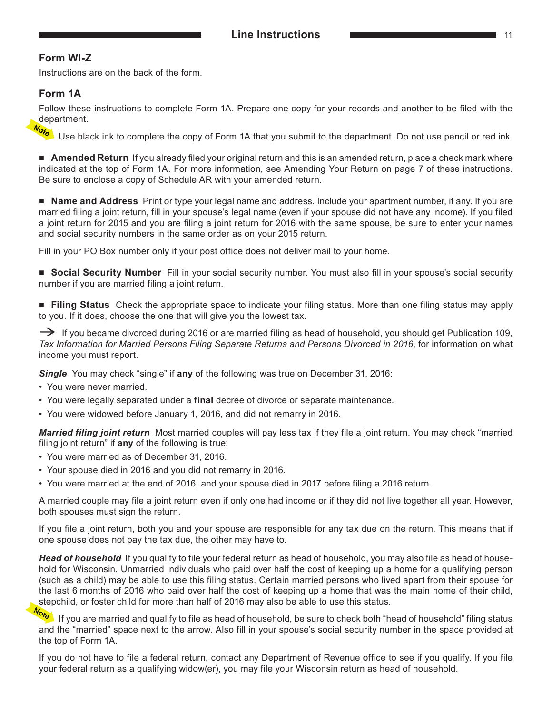### <span id="page-10-0"></span>**Form WI-Z**

Instructions are on the back of the form.

### **Form 1A**

Follow these instructions to complete Form 1A. Prepare one copy for your records and another to be filed with the department.

Use black ink to complete the copy of Form 1A that you submit to the department. Do not use pencil or red ink.

■ **Amended Return** If you already filed your original return and this is an amended return, place a check mark where indicated at the top of Form 1A. For more information, see Amending Your Return on page 7 of these instructions. Be sure to enclose a copy of Schedule AR with your amended return.

■ **Name and Address** Print or type your legal name and address. Include your apartment number, if any. If you are married filing a joint return, fill in your spouse's legal name (even if your spouse did not have any income). If you filed a joint return for 2015 and you are filing a joint return for 2016 with the same spouse, be sure to enter your names and social security numbers in the same order as on your 2015 return.

Fill in your PO Box number only if your post office does not deliver mail to your home.

■ **Social Security Number** Fill in your social security number. You must also fill in your spouse's social security number if you are married filing a joint return.

■ **Filing Status** Check the appropriate space to indicate your filing status. More than one filing status may apply to you. If it does, choose the one that will give you the lowest tax.

 $\rightarrow$  If you became divorced during 2016 or are married filing as head of household, you should get Publication 109, *Tax Information for Married Persons Filing Separate Returns and Persons Divorced in 2016*, for information on what income you must report.

*Single* You may check "single" if **any** of the following was true on December 31, 2016:

- You were never married.
- You were legally separated under a **final** decree of divorce or separate maintenance.
- You were widowed before January 1, 2016, and did not remarry in 2016.

*Married filing joint return* Most married couples will pay less tax if they file a joint return. You may check "married filing joint return" if **any** of the following is true:

- You were married as of December 31, 2016.
- Your spouse died in 2016 and you did not remarry in 2016.
- You were married at the end of 2016, and your spouse died in 2017 before filing a 2016 return.

A married couple may file a joint return even if only one had income or if they did not live together all year. However, both spouses must sign the return.

If you file a joint return, both you and your spouse are responsible for any tax due on the return. This means that if one spouse does not pay the tax due, the other may have to.

*Head of household* If you qualify to file your federal return as head of household, you may also file as head of household for Wisconsin. Unmarried individuals who paid over half the cost of keeping up a home for a qualifying person (such as a child) may be able to use this filing status. Certain married persons who lived apart from their spouse for the last 6 months of 2016 who paid over half the cost of keeping up a home that was the main home of their child, stepchild, or foster child for more than half of 2016 may also be able to use this status.<br>And the sure to check both "he

If you are married and qualify to file as head of household, be sure to check both "head of household" filing status and the "married" space next to the arrow. Also fill in your spouse's social security number in the space provided at the top of Form 1A.

If you do not have to file a federal return, contact any Department of Revenue office to see if you qualify. If you file your federal return as a qualifying widow(er), you may file your Wisconsin return as head of household.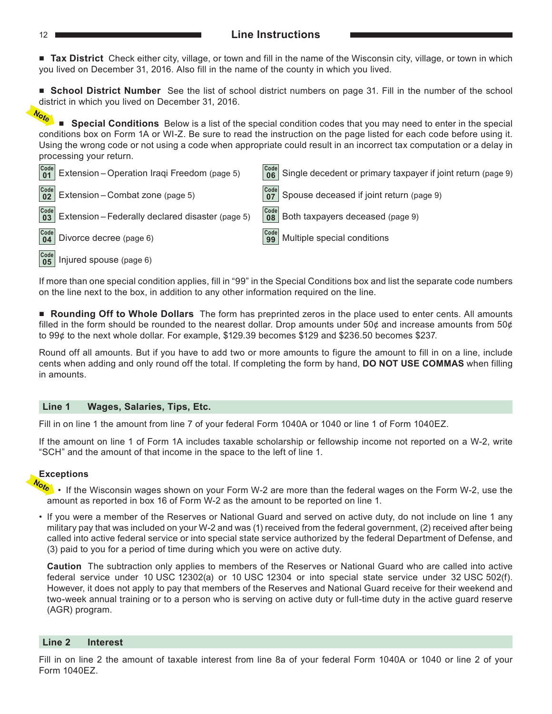#### 12 **Line Instructions**

■ **Tax District** Check either city, village, or town and fill in the name of the Wisconsin city, village, or town in which you lived on December 31, 2016. Also fill in the name of the county in which you lived.

■ **School District Number** See the list of school district numbers on page 31. Fill in the number of the school district in which you lived on December 31, 2016.<br> $\frac{1}{2}$ 

■ **Special Conditions** Below is a list of the special condition codes that you may need to enter in the special conditions box on Form 1A or WI-Z. Be sure to read the instruction on the page listed for each code before using it. Using the wrong code or not using a code when appropriate could result in an incorrect tax computation or a delay in processing your return.



If more than one special condition applies, fill in "99" in the Special Conditions box and list the separate code numbers on the line next to the box, in addition to any other information required on the line.

■ **Rounding Off to Whole Dollars** The form has preprinted zeros in the place used to enter cents. All amounts filled in the form should be rounded to the nearest dollar. Drop amounts under 50¢ and increase amounts from 50¢ to 99¢ to the next whole dollar. For example, \$129.39 becomes \$129 and \$236.50 becomes \$237.

Round off all amounts. But if you have to add two or more amounts to figure the amount to fill in on a line, include cents when adding and only round off the total. If completing the form by hand, **DO NOT USE COMMAS** when filling in amounts.

#### **Line 1 Wages, Salaries, Tips, Etc.**

Fill in on line 1 the amount from line 7 of your federal Form 1040A or 1040 or line 1 of Form 1040EZ.

If the amount on line 1 of Form 1A includes taxable scholarship or fellowship income not reported on a W‑2, write "SCH" and the amount of that income in the space to the left of line 1.

#### **Exceptions**

- If the Wisconsin wages shown on your Form W-2 are more than the federal wages on the Form W-2, use the amount as reported in box 16 of Form W‑2 as the amount to be reported on line 1.
- If you were a member of the Reserves or National Guard and served on active duty, do not include on line 1 any military pay that was included on your W‑2 and was (1) received from the federal government, (2) received after being called into active federal service or into special state service authorized by the federal Department of Defense, and (3) paid to you for a period of time during which you were on active duty.

**Caution** The subtraction only applies to members of the Reserves or National Guard who are called into active federal service under 10 USC 12302(a) or 10 USC 12304 or into special state service under 32 USC 502(f). However, it does not apply to pay that members of the Reserves and National Guard receive for their weekend and two-week annual training or to a person who is serving on active duty or full-time duty in the active guard reserve (AGR) program.

#### **Line 2 Interest**

Fill in on line 2 the amount of taxable interest from line 8a of your federal Form 1040A or 1040 or line 2 of your Form 1040EZ.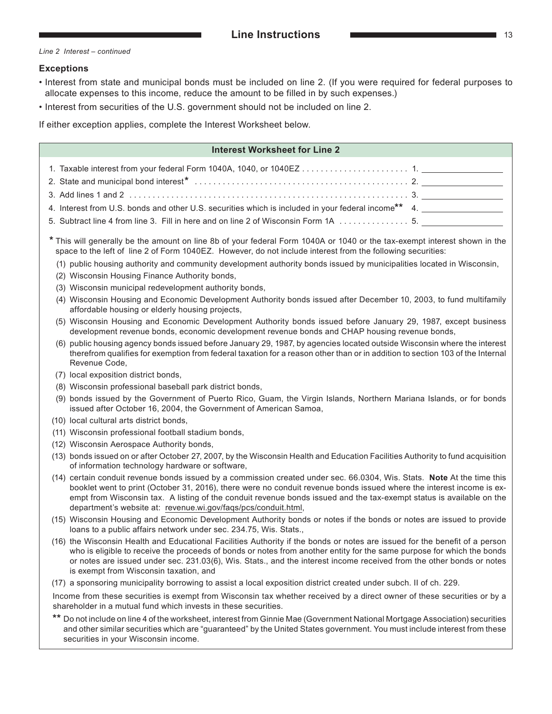*Line 2 Interest – continued*

#### **Exceptions**

- Interest from state and municipal bonds must be included on line 2. (If you were required for federal purposes to allocate expenses to this income, reduce the amount to be filled in by such expenses.)
- Interest from securities of the U.S. government should not be included on line 2.

If either exception applies, complete the Interest Worksheet below.

| <b>Interest Worksheet for Line 2</b>                                                                                                                                                                                                                                                                                                                                                                                                       |
|--------------------------------------------------------------------------------------------------------------------------------------------------------------------------------------------------------------------------------------------------------------------------------------------------------------------------------------------------------------------------------------------------------------------------------------------|
|                                                                                                                                                                                                                                                                                                                                                                                                                                            |
|                                                                                                                                                                                                                                                                                                                                                                                                                                            |
| 4. Interest from U.S. bonds and other U.S. securities which is included in your federal income** 4. ________________                                                                                                                                                                                                                                                                                                                       |
| 5. Subtract line 4 from line 3. Fill in here and on line 2 of Wisconsin Form 1A  5.                                                                                                                                                                                                                                                                                                                                                        |
| * This will generally be the amount on line 8b of your federal Form 1040A or 1040 or the tax-exempt interest shown in the<br>space to the left of line 2 of Form 1040EZ. However, do not include interest from the following securities:                                                                                                                                                                                                   |
| (1) public housing authority and community development authority bonds issued by municipalities located in Wisconsin,<br>(2) Wisconsin Housing Finance Authority bonds,                                                                                                                                                                                                                                                                    |
| (3) Wisconsin municipal redevelopment authority bonds,                                                                                                                                                                                                                                                                                                                                                                                     |
| (4) Wisconsin Housing and Economic Development Authority bonds issued after December 10, 2003, to fund multifamily<br>affordable housing or elderly housing projects,                                                                                                                                                                                                                                                                      |
| (5) Wisconsin Housing and Economic Development Authority bonds issued before January 29, 1987, except business<br>development revenue bonds, economic development revenue bonds and CHAP housing revenue bonds,                                                                                                                                                                                                                            |
| (6) public housing agency bonds issued before January 29, 1987, by agencies located outside Wisconsin where the interest<br>therefrom qualifies for exemption from federal taxation for a reason other than or in addition to section 103 of the Internal<br>Revenue Code,                                                                                                                                                                 |
| (7) local exposition district bonds,                                                                                                                                                                                                                                                                                                                                                                                                       |
| (8) Wisconsin professional baseball park district bonds,                                                                                                                                                                                                                                                                                                                                                                                   |
| (9) bonds issued by the Government of Puerto Rico, Guam, the Virgin Islands, Northern Mariana Islands, or for bonds<br>issued after October 16, 2004, the Government of American Samoa,                                                                                                                                                                                                                                                    |
| (10) local cultural arts district bonds,                                                                                                                                                                                                                                                                                                                                                                                                   |
| (11) Wisconsin professional football stadium bonds,                                                                                                                                                                                                                                                                                                                                                                                        |
| (12) Wisconsin Aerospace Authority bonds,                                                                                                                                                                                                                                                                                                                                                                                                  |
| (13) bonds issued on or after October 27, 2007, by the Wisconsin Health and Education Facilities Authority to fund acquisition<br>of information technology hardware or software,                                                                                                                                                                                                                                                          |
| (14) certain conduit revenue bonds issued by a commission created under sec. 66.0304, Wis. Stats. Note At the time this<br>booklet went to print (October 31, 2016), there were no conduit revenue bonds issued where the interest income is ex-<br>empt from Wisconsin tax. A listing of the conduit revenue bonds issued and the tax-exempt status is available on the<br>department's website at: revenue.wi.gov/faqs/pcs/conduit.html, |
| (15) Wisconsin Housing and Economic Development Authority bonds or notes if the bonds or notes are issued to provide<br>loans to a public affairs network under sec. 234.75, Wis. Stats.,                                                                                                                                                                                                                                                  |
| (16) the Wisconsin Health and Educational Facilities Authority if the bonds or notes are issued for the benefit of a person<br>who is eligible to receive the proceeds of bonds or notes from another entity for the same purpose for which the bonds<br>or notes are issued under sec. 231.03(6), Wis. Stats., and the interest income received from the other bonds or notes<br>is exempt from Wisconsin taxation, and                   |
| (17) a sponsoring municipality borrowing to assist a local exposition district created under subch. Il of ch. 229.                                                                                                                                                                                                                                                                                                                         |
| Income from these securities is exempt from Wisconsin tax whether received by a direct owner of these securities or by a<br>shareholder in a mutual fund which invests in these securities.                                                                                                                                                                                                                                                |

**\*\*** Do not include on line 4 of the worksheet, interest from Ginnie Mae (Government National Mortgage Association) securities and other similar securities which are "guaranteed" by the United States government. You must include interest from these securities in your Wisconsin income.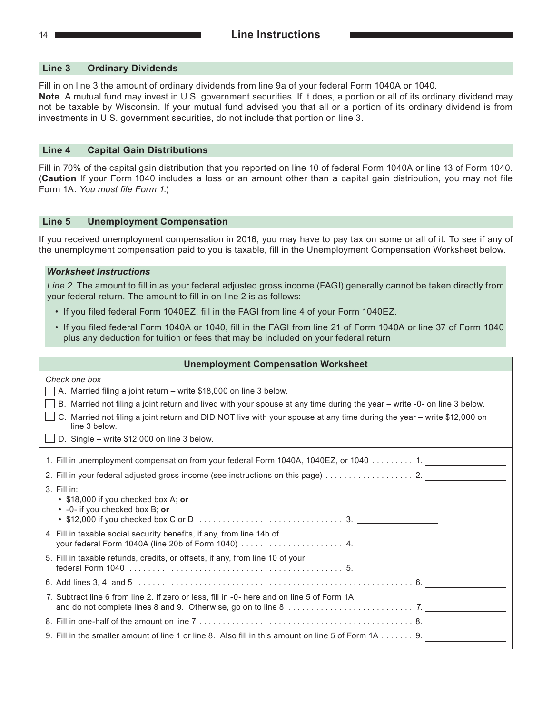#### **Line 3 Ordinary Dividends**

Fill in on line 3 the amount of ordinary dividends from line 9a of your federal Form 1040A or 1040. **Note** A mutual fund may invest in U.S. government securities. If it does, a portion or all of its ordinary dividend may not be taxable by Wisconsin. If your mutual fund advised you that all or a portion of its ordinary dividend is from investments in U.S. government securities, do not include that portion on line 3.

#### **Line 4 Capital Gain Distributions**

Fill in 70% of the capital gain distribution that you reported on line 10 of federal Form 1040A or line 13 of Form 1040. (**Caution** If your Form 1040 includes a loss or an amount other than a capital gain distribution, you may not file Form 1A. *You must file Form 1*.)

#### **Line 5 Unemployment Compensation**

If you received unemployment compensation in 2016, you may have to pay tax on some or all of it. To see if any of the unemployment compensation paid to you is taxable, fill in the Unemployment Compensation Worksheet below.

#### *Worksheet Instructions*

*Line 2* The amount to fill in as your federal adjusted gross income (FAGI) generally cannot be taken directly from your federal return. The amount to fill in on line 2 is as follows:

- If you filed federal Form 1040EZ, fill in the FAGI from line 4 of your Form 1040EZ.
- If you filed federal Form 1040A or 1040, fill in the FAGI from line 21 of Form 1040A or line 37 of Form 1040 plus any deduction for tuition or fees that may be included on your federal return

| <b>Unemployment Compensation Worksheet</b>                                                                                                                                                                                                                                                                                                                                                                       |  |  |
|------------------------------------------------------------------------------------------------------------------------------------------------------------------------------------------------------------------------------------------------------------------------------------------------------------------------------------------------------------------------------------------------------------------|--|--|
| Check one box<br>A. Married filing a joint return - write \$18,000 on line 3 below.<br>B. Married not filing a joint return and lived with your spouse at any time during the year - write -0- on line 3 below.<br>C. Married not filing a joint return and DID NOT live with your spouse at any time during the year - write \$12,000 on<br>line 3 below.<br>$\Box$ D. Single – write \$12,000 on line 3 below. |  |  |
| 1. Fill in unemployment compensation from your federal Form 1040A, 1040EZ, or 1040 1. ____________                                                                                                                                                                                                                                                                                                               |  |  |
|                                                                                                                                                                                                                                                                                                                                                                                                                  |  |  |
| $3.$ Fill in:<br>• \$18,000 if you checked box A; or<br>• -0- if you checked box B; or                                                                                                                                                                                                                                                                                                                           |  |  |
| 4. Fill in taxable social security benefits, if any, from line 14b of                                                                                                                                                                                                                                                                                                                                            |  |  |
| 5. Fill in taxable refunds, credits, or offsets, if any, from line 10 of your                                                                                                                                                                                                                                                                                                                                    |  |  |
|                                                                                                                                                                                                                                                                                                                                                                                                                  |  |  |
| 7. Subtract line 6 from line 2. If zero or less, fill in -0- here and on line 5 of Form 1A                                                                                                                                                                                                                                                                                                                       |  |  |
|                                                                                                                                                                                                                                                                                                                                                                                                                  |  |  |
| 9. Fill in the smaller amount of line 1 or line 8. Also fill in this amount on line 5 of Form $1A$ 9.                                                                                                                                                                                                                                                                                                            |  |  |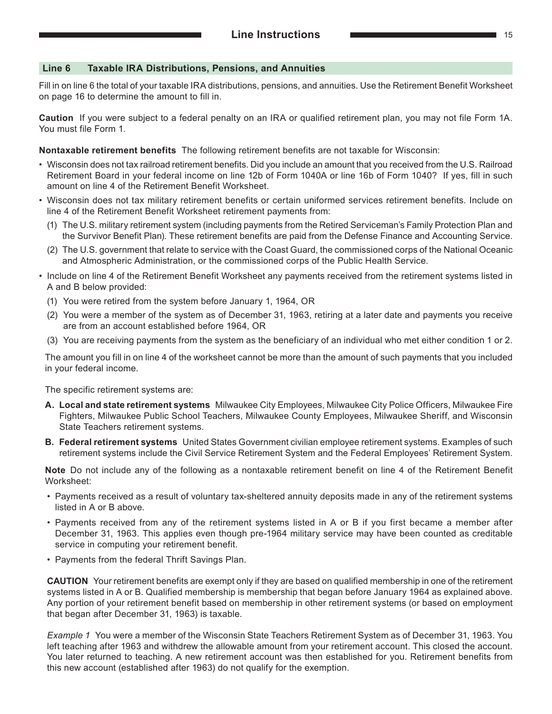#### **Line 6 Taxable IRA Distributions, Pensions, and Annuities**

Fill in on line 6 the total of your taxable IRA distributions, pensions, and annuities. Use the Retirement Benefit Worksheet on page 16 to determine the amount to fill in.

**Caution** If you were subject to a federal penalty on an IRA or qualified retirement plan, you may not file Form 1A. You must file Form 1.

#### **Nontaxable retirement benefits**  The following retirement benefits are not taxable for Wisconsin:

- Wisconsin does not tax railroad retirement benefits. Did you include an amount that you received from the U.S. Railroad Retirement Board in your federal income on line 12b of Form 1040A or line 16b of Form 1040? If yes, fill in such amount on line 4 of the Retirement Benefit Worksheet.
- Wisconsin does not tax military retirement benefits or certain uniformed services retirement benefits. Include on line 4 of the Retirement Benefit Worksheet retirement payments from:
	- (1) The U.S. military retirement system (including payments from the Retired Serviceman's Family Protection Plan and the Survivor Benefit Plan). These retirement benefits are paid from the Defense Finance and Accounting Service.
	- (2) The U.S. government that relate to service with the Coast Guard, the commissioned corps of the National Oceanic and Atmospheric Administration, or the commissioned corps of the Public Health Service.
- Include on line 4 of the Retirement Benefit Worksheet any payments received from the retirement systems listed in A and B below provided:
	- (1) You were retired from the system before January 1, 1964, OR
	- (2) You were a member of the system as of December 31, 1963, retiring at a later date and payments you receive are from an account established before 1964, OR
	- (3) You are receiving payments from the system as the beneficiary of an individual who met either condition 1 or 2.

The amount you fill in on line 4 of the worksheet cannot be more than the amount of such payments that you included in your federal income.

The specific retirement systems are:

- **A. Local and state retirement systems**  Milwaukee City Employees, Milwaukee City Police Officers, Milwaukee Fire Fighters, Milwaukee Public School Teachers, Milwaukee County Employees, Milwaukee Sheriff, and Wisconsin State Teachers retirement systems.
- **B. Federal retirement systems**  United States Government civilian employee retirement systems. Examples of such retirement systems include the Civil Service Retirement System and the Federal Employees' Retirement System.

**Note** Do not include any of the following as a nontaxable retirement benefit on line 4 of the Retirement Benefit Worksheet:

- Payments received as a result of voluntary tax-sheltered annuity deposits made in any of the retirement systems listed in A or B above.
- Payments received from any of the retirement systems listed in A or B if you first became a member after December 31, 1963. This applies even though pre-1964 military service may have been counted as creditable service in computing your retirement benefit.
- Payments from the federal Thrift Savings Plan.

**CAUTION**  Your retirement benefits are exempt only if they are based on qualified membership in one of the retirement systems listed in A or B. Qualified membership is membership that began before January 1964 as explained above. Any portion of your retirement benefit based on membership in other retirement systems (or based on employment that began after December 31, 1963) is taxable.

*Example 1*  You were a member of the Wisconsin State Teachers Retirement System as of December 31, 1963. You left teaching after 1963 and withdrew the allowable amount from your retirement account. This closed the account. You later returned to teaching. A new retirement account was then established for you. Retirement benefits from this new account (established after 1963) do not qualify for the exemption.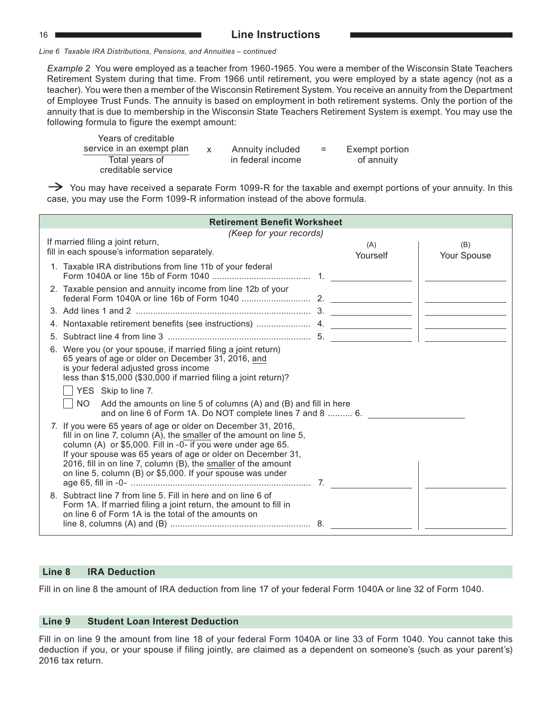#### 16 **Line Instructions**

*Line 6 Taxable IRA Distributions, Pensions, and Annuities – continued*

*Example 2* You were employed as a teacher from 1960-1965. You were a member of the Wisconsin State Teachers Retirement System during that time. From 1966 until retirement, you were employed by a state agency (not as a teacher). You were then a member of the Wisconsin Retirement System. You receive an annuity from the Department of Employee Trust Funds. The annuity is based on employment in both retirement systems. Only the portion of the annuity that is due to membership in the Wisconsin State Teachers Retirement System is exempt. You may use the following formula to figure the exempt amount:

Years of creditable service in an exempt plan  $x$  Annuity included  $=$  Exempt portion Total years of in federal income of annuity creditable service

 $\rightarrow$  You may have received a separate Form 1099-R for the taxable and exempt portions of your annuity. In this case, you may use the Form 1099‑R information instead of the above formula.

| <b>Retirement Benefit Worksheet</b> |                                                                                                                                                                                                                                                                                                                                                                                                     |                 |                                                                                                                                                                                                                                                                                                                                                                                             |  |  |
|-------------------------------------|-----------------------------------------------------------------------------------------------------------------------------------------------------------------------------------------------------------------------------------------------------------------------------------------------------------------------------------------------------------------------------------------------------|-----------------|---------------------------------------------------------------------------------------------------------------------------------------------------------------------------------------------------------------------------------------------------------------------------------------------------------------------------------------------------------------------------------------------|--|--|
|                                     | (Keep for your records)                                                                                                                                                                                                                                                                                                                                                                             |                 |                                                                                                                                                                                                                                                                                                                                                                                             |  |  |
|                                     | If married filing a joint return,<br>fill in each spouse's information separately.                                                                                                                                                                                                                                                                                                                  | (A)<br>Yourself | (B)<br>Your Spouse                                                                                                                                                                                                                                                                                                                                                                          |  |  |
|                                     | 1. Taxable IRA distributions from line 11b of your federal                                                                                                                                                                                                                                                                                                                                          |                 |                                                                                                                                                                                                                                                                                                                                                                                             |  |  |
|                                     | 2. Taxable pension and annuity income from line 12b of your                                                                                                                                                                                                                                                                                                                                         |                 |                                                                                                                                                                                                                                                                                                                                                                                             |  |  |
|                                     |                                                                                                                                                                                                                                                                                                                                                                                                     |                 |                                                                                                                                                                                                                                                                                                                                                                                             |  |  |
|                                     |                                                                                                                                                                                                                                                                                                                                                                                                     |                 | $\begin{picture}(20,20) \put(0,0){\dashbox{0.5}(5,0){ }} \put(15,0){\circle{10}} \put(15,0){\circle{10}} \put(15,0){\circle{10}} \put(15,0){\circle{10}} \put(15,0){\circle{10}} \put(15,0){\circle{10}} \put(15,0){\circle{10}} \put(15,0){\circle{10}} \put(15,0){\circle{10}} \put(15,0){\circle{10}} \put(15,0){\circle{10}} \put(15,0){\circle{10}} \put(15,0){\circle{10}} \put(15,0$ |  |  |
|                                     |                                                                                                                                                                                                                                                                                                                                                                                                     |                 |                                                                                                                                                                                                                                                                                                                                                                                             |  |  |
|                                     | 6. Were you (or your spouse, if married filing a joint return)<br>65 years of age or older on December 31, 2016, and<br>is your federal adjusted gross income<br>less than \$15,000 (\$30,000 if married filing a joint return)?<br>YES Skip to line 7.<br>NO Add the amounts on line 5 of columns (A) and (B) and fill in here<br>and on line 6 of Form 1A. Do NOT complete lines 7 and 8  6.      |                 |                                                                                                                                                                                                                                                                                                                                                                                             |  |  |
|                                     | 7. If you were 65 years of age or older on December 31, 2016,<br>fill in on line 7, column (A), the smaller of the amount on line 5,<br>column (A) or \$5,000. Fill in -0- if you were under age 65.<br>If your spouse was 65 years of age or older on December 31,<br>2016, fill in on line 7, column (B), the smaller of the amount<br>on line 5, column (B) or \$5,000. If your spouse was under |                 |                                                                                                                                                                                                                                                                                                                                                                                             |  |  |
|                                     | 8. Subtract line 7 from line 5. Fill in here and on line 6 of<br>Form 1A. If married filing a joint return, the amount to fill in<br>on line 6 of Form 1A is the total of the amounts on                                                                                                                                                                                                            |                 |                                                                                                                                                                                                                                                                                                                                                                                             |  |  |

#### **Line 8 IRA Deduction**

Fill in on line 8 the amount of IRA deduction from line 17 of your federal Form 1040A or line 32 of Form 1040.

#### **Line 9 Student Loan Interest Deduction**

Fill in on line 9 the amount from line 18 of your federal Form 1040A or line 33 of Form 1040. You cannot take this deduction if you, or your spouse if filing jointly, are claimed as a dependent on someone's (such as your parent's) 2016 tax return.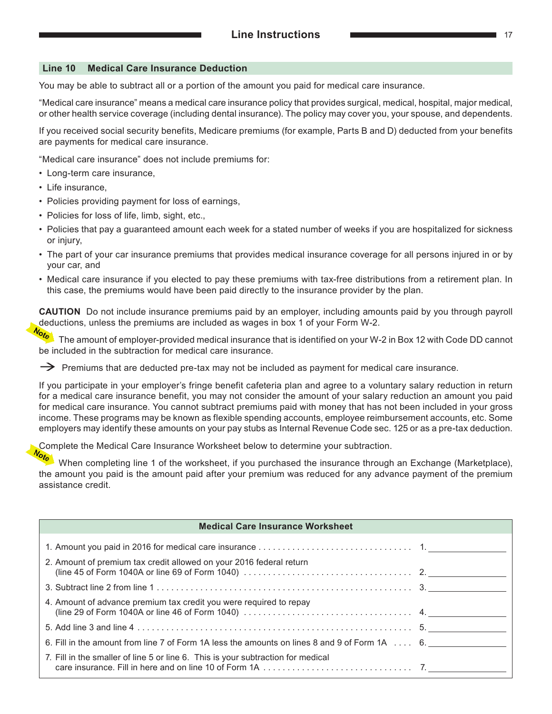#### **Line 10 Medical Care Insurance Deduction**

You may be able to subtract all or a portion of the amount you paid for medical care insurance.

"Medical care insurance" means a medical care insurance policy that provides surgical, medical, hospital, major medical, or other health service coverage (including dental insurance). The policy may cover you, your spouse, and dependents.

If you received social security benefits, Medicare premiums (for example, Parts B and D) deducted from your benefits are payments for medical care insurance.

"Medical care insurance" does not include premiums for:

- Long-term care insurance,
- Life insurance,
- Policies providing payment for loss of earnings,
- Policies for loss of life, limb, sight, etc.,
- Policies that pay a guaranteed amount each week for a stated number of weeks if you are hospitalized for sickness or injury,
- The part of your car insurance premiums that provides medical insurance coverage for all persons injured in or by your car, and
- Medical care insurance if you elected to pay these premiums with tax-free distributions from a retirement plan. In this case, the premiums would have been paid directly to the insurance provider by the plan.

**CAUTION** Do not include insurance premiums paid by an employer, including amounts paid by you through payroll deductions, unless the premiums are included as wages in box 1 of your Form W‑2.

The amount of employer-provided medical insurance that is identified on your W‑2 in Box 12 with Code DD cannot be included in the subtraction for medical care insurance.

 $\rightarrow$  Premiums that are deducted pre-tax may not be included as payment for medical care insurance.

If you participate in your employer's fringe benefit cafeteria plan and agree to a voluntary salary reduction in return for a medical care insurance benefit, you may not consider the amount of your salary reduction an amount you paid for medical care insurance. You cannot subtract premiums paid with money that has not been included in your gross income. These programs may be known as flexible spending accounts, employee reimbursement accounts, etc. Some employers may identify these amounts on your pay stubs as Internal Revenue Code sec. 125 or as a pre-tax deduction.

Complete the Medical Care Insurance Worksheet below to determine your subtraction.

When completing line 1 of the worksheet, if you purchased the insurance through an Exchange (Marketplace), the amount you paid is the amount paid after your premium was reduced for any advance payment of the premium assistance credit.

| <b>Medical Care Insurance Worksheet</b>                                                                                                                                                           |  |
|---------------------------------------------------------------------------------------------------------------------------------------------------------------------------------------------------|--|
|                                                                                                                                                                                                   |  |
| 2. Amount of premium tax credit allowed on your 2016 federal return<br>(line 45 of Form 1040A or line 69 of Form 1040) $\ldots \ldots \ldots \ldots \ldots \ldots \ldots \ldots \ldots \ldots$ 2. |  |
|                                                                                                                                                                                                   |  |
| 4. Amount of advance premium tax credit you were required to repay                                                                                                                                |  |
| 5. Add line 3 and line 4 $\ldots$ $\ldots$ $\ldots$ $\ldots$ $\ldots$ $\ldots$ $\ldots$ $\ldots$ $\ldots$ $\ldots$ $\ldots$ $\ldots$ $\ldots$ 5.                                                  |  |
| 6. Fill in the amount from line 7 of Form 1A less the amounts on lines 8 and 9 of Form $1A$ , $\ldots$ 6.                                                                                         |  |
| 7. Fill in the smaller of line 5 or line 6. This is your subtraction for medical                                                                                                                  |  |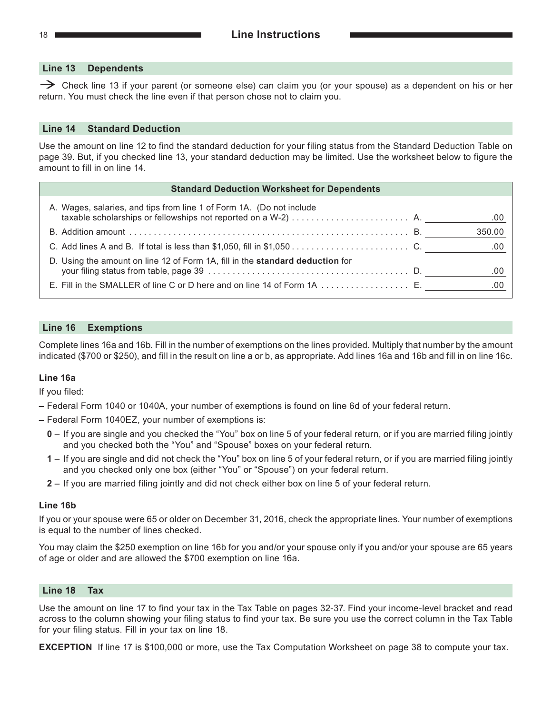#### **Line 13 Dependents**

 $\rightarrow$  Check line 13 if your parent (or someone else) can claim you (or your spouse) as a dependent on his or her return. You must check the line even if that person chose not to claim you.

#### **Line 14 Standard Deduction**

Use the amount on line 12 to find the standard deduction for your filing status from the Standard Deduction Table on page 39. But, if you checked line 13, your standard deduction may be limited. Use the worksheet below to figure the amount to fill in on line 14.

| A. Wages, salaries, and tips from line 1 of Form 1A. (Do not include          | .00    |
|-------------------------------------------------------------------------------|--------|
|                                                                               | 350.00 |
|                                                                               | .00    |
| D. Using the amount on line 12 of Form 1A, fill in the standard deduction for | .00    |
|                                                                               |        |

#### **Line 16 Exemptions**

Complete lines 16a and 16b. Fill in the number of exemptions on the lines provided. Multiply that number by the amount indicated (\$700 or \$250), and fill in the result on line a or b, as appropriate. Add lines 16a and 16b and fill in on line 16c.

#### **Line 16a**

If you filed:

- **–** Federal Form 1040 or 1040A, your number of exemptions is found on line 6d of your federal return.
- **–** Federal Form 1040EZ, your number of exemptions is:
	- **0** If you are single and you checked the "You" box on line 5 of your federal return, or if you are married filing jointly and you checked both the "You" and "Spouse" boxes on your federal return.
	- **1** If you are single and did not check the "You" box on line 5 of your federal return, or if you are married filing jointly and you checked only one box (either "You" or "Spouse") on your federal return.
	- **2** If you are married filing jointly and did not check either box on line 5 of your federal return.

#### **Line 16b**

If you or your spouse were 65 or older on December 31, 2016, check the appropriate lines. Your number of exemptions is equal to the number of lines checked.

You may claim the \$250 exemption on line 16b for you and/or your spouse only if you and/or your spouse are 65 years of age or older and are allowed the \$700 exemption on line 16a.

#### **Line 18 Tax**

Use the amount on line 17 to find your tax in the Tax Table on pages 32‑37. Find your income-level bracket and read across to the column showing your filing status to find your tax. Be sure you use the correct column in the Tax Table for your filing status. Fill in your tax on line 18.

**EXCEPTION** If line 17 is \$100,000 or more, use the Tax Computation Worksheet on page 38 to compute your tax.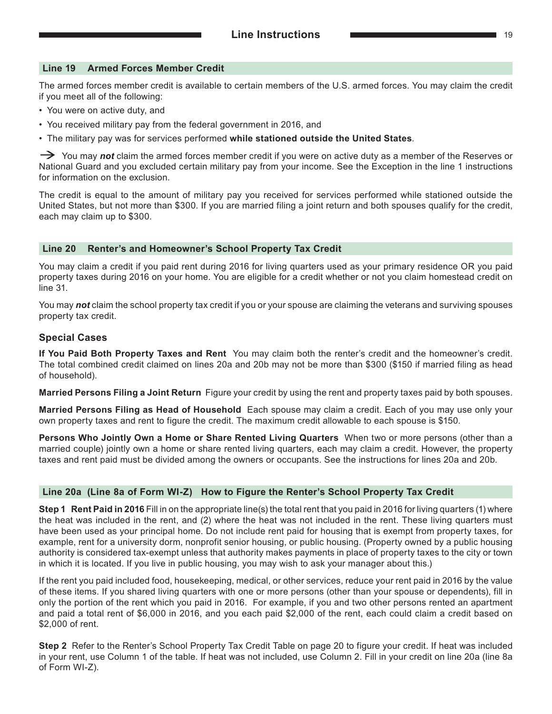#### **Line 19 Armed Forces Member Credit**

The armed forces member credit is available to certain members of the U.S. armed forces. You may claim the credit if you meet all of the following:

- You were on active duty, and
- You received military pay from the federal government in 2016, and
- The military pay was for services performed **while stationed outside the United States**.

You may *not* claim the armed forces member credit if you were on active duty as a member of the Reserves or National Guard and you excluded certain military pay from your income. See the Exception in the line 1 instructions for information on the exclusion.

The credit is equal to the amount of military pay you received for services performed while stationed outside the United States, but not more than \$300. If you are married filing a joint return and both spouses qualify for the credit, each may claim up to \$300.

#### **Line 20 Renter's and Homeowner's School Property Tax Credit**

You may claim a credit if you paid rent during 2016 for living quarters used as your primary residence OR you paid property taxes during 2016 on your home. You are eligible for a credit whether or not you claim homestead credit on line 31.

You may *not* claim the school property tax credit if you or your spouse are claiming the veterans and surviving spouses property tax credit.

#### **Special Cases**

**If You Paid Both Property Taxes and Rent** You may claim both the renter's credit and the homeowner's credit. The total combined credit claimed on lines 20a and 20b may not be more than \$300 (\$150 if married filing as head of household).

**Married Persons Filing a Joint Return** Figure your credit by using the rent and property taxes paid by both spouses.

**Married Persons Filing as Head of Household** Each spouse may claim a credit. Each of you may use only your own property taxes and rent to figure the credit. The maximum credit allowable to each spouse is \$150.

**Persons Who Jointly Own a Home or Share Rented Living Quarters** When two or more persons (other than a married couple) jointly own a home or share rented living quarters, each may claim a credit. However, the property taxes and rent paid must be divided among the owners or occupants. See the instructions for lines 20a and 20b.

#### **Line 20a (Line 8a of Form WI‑Z) How to Figure the Renter's School Property Tax Credit**

**Step 1 Rent Paid in 2016** Fill in on the appropriate line(s) the total rent that you paid in 2016 for living quarters (1) where the heat was included in the rent, and (2) where the heat was not included in the rent. These living quarters must have been used as your principal home. Do not include rent paid for housing that is exempt from property taxes, for example, rent for a university dorm, nonprofit senior housing, or public housing. (Property owned by a public housing authority is considered tax-exempt unless that authority makes payments in place of property taxes to the city or town in which it is located. If you live in public housing, you may wish to ask your manager about this.)

If the rent you paid included food, housekeeping, medical, or other services, reduce your rent paid in 2016 by the value of these items. If you shared living quarters with one or more persons (other than your spouse or dependents), fill in only the portion of the rent which you paid in 2016. For example, if you and two other persons rented an apartment and paid a total rent of \$6,000 in 2016, and you each paid \$2,000 of the rent, each could claim a credit based on \$2,000 of rent.

**Step 2** Refer to the Renter's School Property Tax Credit Table on page 20 to figure your credit. If heat was included in your rent, use Column 1 of the table. If heat was not included, use Column 2. Fill in your credit on line 20a (line 8a of Form WI-Z).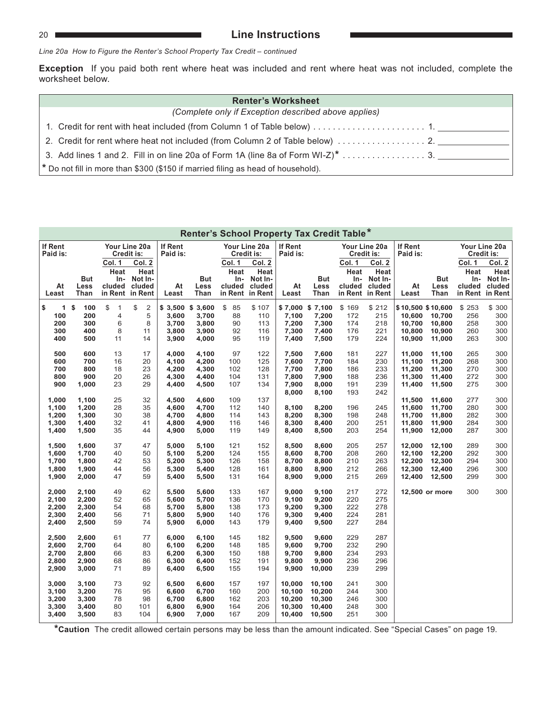#### 20 **Line Instructions**

*Line 20a How to Figure the Renter's School Property Tax Credit – continued*

**Exception** If you paid both rent where heat was included and rent where heat was not included, complete the worksheet below.

| <b>Renter's Worksheet</b>                                                                                 |  |  |  |  |  |  |  |  |  |
|-----------------------------------------------------------------------------------------------------------|--|--|--|--|--|--|--|--|--|
| (Complete only if Exception described above applies)                                                      |  |  |  |  |  |  |  |  |  |
|                                                                                                           |  |  |  |  |  |  |  |  |  |
|                                                                                                           |  |  |  |  |  |  |  |  |  |
| 3. Add lines 1 and 2. Fill in on line 20a of Form 1A (line 8a of Form WI-Z)* $\dots \dots \dots \dots$ 3. |  |  |  |  |  |  |  |  |  |
| $*$ Do not fill in more than \$300 (\$150 if married filing as head of household).                        |  |  |  |  |  |  |  |  |  |

|                                                    | Renter's School Property Tax Credit Table*         |                                  |                                                        |                                                       |                                                    |                                        |                                                        |                                                    |                                                     |                                        |                                                        |                                                           |                                                |                                   |                                                        |
|----------------------------------------------------|----------------------------------------------------|----------------------------------|--------------------------------------------------------|-------------------------------------------------------|----------------------------------------------------|----------------------------------------|--------------------------------------------------------|----------------------------------------------------|-----------------------------------------------------|----------------------------------------|--------------------------------------------------------|-----------------------------------------------------------|------------------------------------------------|-----------------------------------|--------------------------------------------------------|
| <b>If Rent</b><br>Paid is:                         |                                                    |                                  | Your Line 20a<br>Credit is:                            | If Rent<br>Paid is:                                   |                                                    | Your Line 20a<br>Credit is:            |                                                        | If Rent<br>Paid is:                                |                                                     | Your Line 20a<br>Credit is:            |                                                        | If Rent<br>Paid is:                                       |                                                |                                   | Your Line 20a<br>Credit is:                            |
| At<br>Least                                        | <b>But</b><br>Less<br>Than                         | Col. 1<br>Heat<br>In-<br>cluded  | Col. 2<br>Heat<br>Not In-<br>cluded<br>in Rent in Rent | At<br>Least                                           | <b>But</b><br>Less<br>Than                         | Col. 1<br>Heat<br>In-<br>cluded        | Col. 2<br>Heat<br>Not In-<br>cluded<br>in Rent in Rent | At<br>Least                                        | <b>But</b><br>Less<br>Than                          | Col. 1<br>Heat<br>In-<br>cluded        | Col. 2<br>Heat<br>Not In-<br>cluded<br>in Rent in Rent | At<br>Least                                               | <b>But</b><br>Less<br>Than                     | Col. 1<br>Heat<br>In-<br>cluded   | Col. 2<br>Heat<br>Not In-<br>cluded<br>in Rent in Rent |
| \$<br>1 <sup>5</sup><br>100<br>200<br>300<br>400   | 100<br>200<br>300<br>400<br>500                    | \$<br>1<br>4<br>6<br>8<br>11     | \$<br>$\overline{\mathbf{c}}$<br>5<br>8<br>11<br>14    | $$3,500$ $$3,600$<br>3,600<br>3,700<br>3,800<br>3,900 | 3,700<br>3,800<br>3,900<br>4,000                   | \$<br>85<br>88<br>90<br>92<br>95       | \$107<br>110<br>113<br>116<br>119                      | 7,100<br>7,200<br>7,300<br>7,400                   | \$7,000 \$7,100<br>7,200<br>7,300<br>7,400<br>7,500 | \$169<br>172<br>174<br>176<br>179      | \$212<br>215<br>218<br>221<br>224                      | \$10,500 \$10,600<br>10,600<br>10,700<br>10,800<br>10,900 | 10,700<br>10,800<br>10,900<br>11,000           | \$253<br>256<br>258<br>260<br>263 | \$ 300<br>300<br>300<br>300<br>300                     |
| 500<br>600<br>700<br>800<br>900                    | 600<br>700<br>800<br>900<br>1,000                  | 13<br>16<br>18<br>20<br>23       | 17<br>20<br>23<br>26<br>29                             | 4,000<br>4,100<br>4,200<br>4,300<br>4,400             | 4,100<br>4,200<br>4,300<br>4,400<br>4,500          | 97<br>100<br>102<br>104<br>107         | 122<br>125<br>128<br>131<br>134                        | 7,500<br>7,600<br>7,700<br>7,800<br>7,900<br>8,000 | 7,600<br>7,700<br>7,800<br>7,900<br>8,000<br>8,100  | 181<br>184<br>186<br>188<br>191<br>193 | 227<br>230<br>233<br>236<br>239<br>242                 | 11,000<br>11,100<br>11,200<br>11,300<br>11,400            | 11,100<br>11,200<br>11,300<br>11,400<br>11,500 | 265<br>268<br>270<br>272<br>275   | 300<br>300<br>300<br>300<br>300                        |
| 1,000<br>1,100<br>1,200<br>1,300<br>1,400          | 1,100<br>1,200<br>1,300<br>1,400<br>1,500          | 25<br>28<br>30<br>32<br>35       | 32<br>35<br>38<br>41<br>44                             | 4.500<br>4,600<br>4,700<br>4,800<br>4,900             | 4,600<br>4,700<br>4,800<br>4,900<br>5,000          | 109<br>112<br>114<br>116<br>119        | 137<br>140<br>143<br>146<br>149                        | 8,100<br>8,200<br>8,300<br>8,400                   | 8,200<br>8,300<br>8,400<br>8,500                    | 196<br>198<br>200<br>203               | 245<br>248<br>251<br>254                               | 11,500<br>11,600<br>11,700<br>11,800<br>11,900            | 11,600<br>11,700<br>11,800<br>11,900<br>12,000 | 277<br>280<br>282<br>284<br>287   | 300<br>300<br>300<br>300<br>300                        |
| 1,500<br>1,600<br>1,700<br>1,800<br>1,900          | 1,600<br>1,700<br>1,800<br>1,900<br>2,000          | 37<br>40<br>42<br>44<br>47       | 47<br>50<br>53<br>56<br>59                             | 5,000<br>5,100<br>5,200<br>5,300<br>5,400             | 5,100<br>5,200<br>5,300<br>5,400<br>5,500          | 121<br>124<br>126<br>128<br>131        | 152<br>155<br>158<br>161<br>164                        | 8,500<br>8,600<br>8,700<br>8,800<br>8,900          | 8,600<br>8,700<br>8,800<br>8,900<br>9,000           | 205<br>208<br>210<br>212<br>215        | 257<br>260<br>263<br>266<br>269                        | 12,000<br>12,100<br>12,200<br>12,300<br>12,400            | 12,100<br>12,200<br>12,300<br>12,400<br>12,500 | 289<br>292<br>294<br>296<br>299   | 300<br>300<br>300<br>300<br>300                        |
| 2,000<br>2,100<br>2,200<br>2,300<br>2,400<br>2,500 | 2,100<br>2,200<br>2,300<br>2,400<br>2,500<br>2,600 | 49<br>52<br>54<br>56<br>59<br>61 | 62<br>65<br>68<br>71<br>74<br>77                       | 5,500<br>5,600<br>5,700<br>5,800<br>5,900<br>6.000    | 5,600<br>5,700<br>5,800<br>5,900<br>6,000<br>6,100 | 133<br>136<br>138<br>140<br>143<br>145 | 167<br>170<br>173<br>176<br>179<br>182                 | 9,000<br>9,100<br>9,200<br>9,300<br>9,400<br>9,500 | 9,100<br>9,200<br>9,300<br>9,400<br>9,500<br>9.600  | 217<br>220<br>222<br>224<br>227<br>229 | 272<br>275<br>278<br>281<br>284<br>287                 |                                                           | 12,500 or more                                 | 300                               | 300                                                    |
| 2,600<br>2,700<br>2,800<br>2,900<br>3,000          | 2,700<br>2,800<br>2,900<br>3,000<br>3,100          | 64<br>66<br>68<br>71<br>73       | 80<br>83<br>86<br>89<br>92                             | 6,100<br>6,200<br>6,300<br>6,400<br>6,500             | 6,200<br>6,300<br>6,400<br>6,500<br>6,600          | 148<br>150<br>152<br>155<br>157        | 185<br>188<br>191<br>194<br>197                        | 9,600<br>9,700<br>9,800<br>9,900<br>10,000         | 9,700<br>9,800<br>9,900<br>10,000<br>10,100         | 232<br>234<br>236<br>239<br>241        | 290<br>293<br>296<br>299<br>300                        |                                                           |                                                |                                   |                                                        |
| 3,100<br>3,200<br>3,300<br>3,400                   | 3,200<br>3,300<br>3,400<br>3,500                   | 76<br>78<br>80<br>83             | 95<br>98<br>101<br>104                                 | 6,600<br>6,700<br>6,800<br>6,900                      | 6,700<br>6,800<br>6,900<br>7,000                   | 160<br>162<br>164<br>167               | 200<br>203<br>206<br>209                               | 10,100<br>10,200<br>10,300<br>10,400               | 10,200<br>10,300<br>10,400<br>10,500                | 244<br>246<br>248<br>251               | 300<br>300<br>300<br>300                               |                                                           |                                                |                                   |                                                        |

**\*Caution** The credit allowed certain persons may be less than the amount indicated. See "Special Cases" on page 19.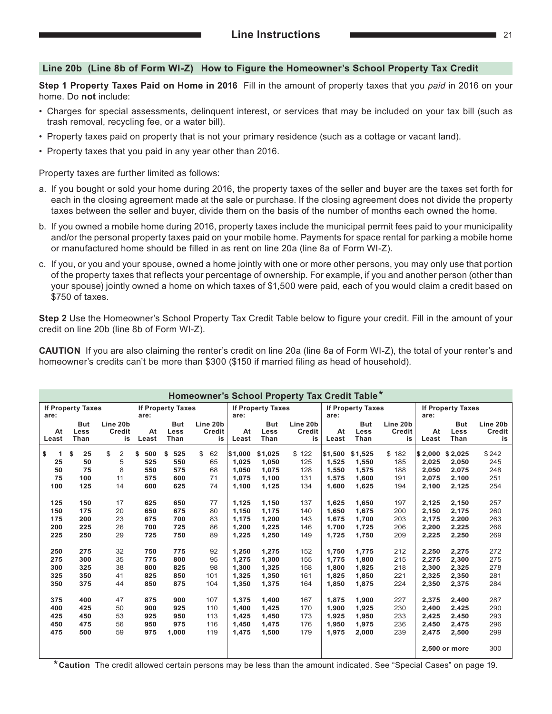#### **Line 20b (Line 8b of Form WI‑Z) How to Figure the Homeowner's School Property Tax Credit**

**Step 1 Property Taxes Paid on Home in 2016** Fill in the amount of property taxes that you *paid* in 2016 on your home. Do **not** include:

- Charges for special assessments, delinquent interest, or services that may be included on your tax bill (such as trash removal, recycling fee, or a water bill).
- Property taxes paid on property that is not your primary residence (such as a cottage or vacant land).
- Property taxes that you paid in any year other than 2016.

Property taxes are further limited as follows:

- a. If you bought or sold your home during 2016, the property taxes of the seller and buyer are the taxes set forth for each in the closing agreement made at the sale or purchase. If the closing agreement does not divide the property taxes between the seller and buyer, divide them on the basis of the number of months each owned the home.
- b. If you owned a mobile home during 2016, property taxes include the municipal permit fees paid to your municipality and/or the personal property taxes paid on your mobile home. Payments for space rental for parking a mobile home or manufactured home should be filled in as rent on line 20a (line 8a of Form WI‑Z).
- c. If you, or you and your spouse, owned a home jointly with one or more other persons, you may only use that portion of the property taxes that reflects your percentage of ownership. For example, if you and another person (other than your spouse) jointly owned a home on which taxes of \$1,500 were paid, each of you would claim a credit based on \$750 of taxes.

**Step 2** Use the Homeowner's School Property Tax Credit Table below to figure your credit. Fill in the amount of your credit on line 20b (line 8b of Form WI‑Z).

**CAUTION** If you are also claiming the renter's credit on line 20a (line 8a of Form WI‑Z), the total of your renter's and homeowner's credits can't be more than \$300 (\$150 if married filing as head of household).

|                                                                                                 |                                                                                                   |                                                                                                  |                                                                                                      |                                                                                                      |                                                                                         |                                                                                                                              |                                                                                                                              | Homeowner's School Property Tax Credit Table*                                                    |                                                                                                                              |                                                                                                                              |                                                                                                  |                                                                                                                              |                                                                                                                              |                                                                                                  |
|-------------------------------------------------------------------------------------------------|---------------------------------------------------------------------------------------------------|--------------------------------------------------------------------------------------------------|------------------------------------------------------------------------------------------------------|------------------------------------------------------------------------------------------------------|-----------------------------------------------------------------------------------------|------------------------------------------------------------------------------------------------------------------------------|------------------------------------------------------------------------------------------------------------------------------|--------------------------------------------------------------------------------------------------|------------------------------------------------------------------------------------------------------------------------------|------------------------------------------------------------------------------------------------------------------------------|--------------------------------------------------------------------------------------------------|------------------------------------------------------------------------------------------------------------------------------|------------------------------------------------------------------------------------------------------------------------------|--------------------------------------------------------------------------------------------------|
| are:                                                                                            | <b>If Property Taxes</b>                                                                          |                                                                                                  | are:                                                                                                 | <b>If Property Taxes</b>                                                                             |                                                                                         | are:                                                                                                                         | <b>If Property Taxes</b>                                                                                                     |                                                                                                  | are:                                                                                                                         | <b>If Property Taxes</b>                                                                                                     |                                                                                                  | <b>If Property Taxes</b><br>are:                                                                                             |                                                                                                                              |                                                                                                  |
| At<br>Least                                                                                     | <b>But</b><br>Less<br>Than                                                                        | Line 20b<br><b>Credit</b><br>is                                                                  | At<br>Least                                                                                          | <b>But</b><br>Less<br>Than                                                                           | Line 20b<br>Credit<br>is                                                                | At<br>Least                                                                                                                  | <b>But</b><br><b>Less</b><br>Than                                                                                            | Line 20b<br>Credit<br>is                                                                         | At<br>Least                                                                                                                  | <b>But</b><br>Less<br>Than                                                                                                   | Line 20b<br><b>Credit</b><br>is                                                                  | At<br>Least                                                                                                                  | <b>But</b><br>Less<br>Than                                                                                                   | Line 20b<br>Credit<br>is                                                                         |
| \$<br>1<br>25<br>50<br>75<br>100<br>125<br>150<br>175<br>200<br>225<br>250<br>275<br>300<br>325 | \$<br>25<br>50<br>75<br>100<br>125<br>150<br>175<br>200<br>225<br>250<br>275<br>300<br>325<br>350 | \$<br>$\overline{2}$<br>5<br>8<br>11<br>14<br>17<br>20<br>23<br>26<br>29<br>32<br>35<br>38<br>41 | \$<br>500<br>525<br>550<br>575<br>600<br>625<br>650<br>675<br>700<br>725<br>750<br>775<br>800<br>825 | \$<br>525<br>550<br>575<br>600<br>625<br>650<br>675<br>700<br>725<br>750<br>775<br>800<br>825<br>850 | \$<br>62<br>65<br>68<br>71<br>74<br>77<br>80<br>83<br>86<br>89<br>92<br>95<br>98<br>101 | \$1,000<br>1.025<br>1.050<br>1,075<br>1,100<br>1,125<br>1,150<br>1,175<br>1,200<br>1,225<br>1.250<br>1.275<br>1,300<br>1,325 | \$1,025<br>1.050<br>1,075<br>1,100<br>1,125<br>1,150<br>1,175<br>1,200<br>1,225<br>1,250<br>1,275<br>1.300<br>1,325<br>1,350 | \$122<br>125<br>128<br>131<br>134<br>137<br>140<br>143<br>146<br>149<br>152<br>155<br>158<br>161 | \$1,500<br>1,525<br>1,550<br>1,575<br>1,600<br>1,625<br>1,650<br>1,675<br>1,700<br>1,725<br>1.750<br>1.775<br>1,800<br>1,825 | \$1,525<br>1.550<br>1,575<br>1,600<br>1,625<br>1,650<br>1,675<br>1,700<br>1,725<br>1,750<br>1.775<br>1,800<br>1,825<br>1,850 | \$182<br>185<br>188<br>191<br>194<br>197<br>200<br>203<br>206<br>209<br>212<br>215<br>218<br>221 | \$2,000<br>2.025<br>2.050<br>2,075<br>2,100<br>2,125<br>2,150<br>2,175<br>2,200<br>2,225<br>2.250<br>2.275<br>2,300<br>2,325 | \$2,025<br>2.050<br>2,075<br>2,100<br>2,125<br>2,150<br>2,175<br>2,200<br>2,225<br>2,250<br>2,275<br>2,300<br>2,325<br>2,350 | \$242<br>245<br>248<br>251<br>254<br>257<br>260<br>263<br>266<br>269<br>272<br>275<br>278<br>281 |
| 350                                                                                             | 375                                                                                               | 44                                                                                               | 850                                                                                                  | 875                                                                                                  | 104                                                                                     | 1,350                                                                                                                        | 1,375                                                                                                                        | 164                                                                                              | 1,850                                                                                                                        | 1,875                                                                                                                        | 224                                                                                              | 2,350                                                                                                                        | 2,375                                                                                                                        | 284                                                                                              |
| 375<br>400<br>425<br>450<br>475                                                                 | 400<br>425<br>450<br>475<br>500                                                                   | 47<br>50<br>53<br>56<br>59                                                                       | 875<br>900<br>925<br>950<br>975                                                                      | 900<br>925<br>950<br>975<br>1,000                                                                    | 107<br>110<br>113<br>116<br>119                                                         | 1.375<br>1,400<br>1,425<br>1,450<br>1,475                                                                                    | 1,400<br>1,425<br>1,450<br>1,475<br>1,500                                                                                    | 167<br>170<br>173<br>176<br>179                                                                  | 1,875<br>1,900<br>1,925<br>1,950<br>1,975                                                                                    | 1,900<br>1,925<br>1,950<br>1,975<br>2,000                                                                                    | 227<br>230<br>233<br>236<br>239                                                                  | 2,375<br>2,400<br>2,425<br>2,450<br>2,475                                                                                    | 2,400<br>2,425<br>2,450<br>2,475<br>2,500<br>2,500 or more                                                                   | 287<br>290<br>293<br>296<br>299<br>300                                                           |

**\*Caution** The credit allowed certain persons may be less than the amount indicated. See "Special Cases" on page 19.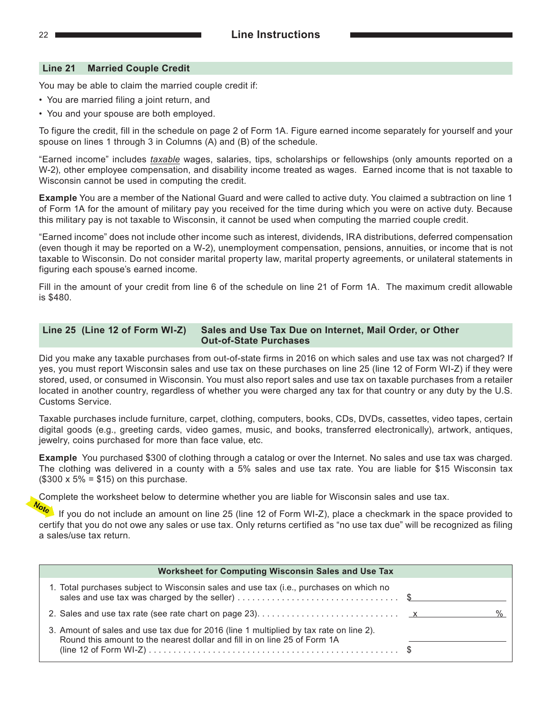#### **Line 21 Married Couple Credit**

You may be able to claim the married couple credit if:

- You are married filing a joint return, and
- You and your spouse are both employed.

To figure the credit, fill in the schedule on page 2 of Form 1A. Figure earned income separately for yourself and your spouse on lines 1 through 3 in Columns (A) and (B) of the schedule.

"Earned income" includes *taxable* wages, salaries, tips, scholarships or fellowships (only amounts reported on a W-2), other employee compensation, and disability income treated as wages. Earned income that is not taxable to Wisconsin cannot be used in computing the credit.

**Example** You are a member of the National Guard and were called to active duty. You claimed a subtraction on line 1 of Form 1A for the amount of military pay you received for the time during which you were on active duty. Because this military pay is not taxable to Wisconsin, it cannot be used when computing the married couple credit.

"Earned income" does not include other income such as interest, dividends, IRA distributions, deferred compensation (even though it may be reported on a W‑2), unemployment compensation, pensions, annuities, or income that is not taxable to Wisconsin. Do not consider marital property law, marital property agreements, or unilateral statements in figuring each spouse's earned income.

Fill in the amount of your credit from line 6 of the schedule on line 21 of Form 1A. The maximum credit allowable is \$480.

#### **Line 25 (Line 12 of Form WI‑Z) Sales and Use Tax Due on Internet, Mail Order, or Other Out‑of‑State Purchases**

Did you make any taxable purchases from out-of-state firms in 2016 on which sales and use tax was not charged? If yes, you must report Wisconsin sales and use tax on these purchases on line 25 (line 12 of Form WI‑Z) if they were stored, used, or consumed in Wisconsin. You must also report sales and use tax on taxable purchases from a retailer located in another country, regardless of whether you were charged any tax for that country or any duty by the U.S. Customs Service.

Taxable purchases include furniture, carpet, clothing, computers, books, CDs, DVDs, cassettes, video tapes, certain digital goods (e.g., greeting cards, video games, music, and books, transferred electronically), artwork, antiques, jewelry, coins purchased for more than face value, etc.

**Example** You purchased \$300 of clothing through a catalog or over the Internet. No sales and use tax was charged. The clothing was delivered in a county with a 5% sales and use tax rate. You are liable for \$15 Wisconsin tax  $($300 \times 5\% = $15)$  on this purchase.

Complete the worksheet below to determine whether you are liable for Wisconsin sales and use tax.

If you do not include an amount on line 25 (line 12 of Form WI‑Z), place a checkmark in the space provided to certify that you do not owe any sales or use tax. Only returns certified as "no use tax due" will be recognized as filing a sales/use tax return.

| Worksheet for Computing Wisconsin Sales and Use Tax                                                                                                                 |      |
|---------------------------------------------------------------------------------------------------------------------------------------------------------------------|------|
| 1. Total purchases subject to Wisconsin sales and use tax (i.e., purchases on which no                                                                              |      |
|                                                                                                                                                                     | $\%$ |
| 3. Amount of sales and use tax due for 2016 (line 1 multiplied by tax rate on line 2).<br>Round this amount to the nearest dollar and fill in on line 25 of Form 1A |      |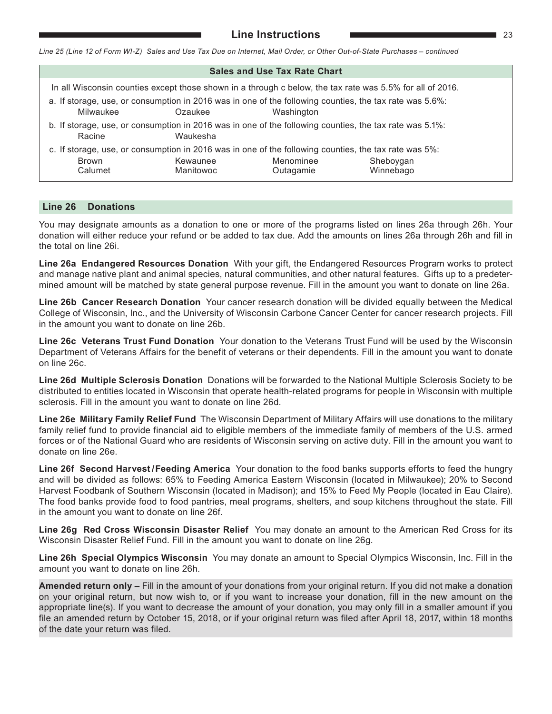*Line 25 (Line 12 of Form WI-Z) Sales and Use Tax Due on Internet, Mail Order, or Other Out-of-State Purchases – continued*

| <b>Sales and Use Tax Rate Chart</b>                                                                                                           |                                                                                                                     |           |           |  |  |  |  |  |  |  |
|-----------------------------------------------------------------------------------------------------------------------------------------------|---------------------------------------------------------------------------------------------------------------------|-----------|-----------|--|--|--|--|--|--|--|
| In all Wisconsin counties except those shown in a through c below, the tax rate was 5.5% for all of 2016.                                     |                                                                                                                     |           |           |  |  |  |  |  |  |  |
| a. If storage, use, or consumption in 2016 was in one of the following counties, the tax rate was 5.6%:<br>Milwaukee<br>Ozaukee<br>Washington |                                                                                                                     |           |           |  |  |  |  |  |  |  |
| Racine                                                                                                                                        | b. If storage, use, or consumption in 2016 was in one of the following counties, the tax rate was 5.1%:<br>Waukesha |           |           |  |  |  |  |  |  |  |
|                                                                                                                                               | c. If storage, use, or consumption in 2016 was in one of the following counties, the tax rate was 5%:               |           |           |  |  |  |  |  |  |  |
| Brown                                                                                                                                         | Kewaunee                                                                                                            | Menominee | Sheboygan |  |  |  |  |  |  |  |
| Calumet                                                                                                                                       | Manitowoc                                                                                                           | Outagamie | Winnebago |  |  |  |  |  |  |  |

#### **Line 26 Donations**

You may designate amounts as a donation to one or more of the programs listed on lines 26a through 26h. Your donation will either reduce your refund or be added to tax due. Add the amounts on lines 26a through 26h and fill in the total on line 26i.

**Line 26a Endangered Resources Donation** With your gift, the Endangered Resources Program works to protect and manage native plant and animal species, natural communities, and other natural features. Gifts up to a predetermined amount will be matched by state general purpose revenue. Fill in the amount you want to donate on line 26a.

**Line 26b Cancer Research Donation** Your cancer research donation will be divided equally between the Medical College of Wisconsin, Inc., and the University of Wisconsin Carbone Cancer Center for cancer research projects. Fill in the amount you want to donate on line 26b.

**Line 26c Veterans Trust Fund Donation** Your donation to the Veterans Trust Fund will be used by the Wisconsin Department of Veterans Affairs for the benefit of veterans or their dependents. Fill in the amount you want to donate on line 26c.

**Line 26d Multiple Sclerosis Donation** Donations will be forwarded to the National Multiple Sclerosis Society to be distributed to entities located in Wisconsin that operate health-related programs for people in Wisconsin with multiple sclerosis. Fill in the amount you want to donate on line 26d.

**Line 26e Military Family Relief Fund** The Wisconsin Department of Military Affairs will use donations to the military family relief fund to provide financial aid to eligible members of the immediate family of members of the U.S. armed forces or of the National Guard who are residents of Wisconsin serving on active duty. Fill in the amount you want to donate on line 26e.

**Line 26f Second Harvest / Feeding America** Your donation to the food banks supports efforts to feed the hungry and will be divided as follows: 65% to Feeding America Eastern Wisconsin (located in Milwaukee); 20% to Second Harvest Foodbank of Southern Wisconsin (located in Madison); and 15% to Feed My People (located in Eau Claire). The food banks provide food to food pantries, meal programs, shelters, and soup kitchens throughout the state. Fill in the amount you want to donate on line 26f.

**Line 26g Red Cross Wisconsin Disaster Relief** You may donate an amount to the American Red Cross for its Wisconsin Disaster Relief Fund. Fill in the amount you want to donate on line 26g.

**Line 26h Special Olympics Wisconsin** You may donate an amount to Special Olympics Wisconsin, Inc. Fill in the amount you want to donate on line 26h.

**Amended return only –** Fill in the amount of your donations from your original return. If you did not make a donation on your original return, but now wish to, or if you want to increase your donation, fill in the new amount on the appropriate line(s). If you want to decrease the amount of your donation, you may only fill in a smaller amount if you file an amended return by October 15, 2018, or if your original return was filed after April 18, 2017, within 18 months of the date your return was filed.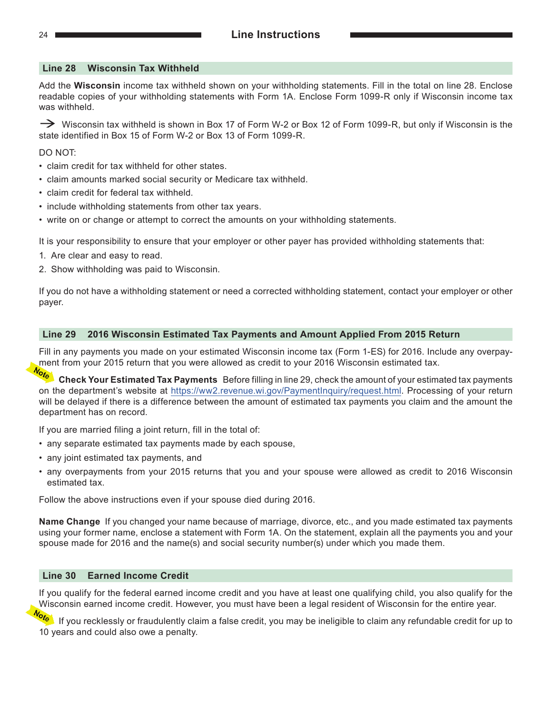#### **Line 28 Wisconsin Tax Withheld**

Add the **Wisconsin** income tax withheld shown on your withholding statements. Fill in the total on line 28. Enclose readable copies of your withholding statements with Form 1A. Enclose Form 1099‑R only if Wisconsin income tax was withheld.

→ Wisconsin tax withheld is shown in Box 17 of Form W-2 or Box 12 of Form 1099-R, but only if Wisconsin is the state identified in Box 15 of Form W-2 or Box 13 of Form 1099‑R.

DO NOT:

- claim credit for tax withheld for other states.
- claim amounts marked social security or Medicare tax withheld.
- claim credit for federal tax withheld.
- include withholding statements from other tax years.
- write on or change or attempt to correct the amounts on your withholding statements.

It is your responsibility to ensure that your employer or other payer has provided withholding statements that:

- 1. Are clear and easy to read.
- 2. Show withholding was paid to Wisconsin.

If you do not have a withholding statement or need a corrected withholding statement, contact your employer or other payer.

#### **Line 29 2016 Wisconsin Estimated Tax Payments and Amount Applied From 2015 Return**

Fill in any payments you made on your estimated Wisconsin income tax (Form 1‑ES) for 2016. Include any overpayment from your 2015 return that you were allowed as credit to your 2016 Wisconsin estimated tax.

**Check Your Estimated Tax Payments** Before filling in line 29, check the amount of your estimated tax payments on the department's website at <https://ww2.revenue.wi.gov/PaymentInquiry/request.html>. Processing of your return will be delayed if there is a difference between the amount of estimated tax payments you claim and the amount the department has on record.

If you are married filing a joint return, fill in the total of:

- any separate estimated tax payments made by each spouse,
- any joint estimated tax payments, and
- any overpayments from your 2015 returns that you and your spouse were allowed as credit to 2016 Wisconsin estimated tax.

Follow the above instructions even if your spouse died during 2016.

**Name Change** If you changed your name because of marriage, divorce, etc., and you made estimated tax payments using your former name, enclose a statement with Form 1A. On the statement, explain all the payments you and your spouse made for 2016 and the name(s) and social security number(s) under which you made them.

#### **Line 30 Earned Income Credit**

If you qualify for the federal earned income credit and you have at least one qualifying child, you also qualify for the Wisconsin earned income credit. However, you must have been a legal resident of Wisconsin for the entire year.

<sup>Iote</sup> If you recklessly or fraudulently claim a false credit, you may be ineligible to claim any refundable credit for up to 10 years and could also owe a penalty.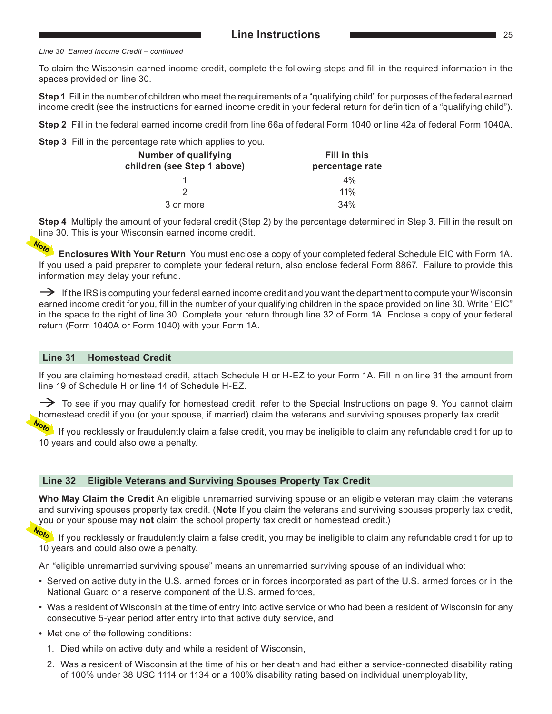#### *Line 30 Earned Income Credit – continued*

To claim the Wisconsin earned income credit, complete the following steps and fill in the required information in the spaces provided on line 30.

**Step 1** Fill in the number of children who meet the requirements of a "qualifying child" for purposes of the federal earned income credit (see the instructions for earned income credit in your federal return for definition of a "qualifying child").

**Step 2** Fill in the federal earned income credit from line 66a of federal Form 1040 or line 42a of federal Form 1040A.

**Step 3** Fill in the percentage rate which applies to you.

| <b>Number of qualifying</b><br>children (see Step 1 above) | Fill in this<br>percentage rate |
|------------------------------------------------------------|---------------------------------|
|                                                            | $4\%$                           |
|                                                            | 11%                             |
| 3 or more                                                  | 34%                             |

**Step 4** Multiply the amount of your federal credit (Step 2) by the percentage determined in Step 3. Fill in the result on line 30. This is your Wisconsin earned income credit.<br> $\frac{N_{\text{max}}}{N_{\text{max}}}$ 

**Enclosures With Your Return** You must enclose a copy of your completed federal Schedule EIC with Form 1A. If you used a paid preparer to complete your federal return, also enclose federal Form 8867. Failure to provide this information may delay your refund.

 $\rightarrow$  If the IRS is computing your federal earned income credit and you want the department to compute your Wisconsin earned income credit for you, fill in the number of your qualifying children in the space provided on line 30. Write "EIC" in the space to the right of line 30. Complete your return through line 32 of Form 1A. Enclose a copy of your federal return (Form 1040A or Form 1040) with your Form 1A.

#### **Line 31 Homestead Credit**

If you are claiming homestead credit, attach Schedule H or H‑EZ to your Form 1A. Fill in on line 31 the amount from line 19 of Schedule H or line 14 of Schedule H-EZ.

 $\rightarrow$  To see if you may qualify for homestead credit, refer to the Special Instructions on page 9. You cannot claim homestead credit if you (or your spouse, if married) claim the veterans and surviving spouses property tax credit.

If you recklessly or fraudulently claim a false credit, you may be ineligible to claim any refundable credit for up to 10 years and could also owe a penalty.

#### **Line 32 Eligible Veterans and Surviving Spouses Property Tax Credit**

**Who May Claim the Credit** An eligible unremarried surviving spouse or an eligible veteran may claim the veterans and surviving spouses property tax credit. (**Note** If you claim the veterans and surviving spouses property tax credit, you or your spouse may **not** claim the school property tax credit or homestead credit.)

If you recklessly or fraudulently claim a false credit, you may be ineligible to claim any refundable credit for up to 10 years and could also owe a penalty.

An "eligible unremarried surviving spouse" means an unremarried surviving spouse of an individual who:

- Served on active duty in the U.S. armed forces or in forces incorporated as part of the U.S. armed forces or in the National Guard or a reserve component of the U.S. armed forces,
- Was a resident of Wisconsin at the time of entry into active service or who had been a resident of Wisconsin for any consecutive 5-year period after entry into that active duty service, and
- Met one of the following conditions:
	- 1. Died while on active duty and while a resident of Wisconsin,
	- 2. Was a resident of Wisconsin at the time of his or her death and had either a service-connected disability rating of 100% under 38 USC 1114 or 1134 or a 100% disability rating based on individual unemployability,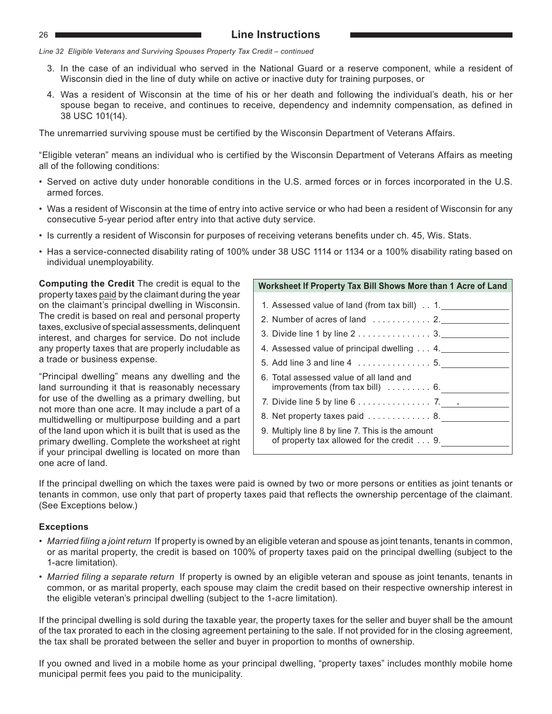### 26 **Line Instructions**

*Line 32 Eligible Veterans and Surviving Spouses Property Tax Credit – continued*

- 3. In the case of an individual who served in the National Guard or a reserve component, while a resident of Wisconsin died in the line of duty while on active or inactive duty for training purposes, or
- 4. Was a resident of Wisconsin at the time of his or her death and following the individual's death, his or her spouse began to receive, and continues to receive, dependency and indemnity compensation, as defined in 38 USC 101(14).

The unremarried surviving spouse must be certified by the Wisconsin Department of Veterans Affairs.

"Eligible veteran" means an individual who is certified by the Wisconsin Department of Veterans Affairs as meeting all of the following conditions:

- Served on active duty under honorable conditions in the U.S. armed forces or in forces incorporated in the U.S. armed forces.
- Was a resident of Wisconsin at the time of entry into active service or who had been a resident of Wisconsin for any consecutive 5‑year period after entry into that active duty service.
- Is currently a resident of Wisconsin for purposes of receiving veterans benefits under ch. 45, Wis. Stats.
- Has a service-connected disability rating of 100% under 38 USC 1114 or 1134 or a 100% disability rating based on individual unemployability.

**Computing the Credit** The credit is equal to the property taxes paid by the claimant during the year on the claimant's principal dwelling in Wisconsin. The credit is based on real and personal property taxes, exclusive of special assessments, delinquent interest, and charges for service. Do not include any property taxes that are properly includable as a trade or business expense.

"Principal dwelling" means any dwelling and the land surrounding it that is reasonably necessary for use of the dwelling as a primary dwelling, but not more than one acre. It may include a part of a multidwelling or multipurpose building and a part of the land upon which it is built that is used as the primary dwelling. Complete the worksheet at right if your principal dwelling is located on more than one acre of land.

| Worksheet If Property Tax Bill Shows More than 1 Acre of Land                                  |
|------------------------------------------------------------------------------------------------|
| 1. Assessed value of land (from tax bill) 1.                                                   |
|                                                                                                |
|                                                                                                |
| 4. Assessed value of principal dwelling  4.                                                    |
| 5. Add line 3 and line 4 5.                                                                    |
| 6. Total assessed value of all land and<br>improvements (from tax bill) $\dots \dots \dots$ 6. |
| 7. Divide line 5 by line $6 \ldots \ldots \ldots \ldots \ldots$ 7. $\ldots$                    |
| 8. Net property taxes paid 8.                                                                  |
| 9. Multiply line 8 by line 7. This is the amount<br>of property tax allowed for the credit 9.  |

If the principal dwelling on which the taxes were paid is owned by two or more persons or entities as joint tenants or tenants in common, use only that part of property taxes paid that reflects the ownership percentage of the claimant. (See Exceptions below.)

#### **Exceptions**

- *• Married filing a joint return* If property is owned by an eligible veteran and spouse as joint tenants, tenants in common, or as marital property, the credit is based on 100% of property taxes paid on the principal dwelling (subject to the 1‑acre limitation).
- *• Married filing a separate return* If property is owned by an eligible veteran and spouse as joint tenants, tenants in common, or as marital property, each spouse may claim the credit based on their respective ownership interest in the eligible veteran's principal dwelling (subject to the 1‑acre limitation).

If the principal dwelling is sold during the taxable year, the property taxes for the seller and buyer shall be the amount of the tax prorated to each in the closing agreement pertaining to the sale. If not provided for in the closing agreement, the tax shall be prorated between the seller and buyer in proportion to months of ownership.

If you owned and lived in a mobile home as your principal dwelling, "property taxes" includes monthly mobile home municipal permit fees you paid to the municipality.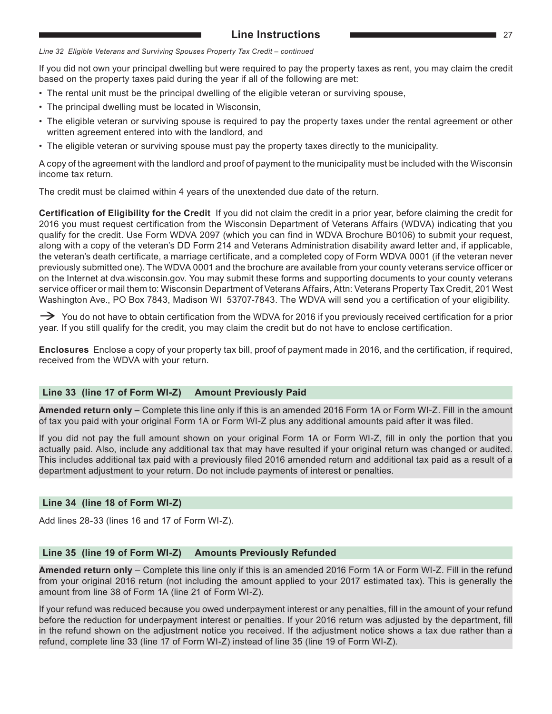#### **Line Instructions** 27

*Line 32 Eligible Veterans and Surviving Spouses Property Tax Credit – continued*

If you did not own your principal dwelling but were required to pay the property taxes as rent, you may claim the credit based on the property taxes paid during the year if all of the following are met:

- The rental unit must be the principal dwelling of the eligible veteran or surviving spouse,
- The principal dwelling must be located in Wisconsin,
- The eligible veteran or surviving spouse is required to pay the property taxes under the rental agreement or other written agreement entered into with the landlord, and
- The eligible veteran or surviving spouse must pay the property taxes directly to the municipality.

A copy of the agreement with the landlord and proof of payment to the municipality must be included with the Wisconsin income tax return.

The credit must be claimed within 4 years of the unextended due date of the return.

**Certification of Eligibility for the Credit** If you did not claim the credit in a prior year, before claiming the credit for 2016 you must request certification from the Wisconsin Department of Veterans Affairs (WDVA) indicating that you qualify for the credit. Use Form WDVA 2097 (which you can find in WDVA Brochure B0106) to submit your request, along with a copy of the veteran's DD Form 214 and Veterans Administration disability award letter and, if applicable, the veteran's death certificate, a marriage certificate, and a completed copy of Form WDVA 0001 (if the veteran never previously submitted one). The WDVA 0001 and the brochure are available from your county veterans service officer or on the Internet at [dva.wisconsin.g](https://dva.wi.gov/Pages/Home.aspx)ov. You may submit these forms and supporting documents to your county veterans service officer or mail them to: Wisconsin Department of Veterans Affairs, Attn: Veterans Property Tax Credit, 201 West Washington Ave., PO Box 7843, Madison WI 53707-7843. The WDVA will send you a certification of your eligibility.

 $\rightarrow$  You do not have to obtain certification from the WDVA for 2016 if you previously received certification for a prior year. If you still qualify for the credit, you may claim the credit but do not have to enclose certification.

**Enclosures** Enclose a copy of your property tax bill, proof of payment made in 2016, and the certification, if required, received from the WDVA with your return.

#### **Line 33 (line 17 of Form WI‑Z) Amount Previously Paid**

**Amended return only –** Complete this line only if this is an amended 2016 Form 1A or Form WI‑Z. Fill in the amount of tax you paid with your original Form 1A or Form WI‑Z plus any additional amounts paid after it was filed.

If you did not pay the full amount shown on your original Form 1A or Form WI-Z, fill in only the portion that you actually paid. Also, include any additional tax that may have resulted if your original return was changed or audited. This includes additional tax paid with a previously filed 2016 amended return and additional tax paid as a result of a department adjustment to your return. Do not include payments of interest or penalties.

#### **Line 34 (line 18 of Form WI‑Z)**

Add lines 28‑33 (lines 16 and 17 of Form WI‑Z).

#### **Line 35 (line 19 of Form WI‑Z) Amounts Previously Refunded**

**Amended return only** – Complete this line only if this is an amended 2016 Form 1A or Form WI‑Z. Fill in the refund from your original 2016 return (not including the amount applied to your 2017 estimated tax). This is generally the amount from line 38 of Form 1A (line 21 of Form WI‑Z).

If your refund was reduced because you owed underpayment interest or any penalties, fill in the amount of your refund before the reduction for underpayment interest or penalties. If your 2016 return was adjusted by the department, fill in the refund shown on the adjustment notice you received. If the adjustment notice shows a tax due rather than a refund, complete line 33 (line 17 of Form WI‑Z) instead of line 35 (line 19 of Form WI‑Z).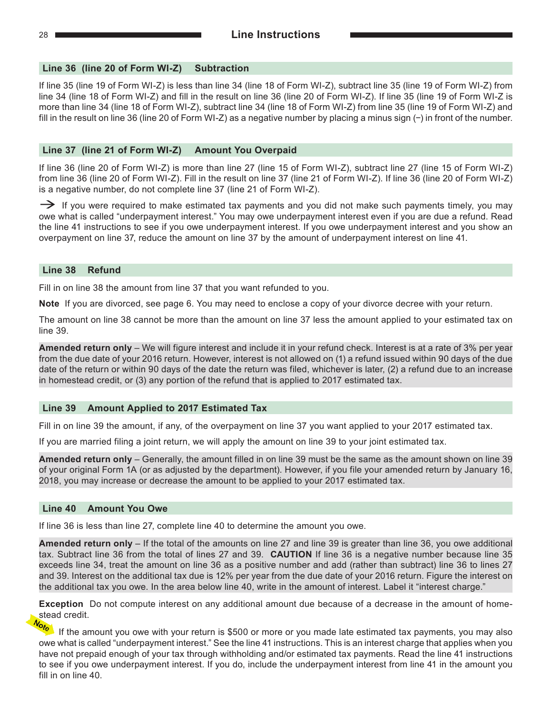#### **Line 36 (line 20 of Form WI‑Z) Subtraction**

If line 35 (line 19 of Form WI‑Z) is less than line 34 (line 18 of Form WI‑Z), subtract line 35 (line 19 of Form WI‑Z) from line 34 (line 18 of Form WI‑Z) and fill in the result on line 36 (line 20 of Form WI‑Z). If line 35 (line 19 of Form WI‑Z is more than line 34 (line 18 of Form WI‑Z), subtract line 34 (line 18 of Form WI‑Z) from line 35 (line 19 of Form WI‑Z) and fill in the result on line 36 (line 20 of Form WI‑Z) as a negative number by placing a minus sign (−) in front of the number.

#### **Line 37 (line 21 of Form WI‑Z) Amount You Overpaid**

If line 36 (line 20 of Form WI‑Z) is more than line 27 (line 15 of Form WI‑Z), subtract line 27 (line 15 of Form WI‑Z) from line 36 (line 20 of Form WI‑Z). Fill in the result on line 37 (line 21 of Form WI‑Z). If line 36 (line 20 of Form WI‑Z) is a negative number, do not complete line 37 (line 21 of Form WI‑Z).

 $\rightarrow$  If you were required to make estimated tax payments and you did not make such payments timely, you may owe what is called "underpayment interest." You may owe underpayment interest even if you are due a refund. Read the line 41 instructions to see if you owe underpayment interest. If you owe underpayment interest and you show an overpayment on line 37, reduce the amount on line 37 by the amount of underpayment interest on line 41.

#### **Line 38 Refund**

Fill in on line 38 the amount from line 37 that you want refunded to you.

**Note** If you are divorced, see page 6. You may need to enclose a copy of your divorce decree with your return.

The amount on line 38 cannot be more than the amount on line 37 less the amount applied to your estimated tax on line 39.

**Amended return only** – We will figure interest and include it in your refund check. Interest is at a rate of 3% per year from the due date of your 2016 return. However, interest is not allowed on (1) a refund issued within 90 days of the due date of the return or within 90 days of the date the return was filed, whichever is later, (2) a refund due to an increase in homestead credit, or (3) any portion of the refund that is applied to 2017 estimated tax.

#### **Line 39 Amount Applied to 2017 Estimated Tax**

Fill in on line 39 the amount, if any, of the overpayment on line 37 you want applied to your 2017 estimated tax.

If you are married filing a joint return, we will apply the amount on line 39 to your joint estimated tax.

**Amended return only** – Generally, the amount filled in on line 39 must be the same as the amount shown on line 39 of your original Form 1A (or as adjusted by the department). However, if you file your amended return by January 16, 2018, you may increase or decrease the amount to be applied to your 2017 estimated tax.

#### **Line 40 Amount You Owe**

If line 36 is less than line 27, complete line 40 to determine the amount you owe.

**Amended return only** – If the total of the amounts on line 27 and line 39 is greater than line 36, you owe additional tax. Subtract line 36 from the total of lines 27 and 39. **CAUTION** If line 36 is a negative number because line 35 exceeds line 34, treat the amount on line 36 as a positive number and add (rather than subtract) line 36 to lines 27 and 39. Interest on the additional tax due is 12% per year from the due date of your 2016 return. Figure the interest on the additional tax you owe. In the area below line 40, write in the amount of interest. Label it "interest charge."

**Exception** Do not compute interest on any additional amount due because of a decrease in the amount of homestead credit.

If the amount you owe with your return is \$500 or more or you made late estimated tax payments, you may also owe what is called "underpayment interest." See the line 41 instructions. This is an interest charge that applies when you have not prepaid enough of your tax through withholding and/or estimated tax payments. Read the line 41 instructions to see if you owe underpayment interest. If you do, include the underpayment interest from line 41 in the amount you fill in on line 40.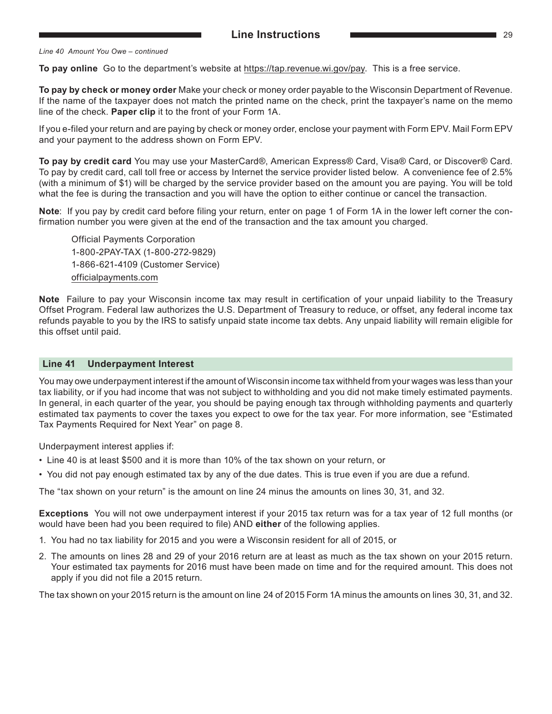#### *Line 40 Amount You Owe – continued*

**To pay online** Go to the department's website at https://tap.revenue.wi.gov/pay. This is a free service.

**To pay by check or money order** Make your check or money order payable to the Wisconsin Department of Revenue. If the name of the taxpayer does not match the printed name on the check, print the taxpayer's name on the memo line of the check. **Paper clip** it to the front of your Form 1A.

If you e-filed your return and are paying by check or money order, enclose your payment with Form EPV. Mail Form EPV and your payment to the address shown on Form EPV.

**To pay by credit card** You may use your MasterCard®, American Express® Card, Visa® Card, or Discover® Card. To pay by credit card, call toll free or access by Internet the service provider listed below. A convenience fee of 2.5% (with a minimum of \$1) will be charged by the service provider based on the amount you are paying. You will be told what the fee is during the transaction and you will have the option to either continue or cancel the transaction.

**Note**: If you pay by credit card before filing your return, enter on page 1 of Form 1A in the lower left corner the confirmation number you were given at the end of the transaction and the tax amount you charged.

Official Payments Corporation 1-800-2PAY-TAX (1-800-272-9829) 1-866-621-4109 (Customer Service) [officialpayments.com](http://www.officialpayments.com)

**Note** Failure to pay your Wisconsin income tax may result in certification of your unpaid liability to the Treasury Offset Program. Federal law authorizes the U.S. Department of Treasury to reduce, or offset, any federal income tax refunds payable to you by the IRS to satisfy unpaid state income tax debts. Any unpaid liability will remain eligible for this offset until paid.

#### **Line 41 Underpayment Interest**

You may owe underpayment interest if the amount of Wisconsin income tax withheld from your wages was less than your tax liability, or if you had income that was not subject to withholding and you did not make timely estimated payments. In general, in each quarter of the year, you should be paying enough tax through withholding payments and quarterly estimated tax payments to cover the taxes you expect to owe for the tax year. For more information, see "Estimated Tax Payments Required for Next Year" on page 8.

Underpayment interest applies if:

- Line 40 is at least \$500 and it is more than 10% of the tax shown on your return, or
- You did not pay enough estimated tax by any of the due dates. This is true even if you are due a refund.

The "tax shown on your return" is the amount on line 24 minus the amounts on lines 30, 31, and 32.

**Exceptions** You will not owe underpayment interest if your 2015 tax return was for a tax year of 12 full months (or would have been had you been required to file) AND **either** of the following applies.

- 1. You had no tax liability for 2015 and you were a Wisconsin resident for all of 2015, or
- 2. The amounts on lines 28 and 29 of your 2016 return are at least as much as the tax shown on your 2015 return. Your estimated tax payments for 2016 must have been made on time and for the required amount. This does not apply if you did not file a 2015 return.

The tax shown on your 2015 return is the amount on line 24 of 2015 Form 1A minus the amounts on lines 30, 31, and 32.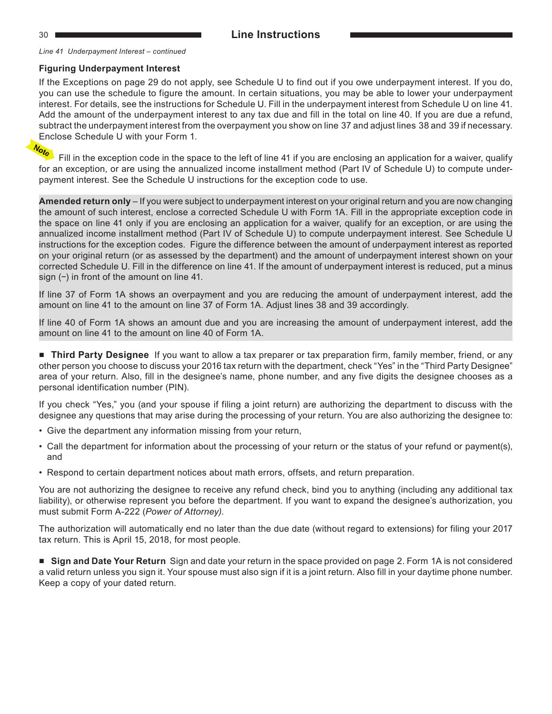*Line 41 Underpayment Interest – continued*

#### **Figuring Underpayment Interest**

If the Exceptions on page 29 do not apply, see Schedule U to find out if you owe underpayment interest. If you do, you can use the schedule to figure the amount. In certain situations, you may be able to lower your underpayment interest. For details, see the instructions for Schedule U. Fill in the underpayment interest from Schedule U on line 41. Add the amount of the underpayment interest to any tax due and fill in the total on line 40. If you are due a refund, subtract the underpayment interest from the overpayment you show on line 37 and adjust lines 38 and 39 if necessary. Enclose Schedule U with your Form 1.<br> $\frac{N_{\text{max}}}{N_{\text{max}}}$ 

Fill in the exception code in the space to the left of line 41 if you are enclosing an application for a waiver, qualify for an exception, or are using the annualized income installment method (Part IV of Schedule U) to compute underpayment interest. See the Schedule U instructions for the exception code to use.

**Amended return only** – If you were subject to underpayment interest on your original return and you are now changing the amount of such interest, enclose a corrected Schedule U with Form 1A. Fill in the appropriate exception code in the space on line 41 only if you are enclosing an application for a waiver, qualify for an exception, or are using the annualized income installment method (Part IV of Schedule U) to compute underpayment interest. See Schedule U instructions for the exception codes. Figure the difference between the amount of underpayment interest as reported on your original return (or as assessed by the department) and the amount of underpayment interest shown on your corrected Schedule U. Fill in the difference on line 41. If the amount of underpayment interest is reduced, put a minus sign (−) in front of the amount on line 41.

If line 37 of Form 1A shows an overpayment and you are reducing the amount of underpayment interest, add the amount on line 41 to the amount on line 37 of Form 1A. Adjust lines 38 and 39 accordingly.

If line 40 of Form 1A shows an amount due and you are increasing the amount of underpayment interest, add the amount on line 41 to the amount on line 40 of Form 1A.

■ **Third Party Designee** If you want to allow a tax preparer or tax preparation firm, family member, friend, or any other person you choose to discuss your 2016 tax return with the department, check "Yes" in the "Third Party Designee" area of your return. Also, fill in the designee's name, phone number, and any five digits the designee chooses as a personal identification number (PIN).

If you check "Yes," you (and your spouse if filing a joint return) are authorizing the department to discuss with the designee any questions that may arise during the processing of your return. You are also authorizing the designee to:

- Give the department any information missing from your return,
- Call the department for information about the processing of your return or the status of your refund or payment(s), and
- Respond to certain department notices about math errors, offsets, and return preparation.

You are not authorizing the designee to receive any refund check, bind you to anything (including any additional tax liability), or otherwise represent you before the department. If you want to expand the designee's authorization, you must submit Form A‑222 (*Power of Attorney)*.

The authorization will automatically end no later than the due date (without regard to extensions) for filing your 2017 tax return. This is April 15, 2018, for most people.

■ Sign and Date Your Return Sign and date your return in the space provided on page 2. Form 1A is not considered a valid return unless you sign it. Your spouse must also sign if it is a joint return. Also fill in your daytime phone number. Keep a copy of your dated return.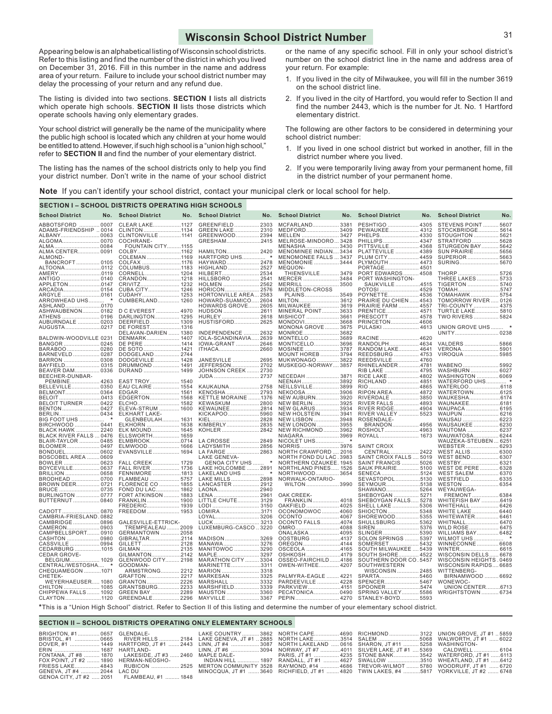#### **Wisconsin School District Number**

<span id="page-30-0"></span>Appearing below is an alphabetical listing of Wisconsin school districts. Refer to this listing and find the number of the district in which you lived on December 31, 2016. Fill in this number in the name and address area of your return. Failure to include your school district number may delay the processing of your return and any refund due.

The listing is divided into two sections. **SECTION I** lists all districts which operate high schools. **SECTION II** lists those districts which operate schools having only elementary grades.

Your school district will generally be the name of the municipality where the public high school is located which any children at your home would be entitled to attend. However, if such high school is a "union high school," refer to **SECTION II** and find the number of your elementary district.

The listing has the names of the school districts only to help you find your district number. Don't write in the name of your school district or the name of any specific school. Fill in only your school district's number on the school district line in the name and address area of your return. For example:

- 1. If you lived in the city of Milwaukee, you will fill in the number 3619 on the school district line.
- 2. If you lived in the city of Hartford, you would refer to Section II and find the number 2443, which is the number for Jt. No. 1 Hartford elementary district.

The following are other factors to be considered in determining your school district number:

- 1. If you lived in one school district but worked in another, fill in the district number where you lived.
- 2. If you were temporarily living away from your permanent home, fill in the district number of your permanent home.

**Note** If you can't identify your school district, contact your municipal clerk or local school for help.

| <b>School District</b><br><b>School District</b><br>No. School District<br><b>School District</b><br><b>School District</b><br><b>School District</b><br>No.<br>No.<br>No.<br>No.<br>No.<br>ABBOTSFORD<br>STEVENS POINT<br>0007<br>CLEAR LAKE1127<br><b>GREENFIELD</b><br>2303<br><b>MCFARLAND</b><br>3381<br>PESHTIGO  4305<br>5607<br>CLINTON 1134<br>ADAMS-FRIENDSHIP  0014<br>GREEN LAKE 2310<br>MEDFORD 3409<br>PEWAUKEE 4312<br>STOCKBRIDGE<br>5614<br>CLINTONVILLE  1141<br>GREENWOOD 2394<br>PHELPS 4330<br>ALBANY 0063<br>MELLEN<br>3427<br>STOUGHTON  5621<br>ALGOMA 0070<br>COCHRANE-<br>GRESHAM2415<br>MELROSE-MINDORO3428<br>PHILLIPS 4347<br>STRATFORD  5628<br><b>FOUNTAIN CITY1155</b><br>MENASHA 3430<br>PITTSVILLE 4368<br>STURGEON BAY  5642<br>HAMILTON 2420<br>ALMA CENTER 0091<br>COLBY1162<br>MENOMINEE INDIAN3434<br>PLATTEVILLE  4389<br>SUN PRAIRIE 5656<br>HARTFORD UHS *<br>MENOMONEE FALLS  3437<br>SUPERIOR  5663<br>ALMOND-<br>COLEMAN 1169<br>PLUM CITY 4459<br>COLFAX 1176<br>PLYMOUTH  4473<br>SURING 5670<br>BANCROFT 0105<br>HAYWARD 2478<br>MENOMONIE  3444<br>ALTOONA0112<br>HIGHLAND  2527<br>PORTAGE 4501<br>COLUMBUS1183<br>MEQUON-<br>THORP  5726<br>AMERY 0119<br>HILBERT 2534<br>PORT EDWARDS 4508<br>CORNELL 1204<br>THIENSVILLE 3479<br>HILLSBORO  2541<br>PORT WASHINGTON-<br>THREE LAKES  5733<br>CRANDON1218<br>MERCER  3484<br>APPLETON0147<br>HOLMEN  2562<br>SAUKVILLE4515<br>TIGERTON  5740<br>CRIVITZ 1232<br>MERRILL 3500<br>CUBA CITY 1246<br>HORICON 2576<br>MIDDLETON-CROSS<br>POTOSI  4529<br>TOMAH5747<br>TOMAHAWK 5754<br>ARGYLE 0161<br>CUDAHY 1253<br>HORTONVILLE AREA2583<br>PLAINS 3549<br>POYNETTE 4536<br>HOWARD-SUAMICO2604<br>TOMORROW RIVER 0126<br>ARROWHEAD UHS *<br>CUMBERLAND 1260<br>PRAIRIE DU CHIEN  4543<br>TRI-COUNTY  4375<br>ASHLAND0170<br>HOWARDS GROVE 2605<br>MILWAUKEE 3619<br><b>PRAIRIE FARM  4557</b><br>D C EVEREST  4970<br>MINERAL POINT 3633<br><b>TURTLE LAKE 5810</b><br>ASHWAUBENON 0182<br>HUDSON 2611<br>PRENTICE 4571<br>DARLINGTON 1295<br>MISHICOT  3661<br>TWO RIVERS  5824<br>ATHENS  0196<br>HURLEY 2618<br>PRESCOTT  4578<br>AUBURNDALE  0203<br>HUSTISFORD 2625<br>MONDOVI3668<br>PRINCETON 4606<br>DEERFIELD 1309<br>AUGUSTA0217<br>UNION GROVE UHS  *<br><b>MONONA GROVE  3675</b><br>PULASKI  4613<br>DE FOREST1316<br>MONROE 3682<br>DELAVAN-DARIEN  1380<br>INDEPENDENCE  2632<br>UNITY 0238<br>BALDWIN-WOODVILLE 0231<br>MONTELLO  3689<br>RACINE  4620<br>DENMARK 1407<br>IOLA-SCANDINAVIA2639<br>MONTICELLO 3696<br>RANDOLPH 4634<br>BANGOR  0245<br>DE PERE 1414<br>IOWA-GRANT  2646<br>VALDERS  5866<br>BARABOO  0280<br>ITHACA 2660<br>MOSINEE  3787<br>RANDOM LAKE 4641<br>VERONA 5901<br>DE SOTO 1421<br>DODGELAND 2744<br>MOUNT HOREB  3794<br>REEDSBURG  4753<br>VIROQUA  5985<br>BARNEVELD 0287<br>MUKWONAGO  3822<br>BARRON  0308<br>DODGEVILLE 1428<br>JANESVILLE  2695<br>REEDSVILLE 4760<br>JEFFERSON 2702<br>MUSKEGO-NORWAY 3857<br>BAYFIELD 0315<br>DRUMMOND  1491<br>RHINELANDER4781<br>WABENO  5992<br>RIB LAKE  4795<br>WASHBURN  6027<br>BEAVER DAM 0336<br>DURAND  1499<br>JOHNSON CREEK 2730<br>WASHINGTON  6069<br>BEECHER-DUNBAR-<br>JUDA  2737<br>NECEDAH  3871<br>RICE LAKE 4802<br>NEENAH 3892<br>RICHLAND  4851<br>WATERFORD UHS *<br>PEMBINE 4263<br>EAST TROY 1540<br>BELLEVILLE 0350<br>EAU CLAIRE  1554<br>KAUKAUNA 2758<br>NEILLSVILLE 3899<br>BELMONT 0364<br>EDGAR<br>KENOSHA  2793<br>NEKOOSA  3906<br>RIPON AREA 4872<br>WATERTOWN6125<br>1561<br>KETTLE MORAINE 1376<br>BELOIT0413<br>EDGERTON 1568<br>NEW AUBURN 3920<br>RIVERDALE  3850<br>WAUKESHA6174<br>RIVER FALLS  4893<br><b>BELOIT TURNER  0422</b><br>1582<br>KEWASKUM  2800<br>NEW BERLIN 3925<br>WAUNAKEE618<br>ELCHO.<br>BENTON 0427<br>ELEVA-STRUM  1600<br>KEWAUNEE2814<br>NEW GLARUS 3934<br>RIVER RIDGE 4904<br>WAUPACA  6195<br>RIVER VALLEY  5523<br><b>ELKHART LAKE-</b><br>KICKAPOO5960<br><b>NEW HOLSTEIN 3941</b><br>WAUPUN  6216<br>GLENBEULAH 1631<br>KIEL<br>2828<br>NEW LISBON  3948<br>ROSENDALE-<br>WAUSAU  6223<br>BIRCHWOOD  0441<br>ELKHORN  1638<br>NEW LONDON  3955<br>BRANDON 4956<br>WAUSAUKEE  6230<br>KIMBERLY 2835<br>BLACK HAWK  2240<br>KOHLER  2842<br><b>NEW RICHMOND 3962</b><br>ROSHOLT 4963<br>WAUTOMA  6237<br>ELK MOUND 1645<br>BLACK RIVER FALLS  0476<br>ELLSWORTH 1659<br>NIAGARA 3969<br>WAUWATOSA 6244<br>BLAIR-TAYLOR  0485<br>ELMBROOK0714<br>LA CROSSE  2849<br>WAUZEKA-STEUBEN  625'<br>BLOOMER 0497<br>ELMWOOD  1666<br>LADYSMITH  2856<br>NORRIS 3976<br><b>SAINT CROIX</b><br>WEBSTER  6293<br>EVANSVILLE 1694<br>CENTRAL 2422<br>LA FARGE  2863<br>NORTH CRAWFORD  2016<br>WEST ALLIS 6300<br>BOSCOBEL AREA  0609<br><b>LAKE GENEVA-</b><br>NORTH FOND DU LAC.3983<br>SAINT CROIX FALLS  5019<br>WEST BEND 6307<br>FALL CREEK 1729<br>NORTHERN OZAUKEE. 1945<br>SAINT FRANCIS  5026<br>BOWLER  0623<br>GENOA CITY UHS<br>$\star$<br>WESTBY 632<br>LAKE HOLCOMBE  2891<br>NORTHLAND PINES 1526<br>SAUK PRAIRIE 5100<br>WEST DE PERE  6328<br>BOYCEVILLE 0637<br>FALL RIVER  1736<br>FENNIMORE 1813<br>LAKELAND UHS  *<br>NORTHWOOD 3654<br>SENECA 5124<br>WEST SALEM 6370<br>FLAMBEAU  5757<br>LAKE MILLS  2898<br>WESTFIELD  6335<br>NORWALK-ONTARIO-<br>SEVASTOPOL5130<br><b>BRODHEAD</b><br>0700<br>LANCASTER  2912<br>WILTON  3990<br>SEYMOUR5138<br>WESTON  6354<br>BROWN DEER 0721<br>FLORENCE CO  1855<br>FOND DU LAC 1862<br>LAONA2940<br>SHAWANO 5264<br>BRUCE  0735<br>WEYAUWEGA-<br>BURLINGTON  0777<br>FORT ATKINSON  1883<br>LENA  2961<br>SHEBOYGAN  5271<br>FREMONT 6384<br>OAK CREEK-<br>BUTTERNUT  0840<br>FRANKLIN 1900<br>LITTLE CHUTE 3129<br>FRANKLIN 4018<br>SHEBOYGAN FALLS 5278<br>WHITEFISH BAY 6419<br>LODI  3150<br>OAKFIELD  4025<br>FREDERIC 1939<br>SHELL LAKE  5306<br>WHITEHALL 6426<br>FREEDOM 1953<br>OCONOMOWOC 4060<br>LOMIRA3171<br>SHIOCTON5348<br>WHITE LAKE 6440<br>CAMBRIA-FRIESLAND.0882<br>OCONTO  4067<br>SHOREWOOD 5355<br>LOYAL 3206<br>WHITEWATER 646<br>CAMBRIDGE  0896<br>GALESVILLE-ETTRICK-<br>OCONTO FALLS4074<br>SHULLSBURG 5362<br>WHITNALL 6470<br>LUCK  3213<br>TREMPEALEAU  2009<br>LUXEMBURG-CASCO3220<br>OMRO 4088<br>WILD ROSE 6475<br>CAMERON 0903<br>CAMPBELLSPORT 0910<br>GERMANTOWN  2058<br>ONALASKA  4095<br>WILLIAMS BAY 6482<br>SLINGER 5390<br>CASHTON 0980<br>GIBRALTAR2114<br>MADISON  3269<br>OOSTBURG 4137<br>SOLON SPRINGS  5397<br>WINNECONNE 6608<br>CASSVILLE  0994<br>GILLETT 2128<br>MANAWA 3276<br>OREGON4144<br>SOMERSET 5432<br>CEDARBURG1015<br>GILMAN 2135<br>MANITOWOC  3290<br>OSCEOLA 4165<br>SOUTH MILWAUKEE  5439<br>WINTER 6615<br>SOUTH SHORE 4522<br>CEDAR GROVE-<br>GILMANTON2142<br>MAPLE 3297<br>OSHKOSH4179<br>WISCONSIN DELLS 6678<br>GLENWOOD CITY 2198<br>OSSEO-FAIRCHILD4186<br>SOUTHERN DOOR CO.5457<br>WISCONSIN HEIGHTS . 0469<br>BELGIUM 1029<br><b>MARATHON CITY  3304</b><br>CENTRAL/WESTOSHA *<br>MARINETTE3311<br>OWEN-WITHEE 4207<br>SOUTHWESTERN<br>WISCONSIN RAPIDS 6685<br>GOODMAN-<br>ARMSTRONG 2212<br>CHEQUAMEGON 1071<br>MARION  3318<br>WISCONSIN 2485<br>WITTENBERG-<br>GRAFTON  2217<br>MARKESAN 3325<br>PALMYRA-EAGLE  4221<br>SPARTA5460<br>BIRNAMWOOD  6692<br>CHETEK-<br>WEYERHAEUSER 1080<br>MARSHALL  3332<br>PARDEEVILLE  4228<br>SPENCER 5467<br>WONEWOC-<br>GRANTON 2226<br>CHILTON  1085<br>CHIPPEWA FALLS  1092<br>GRANTSBURG 2233<br>MARSHFIELD3339<br>PARKVIEW4151<br>SPOONER5474<br>UNION CENTER6713<br>GREEN BAY  2289<br>PECATONICA 0490<br>MAUSTON  3360<br>SPRING VALLEY 5586<br><b>WRIGHTSTOWN  6734</b><br>GREENDALE 2296<br>CLAYTON1120<br>MAYVILLE  3367<br>STANLEY-BOYD 5593<br>*This is a "Union High School" district. Refer to Section II of this listing and determine the number of your elementary school district. |  | <b>SECTION I - SCHOOL DISTRICTS OPERATING HIGH SCHOOLS</b> |  |  |  |  |  |
|-------------------------------------------------------------------------------------------------------------------------------------------------------------------------------------------------------------------------------------------------------------------------------------------------------------------------------------------------------------------------------------------------------------------------------------------------------------------------------------------------------------------------------------------------------------------------------------------------------------------------------------------------------------------------------------------------------------------------------------------------------------------------------------------------------------------------------------------------------------------------------------------------------------------------------------------------------------------------------------------------------------------------------------------------------------------------------------------------------------------------------------------------------------------------------------------------------------------------------------------------------------------------------------------------------------------------------------------------------------------------------------------------------------------------------------------------------------------------------------------------------------------------------------------------------------------------------------------------------------------------------------------------------------------------------------------------------------------------------------------------------------------------------------------------------------------------------------------------------------------------------------------------------------------------------------------------------------------------------------------------------------------------------------------------------------------------------------------------------------------------------------------------------------------------------------------------------------------------------------------------------------------------------------------------------------------------------------------------------------------------------------------------------------------------------------------------------------------------------------------------------------------------------------------------------------------------------------------------------------------------------------------------------------------------------------------------------------------------------------------------------------------------------------------------------------------------------------------------------------------------------------------------------------------------------------------------------------------------------------------------------------------------------------------------------------------------------------------------------------------------------------------------------------------------------------------------------------------------------------------------------------------------------------------------------------------------------------------------------------------------------------------------------------------------------------------------------------------------------------------------------------------------------------------------------------------------------------------------------------------------------------------------------------------------------------------------------------------------------------------------------------------------------------------------------------------------------------------------------------------------------------------------------------------------------------------------------------------------------------------------------------------------------------------------------------------------------------------------------------------------------------------------------------------------------------------------------------------------------------------------------------------------------------------------------------------------------------------------------------------------------------------------------------------------------------------------------------------------------------------------------------------------------------------------------------------------------------------------------------------------------------------------------------------------------------------------------------------------------------------------------------------------------------------------------------------------------------------------------------------------------------------------------------------------------------------------------------------------------------------------------------------------------------------------------------------------------------------------------------------------------------------------------------------------------------------------------------------------------------------------------------------------------------------------------------------------------------------------------------------------------------------------------------------------------------------------------------------------------------------------------------------------------------------------------------------------------------------------------------------------------------------------------------------------------------------------------------------------------------------------------------------------------------------------------------------------------------------------------------------------------------------------------------------------------------------------------------------------------------------------------------------------------------------------------------------------------------------------------------------------------------------------------------------------------------------------------------------------------------------------------------------------------------------------------------------------------------------------------------------------------------------------------------------------------------------------------------------------------------------------------------------------------------------------------------------------------------------------------------------------------------------------------------------------------------------------------------------------------------------------------------------------------------------------------------------------------------------------------------------------------------------------------------------------------------------------------------------------------------------------------------------------------------------------------------------------------------------------------------------------------------------------------------------------------------------------------------------------------------------------------------------------------------------------------------------------------------------------------------------------------------------------------------------------------------------------------------------------------------------------------------------------------------------------------------------------------------------------------------------------------------------------------------------------------------------------------------------------------------------|--|------------------------------------------------------------|--|--|--|--|--|
|                                                                                                                                                                                                                                                                                                                                                                                                                                                                                                                                                                                                                                                                                                                                                                                                                                                                                                                                                                                                                                                                                                                                                                                                                                                                                                                                                                                                                                                                                                                                                                                                                                                                                                                                                                                                                                                                                                                                                                                                                                                                                                                                                                                                                                                                                                                                                                                                                                                                                                                                                                                                                                                                                                                                                                                                                                                                                                                                                                                                                                                                                                                                                                                                                                                                                                                                                                                                                                                                                                                                                                                                                                                                                                                                                                                                                                                                                                                                                                                                                                                                                                                                                                                                                                                                                                                                                                                                                                                                                                                                                                                                                                                                                                                                                                                                                                                                                                                                                                                                                                                                                                                                                                                                                                                                                                                                                                                                                                                                                                                                                                                                                                                                                                                                                                                                                                                                                                                                                                                                                                                                                                                                                                                                                                                                                                                                                                                                                                                                                                                                                                                                                                                                                                                                                                                                                                                                                                                                                                                                                                                                                                                                                                                                                                                                                                                                                                                                                                                                                                                                                                                                                                                                                                                                           |  |                                                            |  |  |  |  |  |
|                                                                                                                                                                                                                                                                                                                                                                                                                                                                                                                                                                                                                                                                                                                                                                                                                                                                                                                                                                                                                                                                                                                                                                                                                                                                                                                                                                                                                                                                                                                                                                                                                                                                                                                                                                                                                                                                                                                                                                                                                                                                                                                                                                                                                                                                                                                                                                                                                                                                                                                                                                                                                                                                                                                                                                                                                                                                                                                                                                                                                                                                                                                                                                                                                                                                                                                                                                                                                                                                                                                                                                                                                                                                                                                                                                                                                                                                                                                                                                                                                                                                                                                                                                                                                                                                                                                                                                                                                                                                                                                                                                                                                                                                                                                                                                                                                                                                                                                                                                                                                                                                                                                                                                                                                                                                                                                                                                                                                                                                                                                                                                                                                                                                                                                                                                                                                                                                                                                                                                                                                                                                                                                                                                                                                                                                                                                                                                                                                                                                                                                                                                                                                                                                                                                                                                                                                                                                                                                                                                                                                                                                                                                                                                                                                                                                                                                                                                                                                                                                                                                                                                                                                                                                                                                                           |  |                                                            |  |  |  |  |  |
|                                                                                                                                                                                                                                                                                                                                                                                                                                                                                                                                                                                                                                                                                                                                                                                                                                                                                                                                                                                                                                                                                                                                                                                                                                                                                                                                                                                                                                                                                                                                                                                                                                                                                                                                                                                                                                                                                                                                                                                                                                                                                                                                                                                                                                                                                                                                                                                                                                                                                                                                                                                                                                                                                                                                                                                                                                                                                                                                                                                                                                                                                                                                                                                                                                                                                                                                                                                                                                                                                                                                                                                                                                                                                                                                                                                                                                                                                                                                                                                                                                                                                                                                                                                                                                                                                                                                                                                                                                                                                                                                                                                                                                                                                                                                                                                                                                                                                                                                                                                                                                                                                                                                                                                                                                                                                                                                                                                                                                                                                                                                                                                                                                                                                                                                                                                                                                                                                                                                                                                                                                                                                                                                                                                                                                                                                                                                                                                                                                                                                                                                                                                                                                                                                                                                                                                                                                                                                                                                                                                                                                                                                                                                                                                                                                                                                                                                                                                                                                                                                                                                                                                                                                                                                                                                           |  |                                                            |  |  |  |  |  |
|                                                                                                                                                                                                                                                                                                                                                                                                                                                                                                                                                                                                                                                                                                                                                                                                                                                                                                                                                                                                                                                                                                                                                                                                                                                                                                                                                                                                                                                                                                                                                                                                                                                                                                                                                                                                                                                                                                                                                                                                                                                                                                                                                                                                                                                                                                                                                                                                                                                                                                                                                                                                                                                                                                                                                                                                                                                                                                                                                                                                                                                                                                                                                                                                                                                                                                                                                                                                                                                                                                                                                                                                                                                                                                                                                                                                                                                                                                                                                                                                                                                                                                                                                                                                                                                                                                                                                                                                                                                                                                                                                                                                                                                                                                                                                                                                                                                                                                                                                                                                                                                                                                                                                                                                                                                                                                                                                                                                                                                                                                                                                                                                                                                                                                                                                                                                                                                                                                                                                                                                                                                                                                                                                                                                                                                                                                                                                                                                                                                                                                                                                                                                                                                                                                                                                                                                                                                                                                                                                                                                                                                                                                                                                                                                                                                                                                                                                                                                                                                                                                                                                                                                                                                                                                                                           |  |                                                            |  |  |  |  |  |
|                                                                                                                                                                                                                                                                                                                                                                                                                                                                                                                                                                                                                                                                                                                                                                                                                                                                                                                                                                                                                                                                                                                                                                                                                                                                                                                                                                                                                                                                                                                                                                                                                                                                                                                                                                                                                                                                                                                                                                                                                                                                                                                                                                                                                                                                                                                                                                                                                                                                                                                                                                                                                                                                                                                                                                                                                                                                                                                                                                                                                                                                                                                                                                                                                                                                                                                                                                                                                                                                                                                                                                                                                                                                                                                                                                                                                                                                                                                                                                                                                                                                                                                                                                                                                                                                                                                                                                                                                                                                                                                                                                                                                                                                                                                                                                                                                                                                                                                                                                                                                                                                                                                                                                                                                                                                                                                                                                                                                                                                                                                                                                                                                                                                                                                                                                                                                                                                                                                                                                                                                                                                                                                                                                                                                                                                                                                                                                                                                                                                                                                                                                                                                                                                                                                                                                                                                                                                                                                                                                                                                                                                                                                                                                                                                                                                                                                                                                                                                                                                                                                                                                                                                                                                                                                                           |  |                                                            |  |  |  |  |  |
|                                                                                                                                                                                                                                                                                                                                                                                                                                                                                                                                                                                                                                                                                                                                                                                                                                                                                                                                                                                                                                                                                                                                                                                                                                                                                                                                                                                                                                                                                                                                                                                                                                                                                                                                                                                                                                                                                                                                                                                                                                                                                                                                                                                                                                                                                                                                                                                                                                                                                                                                                                                                                                                                                                                                                                                                                                                                                                                                                                                                                                                                                                                                                                                                                                                                                                                                                                                                                                                                                                                                                                                                                                                                                                                                                                                                                                                                                                                                                                                                                                                                                                                                                                                                                                                                                                                                                                                                                                                                                                                                                                                                                                                                                                                                                                                                                                                                                                                                                                                                                                                                                                                                                                                                                                                                                                                                                                                                                                                                                                                                                                                                                                                                                                                                                                                                                                                                                                                                                                                                                                                                                                                                                                                                                                                                                                                                                                                                                                                                                                                                                                                                                                                                                                                                                                                                                                                                                                                                                                                                                                                                                                                                                                                                                                                                                                                                                                                                                                                                                                                                                                                                                                                                                                                                           |  |                                                            |  |  |  |  |  |
|                                                                                                                                                                                                                                                                                                                                                                                                                                                                                                                                                                                                                                                                                                                                                                                                                                                                                                                                                                                                                                                                                                                                                                                                                                                                                                                                                                                                                                                                                                                                                                                                                                                                                                                                                                                                                                                                                                                                                                                                                                                                                                                                                                                                                                                                                                                                                                                                                                                                                                                                                                                                                                                                                                                                                                                                                                                                                                                                                                                                                                                                                                                                                                                                                                                                                                                                                                                                                                                                                                                                                                                                                                                                                                                                                                                                                                                                                                                                                                                                                                                                                                                                                                                                                                                                                                                                                                                                                                                                                                                                                                                                                                                                                                                                                                                                                                                                                                                                                                                                                                                                                                                                                                                                                                                                                                                                                                                                                                                                                                                                                                                                                                                                                                                                                                                                                                                                                                                                                                                                                                                                                                                                                                                                                                                                                                                                                                                                                                                                                                                                                                                                                                                                                                                                                                                                                                                                                                                                                                                                                                                                                                                                                                                                                                                                                                                                                                                                                                                                                                                                                                                                                                                                                                                                           |  |                                                            |  |  |  |  |  |
|                                                                                                                                                                                                                                                                                                                                                                                                                                                                                                                                                                                                                                                                                                                                                                                                                                                                                                                                                                                                                                                                                                                                                                                                                                                                                                                                                                                                                                                                                                                                                                                                                                                                                                                                                                                                                                                                                                                                                                                                                                                                                                                                                                                                                                                                                                                                                                                                                                                                                                                                                                                                                                                                                                                                                                                                                                                                                                                                                                                                                                                                                                                                                                                                                                                                                                                                                                                                                                                                                                                                                                                                                                                                                                                                                                                                                                                                                                                                                                                                                                                                                                                                                                                                                                                                                                                                                                                                                                                                                                                                                                                                                                                                                                                                                                                                                                                                                                                                                                                                                                                                                                                                                                                                                                                                                                                                                                                                                                                                                                                                                                                                                                                                                                                                                                                                                                                                                                                                                                                                                                                                                                                                                                                                                                                                                                                                                                                                                                                                                                                                                                                                                                                                                                                                                                                                                                                                                                                                                                                                                                                                                                                                                                                                                                                                                                                                                                                                                                                                                                                                                                                                                                                                                                                                           |  |                                                            |  |  |  |  |  |
|                                                                                                                                                                                                                                                                                                                                                                                                                                                                                                                                                                                                                                                                                                                                                                                                                                                                                                                                                                                                                                                                                                                                                                                                                                                                                                                                                                                                                                                                                                                                                                                                                                                                                                                                                                                                                                                                                                                                                                                                                                                                                                                                                                                                                                                                                                                                                                                                                                                                                                                                                                                                                                                                                                                                                                                                                                                                                                                                                                                                                                                                                                                                                                                                                                                                                                                                                                                                                                                                                                                                                                                                                                                                                                                                                                                                                                                                                                                                                                                                                                                                                                                                                                                                                                                                                                                                                                                                                                                                                                                                                                                                                                                                                                                                                                                                                                                                                                                                                                                                                                                                                                                                                                                                                                                                                                                                                                                                                                                                                                                                                                                                                                                                                                                                                                                                                                                                                                                                                                                                                                                                                                                                                                                                                                                                                                                                                                                                                                                                                                                                                                                                                                                                                                                                                                                                                                                                                                                                                                                                                                                                                                                                                                                                                                                                                                                                                                                                                                                                                                                                                                                                                                                                                                                                           |  |                                                            |  |  |  |  |  |
|                                                                                                                                                                                                                                                                                                                                                                                                                                                                                                                                                                                                                                                                                                                                                                                                                                                                                                                                                                                                                                                                                                                                                                                                                                                                                                                                                                                                                                                                                                                                                                                                                                                                                                                                                                                                                                                                                                                                                                                                                                                                                                                                                                                                                                                                                                                                                                                                                                                                                                                                                                                                                                                                                                                                                                                                                                                                                                                                                                                                                                                                                                                                                                                                                                                                                                                                                                                                                                                                                                                                                                                                                                                                                                                                                                                                                                                                                                                                                                                                                                                                                                                                                                                                                                                                                                                                                                                                                                                                                                                                                                                                                                                                                                                                                                                                                                                                                                                                                                                                                                                                                                                                                                                                                                                                                                                                                                                                                                                                                                                                                                                                                                                                                                                                                                                                                                                                                                                                                                                                                                                                                                                                                                                                                                                                                                                                                                                                                                                                                                                                                                                                                                                                                                                                                                                                                                                                                                                                                                                                                                                                                                                                                                                                                                                                                                                                                                                                                                                                                                                                                                                                                                                                                                                                           |  |                                                            |  |  |  |  |  |
|                                                                                                                                                                                                                                                                                                                                                                                                                                                                                                                                                                                                                                                                                                                                                                                                                                                                                                                                                                                                                                                                                                                                                                                                                                                                                                                                                                                                                                                                                                                                                                                                                                                                                                                                                                                                                                                                                                                                                                                                                                                                                                                                                                                                                                                                                                                                                                                                                                                                                                                                                                                                                                                                                                                                                                                                                                                                                                                                                                                                                                                                                                                                                                                                                                                                                                                                                                                                                                                                                                                                                                                                                                                                                                                                                                                                                                                                                                                                                                                                                                                                                                                                                                                                                                                                                                                                                                                                                                                                                                                                                                                                                                                                                                                                                                                                                                                                                                                                                                                                                                                                                                                                                                                                                                                                                                                                                                                                                                                                                                                                                                                                                                                                                                                                                                                                                                                                                                                                                                                                                                                                                                                                                                                                                                                                                                                                                                                                                                                                                                                                                                                                                                                                                                                                                                                                                                                                                                                                                                                                                                                                                                                                                                                                                                                                                                                                                                                                                                                                                                                                                                                                                                                                                                                                           |  |                                                            |  |  |  |  |  |
|                                                                                                                                                                                                                                                                                                                                                                                                                                                                                                                                                                                                                                                                                                                                                                                                                                                                                                                                                                                                                                                                                                                                                                                                                                                                                                                                                                                                                                                                                                                                                                                                                                                                                                                                                                                                                                                                                                                                                                                                                                                                                                                                                                                                                                                                                                                                                                                                                                                                                                                                                                                                                                                                                                                                                                                                                                                                                                                                                                                                                                                                                                                                                                                                                                                                                                                                                                                                                                                                                                                                                                                                                                                                                                                                                                                                                                                                                                                                                                                                                                                                                                                                                                                                                                                                                                                                                                                                                                                                                                                                                                                                                                                                                                                                                                                                                                                                                                                                                                                                                                                                                                                                                                                                                                                                                                                                                                                                                                                                                                                                                                                                                                                                                                                                                                                                                                                                                                                                                                                                                                                                                                                                                                                                                                                                                                                                                                                                                                                                                                                                                                                                                                                                                                                                                                                                                                                                                                                                                                                                                                                                                                                                                                                                                                                                                                                                                                                                                                                                                                                                                                                                                                                                                                                                           |  |                                                            |  |  |  |  |  |
|                                                                                                                                                                                                                                                                                                                                                                                                                                                                                                                                                                                                                                                                                                                                                                                                                                                                                                                                                                                                                                                                                                                                                                                                                                                                                                                                                                                                                                                                                                                                                                                                                                                                                                                                                                                                                                                                                                                                                                                                                                                                                                                                                                                                                                                                                                                                                                                                                                                                                                                                                                                                                                                                                                                                                                                                                                                                                                                                                                                                                                                                                                                                                                                                                                                                                                                                                                                                                                                                                                                                                                                                                                                                                                                                                                                                                                                                                                                                                                                                                                                                                                                                                                                                                                                                                                                                                                                                                                                                                                                                                                                                                                                                                                                                                                                                                                                                                                                                                                                                                                                                                                                                                                                                                                                                                                                                                                                                                                                                                                                                                                                                                                                                                                                                                                                                                                                                                                                                                                                                                                                                                                                                                                                                                                                                                                                                                                                                                                                                                                                                                                                                                                                                                                                                                                                                                                                                                                                                                                                                                                                                                                                                                                                                                                                                                                                                                                                                                                                                                                                                                                                                                                                                                                                                           |  |                                                            |  |  |  |  |  |
|                                                                                                                                                                                                                                                                                                                                                                                                                                                                                                                                                                                                                                                                                                                                                                                                                                                                                                                                                                                                                                                                                                                                                                                                                                                                                                                                                                                                                                                                                                                                                                                                                                                                                                                                                                                                                                                                                                                                                                                                                                                                                                                                                                                                                                                                                                                                                                                                                                                                                                                                                                                                                                                                                                                                                                                                                                                                                                                                                                                                                                                                                                                                                                                                                                                                                                                                                                                                                                                                                                                                                                                                                                                                                                                                                                                                                                                                                                                                                                                                                                                                                                                                                                                                                                                                                                                                                                                                                                                                                                                                                                                                                                                                                                                                                                                                                                                                                                                                                                                                                                                                                                                                                                                                                                                                                                                                                                                                                                                                                                                                                                                                                                                                                                                                                                                                                                                                                                                                                                                                                                                                                                                                                                                                                                                                                                                                                                                                                                                                                                                                                                                                                                                                                                                                                                                                                                                                                                                                                                                                                                                                                                                                                                                                                                                                                                                                                                                                                                                                                                                                                                                                                                                                                                                                           |  |                                                            |  |  |  |  |  |
|                                                                                                                                                                                                                                                                                                                                                                                                                                                                                                                                                                                                                                                                                                                                                                                                                                                                                                                                                                                                                                                                                                                                                                                                                                                                                                                                                                                                                                                                                                                                                                                                                                                                                                                                                                                                                                                                                                                                                                                                                                                                                                                                                                                                                                                                                                                                                                                                                                                                                                                                                                                                                                                                                                                                                                                                                                                                                                                                                                                                                                                                                                                                                                                                                                                                                                                                                                                                                                                                                                                                                                                                                                                                                                                                                                                                                                                                                                                                                                                                                                                                                                                                                                                                                                                                                                                                                                                                                                                                                                                                                                                                                                                                                                                                                                                                                                                                                                                                                                                                                                                                                                                                                                                                                                                                                                                                                                                                                                                                                                                                                                                                                                                                                                                                                                                                                                                                                                                                                                                                                                                                                                                                                                                                                                                                                                                                                                                                                                                                                                                                                                                                                                                                                                                                                                                                                                                                                                                                                                                                                                                                                                                                                                                                                                                                                                                                                                                                                                                                                                                                                                                                                                                                                                                                           |  |                                                            |  |  |  |  |  |
|                                                                                                                                                                                                                                                                                                                                                                                                                                                                                                                                                                                                                                                                                                                                                                                                                                                                                                                                                                                                                                                                                                                                                                                                                                                                                                                                                                                                                                                                                                                                                                                                                                                                                                                                                                                                                                                                                                                                                                                                                                                                                                                                                                                                                                                                                                                                                                                                                                                                                                                                                                                                                                                                                                                                                                                                                                                                                                                                                                                                                                                                                                                                                                                                                                                                                                                                                                                                                                                                                                                                                                                                                                                                                                                                                                                                                                                                                                                                                                                                                                                                                                                                                                                                                                                                                                                                                                                                                                                                                                                                                                                                                                                                                                                                                                                                                                                                                                                                                                                                                                                                                                                                                                                                                                                                                                                                                                                                                                                                                                                                                                                                                                                                                                                                                                                                                                                                                                                                                                                                                                                                                                                                                                                                                                                                                                                                                                                                                                                                                                                                                                                                                                                                                                                                                                                                                                                                                                                                                                                                                                                                                                                                                                                                                                                                                                                                                                                                                                                                                                                                                                                                                                                                                                                                           |  |                                                            |  |  |  |  |  |
|                                                                                                                                                                                                                                                                                                                                                                                                                                                                                                                                                                                                                                                                                                                                                                                                                                                                                                                                                                                                                                                                                                                                                                                                                                                                                                                                                                                                                                                                                                                                                                                                                                                                                                                                                                                                                                                                                                                                                                                                                                                                                                                                                                                                                                                                                                                                                                                                                                                                                                                                                                                                                                                                                                                                                                                                                                                                                                                                                                                                                                                                                                                                                                                                                                                                                                                                                                                                                                                                                                                                                                                                                                                                                                                                                                                                                                                                                                                                                                                                                                                                                                                                                                                                                                                                                                                                                                                                                                                                                                                                                                                                                                                                                                                                                                                                                                                                                                                                                                                                                                                                                                                                                                                                                                                                                                                                                                                                                                                                                                                                                                                                                                                                                                                                                                                                                                                                                                                                                                                                                                                                                                                                                                                                                                                                                                                                                                                                                                                                                                                                                                                                                                                                                                                                                                                                                                                                                                                                                                                                                                                                                                                                                                                                                                                                                                                                                                                                                                                                                                                                                                                                                                                                                                                                           |  |                                                            |  |  |  |  |  |
|                                                                                                                                                                                                                                                                                                                                                                                                                                                                                                                                                                                                                                                                                                                                                                                                                                                                                                                                                                                                                                                                                                                                                                                                                                                                                                                                                                                                                                                                                                                                                                                                                                                                                                                                                                                                                                                                                                                                                                                                                                                                                                                                                                                                                                                                                                                                                                                                                                                                                                                                                                                                                                                                                                                                                                                                                                                                                                                                                                                                                                                                                                                                                                                                                                                                                                                                                                                                                                                                                                                                                                                                                                                                                                                                                                                                                                                                                                                                                                                                                                                                                                                                                                                                                                                                                                                                                                                                                                                                                                                                                                                                                                                                                                                                                                                                                                                                                                                                                                                                                                                                                                                                                                                                                                                                                                                                                                                                                                                                                                                                                                                                                                                                                                                                                                                                                                                                                                                                                                                                                                                                                                                                                                                                                                                                                                                                                                                                                                                                                                                                                                                                                                                                                                                                                                                                                                                                                                                                                                                                                                                                                                                                                                                                                                                                                                                                                                                                                                                                                                                                                                                                                                                                                                                                           |  |                                                            |  |  |  |  |  |
|                                                                                                                                                                                                                                                                                                                                                                                                                                                                                                                                                                                                                                                                                                                                                                                                                                                                                                                                                                                                                                                                                                                                                                                                                                                                                                                                                                                                                                                                                                                                                                                                                                                                                                                                                                                                                                                                                                                                                                                                                                                                                                                                                                                                                                                                                                                                                                                                                                                                                                                                                                                                                                                                                                                                                                                                                                                                                                                                                                                                                                                                                                                                                                                                                                                                                                                                                                                                                                                                                                                                                                                                                                                                                                                                                                                                                                                                                                                                                                                                                                                                                                                                                                                                                                                                                                                                                                                                                                                                                                                                                                                                                                                                                                                                                                                                                                                                                                                                                                                                                                                                                                                                                                                                                                                                                                                                                                                                                                                                                                                                                                                                                                                                                                                                                                                                                                                                                                                                                                                                                                                                                                                                                                                                                                                                                                                                                                                                                                                                                                                                                                                                                                                                                                                                                                                                                                                                                                                                                                                                                                                                                                                                                                                                                                                                                                                                                                                                                                                                                                                                                                                                                                                                                                                                           |  |                                                            |  |  |  |  |  |
|                                                                                                                                                                                                                                                                                                                                                                                                                                                                                                                                                                                                                                                                                                                                                                                                                                                                                                                                                                                                                                                                                                                                                                                                                                                                                                                                                                                                                                                                                                                                                                                                                                                                                                                                                                                                                                                                                                                                                                                                                                                                                                                                                                                                                                                                                                                                                                                                                                                                                                                                                                                                                                                                                                                                                                                                                                                                                                                                                                                                                                                                                                                                                                                                                                                                                                                                                                                                                                                                                                                                                                                                                                                                                                                                                                                                                                                                                                                                                                                                                                                                                                                                                                                                                                                                                                                                                                                                                                                                                                                                                                                                                                                                                                                                                                                                                                                                                                                                                                                                                                                                                                                                                                                                                                                                                                                                                                                                                                                                                                                                                                                                                                                                                                                                                                                                                                                                                                                                                                                                                                                                                                                                                                                                                                                                                                                                                                                                                                                                                                                                                                                                                                                                                                                                                                                                                                                                                                                                                                                                                                                                                                                                                                                                                                                                                                                                                                                                                                                                                                                                                                                                                                                                                                                                           |  |                                                            |  |  |  |  |  |
|                                                                                                                                                                                                                                                                                                                                                                                                                                                                                                                                                                                                                                                                                                                                                                                                                                                                                                                                                                                                                                                                                                                                                                                                                                                                                                                                                                                                                                                                                                                                                                                                                                                                                                                                                                                                                                                                                                                                                                                                                                                                                                                                                                                                                                                                                                                                                                                                                                                                                                                                                                                                                                                                                                                                                                                                                                                                                                                                                                                                                                                                                                                                                                                                                                                                                                                                                                                                                                                                                                                                                                                                                                                                                                                                                                                                                                                                                                                                                                                                                                                                                                                                                                                                                                                                                                                                                                                                                                                                                                                                                                                                                                                                                                                                                                                                                                                                                                                                                                                                                                                                                                                                                                                                                                                                                                                                                                                                                                                                                                                                                                                                                                                                                                                                                                                                                                                                                                                                                                                                                                                                                                                                                                                                                                                                                                                                                                                                                                                                                                                                                                                                                                                                                                                                                                                                                                                                                                                                                                                                                                                                                                                                                                                                                                                                                                                                                                                                                                                                                                                                                                                                                                                                                                                                           |  |                                                            |  |  |  |  |  |
|                                                                                                                                                                                                                                                                                                                                                                                                                                                                                                                                                                                                                                                                                                                                                                                                                                                                                                                                                                                                                                                                                                                                                                                                                                                                                                                                                                                                                                                                                                                                                                                                                                                                                                                                                                                                                                                                                                                                                                                                                                                                                                                                                                                                                                                                                                                                                                                                                                                                                                                                                                                                                                                                                                                                                                                                                                                                                                                                                                                                                                                                                                                                                                                                                                                                                                                                                                                                                                                                                                                                                                                                                                                                                                                                                                                                                                                                                                                                                                                                                                                                                                                                                                                                                                                                                                                                                                                                                                                                                                                                                                                                                                                                                                                                                                                                                                                                                                                                                                                                                                                                                                                                                                                                                                                                                                                                                                                                                                                                                                                                                                                                                                                                                                                                                                                                                                                                                                                                                                                                                                                                                                                                                                                                                                                                                                                                                                                                                                                                                                                                                                                                                                                                                                                                                                                                                                                                                                                                                                                                                                                                                                                                                                                                                                                                                                                                                                                                                                                                                                                                                                                                                                                                                                                                           |  |                                                            |  |  |  |  |  |
|                                                                                                                                                                                                                                                                                                                                                                                                                                                                                                                                                                                                                                                                                                                                                                                                                                                                                                                                                                                                                                                                                                                                                                                                                                                                                                                                                                                                                                                                                                                                                                                                                                                                                                                                                                                                                                                                                                                                                                                                                                                                                                                                                                                                                                                                                                                                                                                                                                                                                                                                                                                                                                                                                                                                                                                                                                                                                                                                                                                                                                                                                                                                                                                                                                                                                                                                                                                                                                                                                                                                                                                                                                                                                                                                                                                                                                                                                                                                                                                                                                                                                                                                                                                                                                                                                                                                                                                                                                                                                                                                                                                                                                                                                                                                                                                                                                                                                                                                                                                                                                                                                                                                                                                                                                                                                                                                                                                                                                                                                                                                                                                                                                                                                                                                                                                                                                                                                                                                                                                                                                                                                                                                                                                                                                                                                                                                                                                                                                                                                                                                                                                                                                                                                                                                                                                                                                                                                                                                                                                                                                                                                                                                                                                                                                                                                                                                                                                                                                                                                                                                                                                                                                                                                                                                           |  |                                                            |  |  |  |  |  |
|                                                                                                                                                                                                                                                                                                                                                                                                                                                                                                                                                                                                                                                                                                                                                                                                                                                                                                                                                                                                                                                                                                                                                                                                                                                                                                                                                                                                                                                                                                                                                                                                                                                                                                                                                                                                                                                                                                                                                                                                                                                                                                                                                                                                                                                                                                                                                                                                                                                                                                                                                                                                                                                                                                                                                                                                                                                                                                                                                                                                                                                                                                                                                                                                                                                                                                                                                                                                                                                                                                                                                                                                                                                                                                                                                                                                                                                                                                                                                                                                                                                                                                                                                                                                                                                                                                                                                                                                                                                                                                                                                                                                                                                                                                                                                                                                                                                                                                                                                                                                                                                                                                                                                                                                                                                                                                                                                                                                                                                                                                                                                                                                                                                                                                                                                                                                                                                                                                                                                                                                                                                                                                                                                                                                                                                                                                                                                                                                                                                                                                                                                                                                                                                                                                                                                                                                                                                                                                                                                                                                                                                                                                                                                                                                                                                                                                                                                                                                                                                                                                                                                                                                                                                                                                                                           |  |                                                            |  |  |  |  |  |
|                                                                                                                                                                                                                                                                                                                                                                                                                                                                                                                                                                                                                                                                                                                                                                                                                                                                                                                                                                                                                                                                                                                                                                                                                                                                                                                                                                                                                                                                                                                                                                                                                                                                                                                                                                                                                                                                                                                                                                                                                                                                                                                                                                                                                                                                                                                                                                                                                                                                                                                                                                                                                                                                                                                                                                                                                                                                                                                                                                                                                                                                                                                                                                                                                                                                                                                                                                                                                                                                                                                                                                                                                                                                                                                                                                                                                                                                                                                                                                                                                                                                                                                                                                                                                                                                                                                                                                                                                                                                                                                                                                                                                                                                                                                                                                                                                                                                                                                                                                                                                                                                                                                                                                                                                                                                                                                                                                                                                                                                                                                                                                                                                                                                                                                                                                                                                                                                                                                                                                                                                                                                                                                                                                                                                                                                                                                                                                                                                                                                                                                                                                                                                                                                                                                                                                                                                                                                                                                                                                                                                                                                                                                                                                                                                                                                                                                                                                                                                                                                                                                                                                                                                                                                                                                                           |  |                                                            |  |  |  |  |  |
|                                                                                                                                                                                                                                                                                                                                                                                                                                                                                                                                                                                                                                                                                                                                                                                                                                                                                                                                                                                                                                                                                                                                                                                                                                                                                                                                                                                                                                                                                                                                                                                                                                                                                                                                                                                                                                                                                                                                                                                                                                                                                                                                                                                                                                                                                                                                                                                                                                                                                                                                                                                                                                                                                                                                                                                                                                                                                                                                                                                                                                                                                                                                                                                                                                                                                                                                                                                                                                                                                                                                                                                                                                                                                                                                                                                                                                                                                                                                                                                                                                                                                                                                                                                                                                                                                                                                                                                                                                                                                                                                                                                                                                                                                                                                                                                                                                                                                                                                                                                                                                                                                                                                                                                                                                                                                                                                                                                                                                                                                                                                                                                                                                                                                                                                                                                                                                                                                                                                                                                                                                                                                                                                                                                                                                                                                                                                                                                                                                                                                                                                                                                                                                                                                                                                                                                                                                                                                                                                                                                                                                                                                                                                                                                                                                                                                                                                                                                                                                                                                                                                                                                                                                                                                                                                           |  |                                                            |  |  |  |  |  |
|                                                                                                                                                                                                                                                                                                                                                                                                                                                                                                                                                                                                                                                                                                                                                                                                                                                                                                                                                                                                                                                                                                                                                                                                                                                                                                                                                                                                                                                                                                                                                                                                                                                                                                                                                                                                                                                                                                                                                                                                                                                                                                                                                                                                                                                                                                                                                                                                                                                                                                                                                                                                                                                                                                                                                                                                                                                                                                                                                                                                                                                                                                                                                                                                                                                                                                                                                                                                                                                                                                                                                                                                                                                                                                                                                                                                                                                                                                                                                                                                                                                                                                                                                                                                                                                                                                                                                                                                                                                                                                                                                                                                                                                                                                                                                                                                                                                                                                                                                                                                                                                                                                                                                                                                                                                                                                                                                                                                                                                                                                                                                                                                                                                                                                                                                                                                                                                                                                                                                                                                                                                                                                                                                                                                                                                                                                                                                                                                                                                                                                                                                                                                                                                                                                                                                                                                                                                                                                                                                                                                                                                                                                                                                                                                                                                                                                                                                                                                                                                                                                                                                                                                                                                                                                                                           |  |                                                            |  |  |  |  |  |
|                                                                                                                                                                                                                                                                                                                                                                                                                                                                                                                                                                                                                                                                                                                                                                                                                                                                                                                                                                                                                                                                                                                                                                                                                                                                                                                                                                                                                                                                                                                                                                                                                                                                                                                                                                                                                                                                                                                                                                                                                                                                                                                                                                                                                                                                                                                                                                                                                                                                                                                                                                                                                                                                                                                                                                                                                                                                                                                                                                                                                                                                                                                                                                                                                                                                                                                                                                                                                                                                                                                                                                                                                                                                                                                                                                                                                                                                                                                                                                                                                                                                                                                                                                                                                                                                                                                                                                                                                                                                                                                                                                                                                                                                                                                                                                                                                                                                                                                                                                                                                                                                                                                                                                                                                                                                                                                                                                                                                                                                                                                                                                                                                                                                                                                                                                                                                                                                                                                                                                                                                                                                                                                                                                                                                                                                                                                                                                                                                                                                                                                                                                                                                                                                                                                                                                                                                                                                                                                                                                                                                                                                                                                                                                                                                                                                                                                                                                                                                                                                                                                                                                                                                                                                                                                                           |  |                                                            |  |  |  |  |  |
|                                                                                                                                                                                                                                                                                                                                                                                                                                                                                                                                                                                                                                                                                                                                                                                                                                                                                                                                                                                                                                                                                                                                                                                                                                                                                                                                                                                                                                                                                                                                                                                                                                                                                                                                                                                                                                                                                                                                                                                                                                                                                                                                                                                                                                                                                                                                                                                                                                                                                                                                                                                                                                                                                                                                                                                                                                                                                                                                                                                                                                                                                                                                                                                                                                                                                                                                                                                                                                                                                                                                                                                                                                                                                                                                                                                                                                                                                                                                                                                                                                                                                                                                                                                                                                                                                                                                                                                                                                                                                                                                                                                                                                                                                                                                                                                                                                                                                                                                                                                                                                                                                                                                                                                                                                                                                                                                                                                                                                                                                                                                                                                                                                                                                                                                                                                                                                                                                                                                                                                                                                                                                                                                                                                                                                                                                                                                                                                                                                                                                                                                                                                                                                                                                                                                                                                                                                                                                                                                                                                                                                                                                                                                                                                                                                                                                                                                                                                                                                                                                                                                                                                                                                                                                                                                           |  |                                                            |  |  |  |  |  |
|                                                                                                                                                                                                                                                                                                                                                                                                                                                                                                                                                                                                                                                                                                                                                                                                                                                                                                                                                                                                                                                                                                                                                                                                                                                                                                                                                                                                                                                                                                                                                                                                                                                                                                                                                                                                                                                                                                                                                                                                                                                                                                                                                                                                                                                                                                                                                                                                                                                                                                                                                                                                                                                                                                                                                                                                                                                                                                                                                                                                                                                                                                                                                                                                                                                                                                                                                                                                                                                                                                                                                                                                                                                                                                                                                                                                                                                                                                                                                                                                                                                                                                                                                                                                                                                                                                                                                                                                                                                                                                                                                                                                                                                                                                                                                                                                                                                                                                                                                                                                                                                                                                                                                                                                                                                                                                                                                                                                                                                                                                                                                                                                                                                                                                                                                                                                                                                                                                                                                                                                                                                                                                                                                                                                                                                                                                                                                                                                                                                                                                                                                                                                                                                                                                                                                                                                                                                                                                                                                                                                                                                                                                                                                                                                                                                                                                                                                                                                                                                                                                                                                                                                                                                                                                                                           |  |                                                            |  |  |  |  |  |
|                                                                                                                                                                                                                                                                                                                                                                                                                                                                                                                                                                                                                                                                                                                                                                                                                                                                                                                                                                                                                                                                                                                                                                                                                                                                                                                                                                                                                                                                                                                                                                                                                                                                                                                                                                                                                                                                                                                                                                                                                                                                                                                                                                                                                                                                                                                                                                                                                                                                                                                                                                                                                                                                                                                                                                                                                                                                                                                                                                                                                                                                                                                                                                                                                                                                                                                                                                                                                                                                                                                                                                                                                                                                                                                                                                                                                                                                                                                                                                                                                                                                                                                                                                                                                                                                                                                                                                                                                                                                                                                                                                                                                                                                                                                                                                                                                                                                                                                                                                                                                                                                                                                                                                                                                                                                                                                                                                                                                                                                                                                                                                                                                                                                                                                                                                                                                                                                                                                                                                                                                                                                                                                                                                                                                                                                                                                                                                                                                                                                                                                                                                                                                                                                                                                                                                                                                                                                                                                                                                                                                                                                                                                                                                                                                                                                                                                                                                                                                                                                                                                                                                                                                                                                                                                                           |  |                                                            |  |  |  |  |  |
|                                                                                                                                                                                                                                                                                                                                                                                                                                                                                                                                                                                                                                                                                                                                                                                                                                                                                                                                                                                                                                                                                                                                                                                                                                                                                                                                                                                                                                                                                                                                                                                                                                                                                                                                                                                                                                                                                                                                                                                                                                                                                                                                                                                                                                                                                                                                                                                                                                                                                                                                                                                                                                                                                                                                                                                                                                                                                                                                                                                                                                                                                                                                                                                                                                                                                                                                                                                                                                                                                                                                                                                                                                                                                                                                                                                                                                                                                                                                                                                                                                                                                                                                                                                                                                                                                                                                                                                                                                                                                                                                                                                                                                                                                                                                                                                                                                                                                                                                                                                                                                                                                                                                                                                                                                                                                                                                                                                                                                                                                                                                                                                                                                                                                                                                                                                                                                                                                                                                                                                                                                                                                                                                                                                                                                                                                                                                                                                                                                                                                                                                                                                                                                                                                                                                                                                                                                                                                                                                                                                                                                                                                                                                                                                                                                                                                                                                                                                                                                                                                                                                                                                                                                                                                                                                           |  |                                                            |  |  |  |  |  |
|                                                                                                                                                                                                                                                                                                                                                                                                                                                                                                                                                                                                                                                                                                                                                                                                                                                                                                                                                                                                                                                                                                                                                                                                                                                                                                                                                                                                                                                                                                                                                                                                                                                                                                                                                                                                                                                                                                                                                                                                                                                                                                                                                                                                                                                                                                                                                                                                                                                                                                                                                                                                                                                                                                                                                                                                                                                                                                                                                                                                                                                                                                                                                                                                                                                                                                                                                                                                                                                                                                                                                                                                                                                                                                                                                                                                                                                                                                                                                                                                                                                                                                                                                                                                                                                                                                                                                                                                                                                                                                                                                                                                                                                                                                                                                                                                                                                                                                                                                                                                                                                                                                                                                                                                                                                                                                                                                                                                                                                                                                                                                                                                                                                                                                                                                                                                                                                                                                                                                                                                                                                                                                                                                                                                                                                                                                                                                                                                                                                                                                                                                                                                                                                                                                                                                                                                                                                                                                                                                                                                                                                                                                                                                                                                                                                                                                                                                                                                                                                                                                                                                                                                                                                                                                                                           |  |                                                            |  |  |  |  |  |
|                                                                                                                                                                                                                                                                                                                                                                                                                                                                                                                                                                                                                                                                                                                                                                                                                                                                                                                                                                                                                                                                                                                                                                                                                                                                                                                                                                                                                                                                                                                                                                                                                                                                                                                                                                                                                                                                                                                                                                                                                                                                                                                                                                                                                                                                                                                                                                                                                                                                                                                                                                                                                                                                                                                                                                                                                                                                                                                                                                                                                                                                                                                                                                                                                                                                                                                                                                                                                                                                                                                                                                                                                                                                                                                                                                                                                                                                                                                                                                                                                                                                                                                                                                                                                                                                                                                                                                                                                                                                                                                                                                                                                                                                                                                                                                                                                                                                                                                                                                                                                                                                                                                                                                                                                                                                                                                                                                                                                                                                                                                                                                                                                                                                                                                                                                                                                                                                                                                                                                                                                                                                                                                                                                                                                                                                                                                                                                                                                                                                                                                                                                                                                                                                                                                                                                                                                                                                                                                                                                                                                                                                                                                                                                                                                                                                                                                                                                                                                                                                                                                                                                                                                                                                                                                                           |  |                                                            |  |  |  |  |  |
|                                                                                                                                                                                                                                                                                                                                                                                                                                                                                                                                                                                                                                                                                                                                                                                                                                                                                                                                                                                                                                                                                                                                                                                                                                                                                                                                                                                                                                                                                                                                                                                                                                                                                                                                                                                                                                                                                                                                                                                                                                                                                                                                                                                                                                                                                                                                                                                                                                                                                                                                                                                                                                                                                                                                                                                                                                                                                                                                                                                                                                                                                                                                                                                                                                                                                                                                                                                                                                                                                                                                                                                                                                                                                                                                                                                                                                                                                                                                                                                                                                                                                                                                                                                                                                                                                                                                                                                                                                                                                                                                                                                                                                                                                                                                                                                                                                                                                                                                                                                                                                                                                                                                                                                                                                                                                                                                                                                                                                                                                                                                                                                                                                                                                                                                                                                                                                                                                                                                                                                                                                                                                                                                                                                                                                                                                                                                                                                                                                                                                                                                                                                                                                                                                                                                                                                                                                                                                                                                                                                                                                                                                                                                                                                                                                                                                                                                                                                                                                                                                                                                                                                                                                                                                                                                           |  |                                                            |  |  |  |  |  |
|                                                                                                                                                                                                                                                                                                                                                                                                                                                                                                                                                                                                                                                                                                                                                                                                                                                                                                                                                                                                                                                                                                                                                                                                                                                                                                                                                                                                                                                                                                                                                                                                                                                                                                                                                                                                                                                                                                                                                                                                                                                                                                                                                                                                                                                                                                                                                                                                                                                                                                                                                                                                                                                                                                                                                                                                                                                                                                                                                                                                                                                                                                                                                                                                                                                                                                                                                                                                                                                                                                                                                                                                                                                                                                                                                                                                                                                                                                                                                                                                                                                                                                                                                                                                                                                                                                                                                                                                                                                                                                                                                                                                                                                                                                                                                                                                                                                                                                                                                                                                                                                                                                                                                                                                                                                                                                                                                                                                                                                                                                                                                                                                                                                                                                                                                                                                                                                                                                                                                                                                                                                                                                                                                                                                                                                                                                                                                                                                                                                                                                                                                                                                                                                                                                                                                                                                                                                                                                                                                                                                                                                                                                                                                                                                                                                                                                                                                                                                                                                                                                                                                                                                                                                                                                                                           |  |                                                            |  |  |  |  |  |
|                                                                                                                                                                                                                                                                                                                                                                                                                                                                                                                                                                                                                                                                                                                                                                                                                                                                                                                                                                                                                                                                                                                                                                                                                                                                                                                                                                                                                                                                                                                                                                                                                                                                                                                                                                                                                                                                                                                                                                                                                                                                                                                                                                                                                                                                                                                                                                                                                                                                                                                                                                                                                                                                                                                                                                                                                                                                                                                                                                                                                                                                                                                                                                                                                                                                                                                                                                                                                                                                                                                                                                                                                                                                                                                                                                                                                                                                                                                                                                                                                                                                                                                                                                                                                                                                                                                                                                                                                                                                                                                                                                                                                                                                                                                                                                                                                                                                                                                                                                                                                                                                                                                                                                                                                                                                                                                                                                                                                                                                                                                                                                                                                                                                                                                                                                                                                                                                                                                                                                                                                                                                                                                                                                                                                                                                                                                                                                                                                                                                                                                                                                                                                                                                                                                                                                                                                                                                                                                                                                                                                                                                                                                                                                                                                                                                                                                                                                                                                                                                                                                                                                                                                                                                                                                                           |  |                                                            |  |  |  |  |  |
|                                                                                                                                                                                                                                                                                                                                                                                                                                                                                                                                                                                                                                                                                                                                                                                                                                                                                                                                                                                                                                                                                                                                                                                                                                                                                                                                                                                                                                                                                                                                                                                                                                                                                                                                                                                                                                                                                                                                                                                                                                                                                                                                                                                                                                                                                                                                                                                                                                                                                                                                                                                                                                                                                                                                                                                                                                                                                                                                                                                                                                                                                                                                                                                                                                                                                                                                                                                                                                                                                                                                                                                                                                                                                                                                                                                                                                                                                                                                                                                                                                                                                                                                                                                                                                                                                                                                                                                                                                                                                                                                                                                                                                                                                                                                                                                                                                                                                                                                                                                                                                                                                                                                                                                                                                                                                                                                                                                                                                                                                                                                                                                                                                                                                                                                                                                                                                                                                                                                                                                                                                                                                                                                                                                                                                                                                                                                                                                                                                                                                                                                                                                                                                                                                                                                                                                                                                                                                                                                                                                                                                                                                                                                                                                                                                                                                                                                                                                                                                                                                                                                                                                                                                                                                                                                           |  |                                                            |  |  |  |  |  |
|                                                                                                                                                                                                                                                                                                                                                                                                                                                                                                                                                                                                                                                                                                                                                                                                                                                                                                                                                                                                                                                                                                                                                                                                                                                                                                                                                                                                                                                                                                                                                                                                                                                                                                                                                                                                                                                                                                                                                                                                                                                                                                                                                                                                                                                                                                                                                                                                                                                                                                                                                                                                                                                                                                                                                                                                                                                                                                                                                                                                                                                                                                                                                                                                                                                                                                                                                                                                                                                                                                                                                                                                                                                                                                                                                                                                                                                                                                                                                                                                                                                                                                                                                                                                                                                                                                                                                                                                                                                                                                                                                                                                                                                                                                                                                                                                                                                                                                                                                                                                                                                                                                                                                                                                                                                                                                                                                                                                                                                                                                                                                                                                                                                                                                                                                                                                                                                                                                                                                                                                                                                                                                                                                                                                                                                                                                                                                                                                                                                                                                                                                                                                                                                                                                                                                                                                                                                                                                                                                                                                                                                                                                                                                                                                                                                                                                                                                                                                                                                                                                                                                                                                                                                                                                                                           |  |                                                            |  |  |  |  |  |
|                                                                                                                                                                                                                                                                                                                                                                                                                                                                                                                                                                                                                                                                                                                                                                                                                                                                                                                                                                                                                                                                                                                                                                                                                                                                                                                                                                                                                                                                                                                                                                                                                                                                                                                                                                                                                                                                                                                                                                                                                                                                                                                                                                                                                                                                                                                                                                                                                                                                                                                                                                                                                                                                                                                                                                                                                                                                                                                                                                                                                                                                                                                                                                                                                                                                                                                                                                                                                                                                                                                                                                                                                                                                                                                                                                                                                                                                                                                                                                                                                                                                                                                                                                                                                                                                                                                                                                                                                                                                                                                                                                                                                                                                                                                                                                                                                                                                                                                                                                                                                                                                                                                                                                                                                                                                                                                                                                                                                                                                                                                                                                                                                                                                                                                                                                                                                                                                                                                                                                                                                                                                                                                                                                                                                                                                                                                                                                                                                                                                                                                                                                                                                                                                                                                                                                                                                                                                                                                                                                                                                                                                                                                                                                                                                                                                                                                                                                                                                                                                                                                                                                                                                                                                                                                                           |  |                                                            |  |  |  |  |  |
|                                                                                                                                                                                                                                                                                                                                                                                                                                                                                                                                                                                                                                                                                                                                                                                                                                                                                                                                                                                                                                                                                                                                                                                                                                                                                                                                                                                                                                                                                                                                                                                                                                                                                                                                                                                                                                                                                                                                                                                                                                                                                                                                                                                                                                                                                                                                                                                                                                                                                                                                                                                                                                                                                                                                                                                                                                                                                                                                                                                                                                                                                                                                                                                                                                                                                                                                                                                                                                                                                                                                                                                                                                                                                                                                                                                                                                                                                                                                                                                                                                                                                                                                                                                                                                                                                                                                                                                                                                                                                                                                                                                                                                                                                                                                                                                                                                                                                                                                                                                                                                                                                                                                                                                                                                                                                                                                                                                                                                                                                                                                                                                                                                                                                                                                                                                                                                                                                                                                                                                                                                                                                                                                                                                                                                                                                                                                                                                                                                                                                                                                                                                                                                                                                                                                                                                                                                                                                                                                                                                                                                                                                                                                                                                                                                                                                                                                                                                                                                                                                                                                                                                                                                                                                                                                           |  |                                                            |  |  |  |  |  |
|                                                                                                                                                                                                                                                                                                                                                                                                                                                                                                                                                                                                                                                                                                                                                                                                                                                                                                                                                                                                                                                                                                                                                                                                                                                                                                                                                                                                                                                                                                                                                                                                                                                                                                                                                                                                                                                                                                                                                                                                                                                                                                                                                                                                                                                                                                                                                                                                                                                                                                                                                                                                                                                                                                                                                                                                                                                                                                                                                                                                                                                                                                                                                                                                                                                                                                                                                                                                                                                                                                                                                                                                                                                                                                                                                                                                                                                                                                                                                                                                                                                                                                                                                                                                                                                                                                                                                                                                                                                                                                                                                                                                                                                                                                                                                                                                                                                                                                                                                                                                                                                                                                                                                                                                                                                                                                                                                                                                                                                                                                                                                                                                                                                                                                                                                                                                                                                                                                                                                                                                                                                                                                                                                                                                                                                                                                                                                                                                                                                                                                                                                                                                                                                                                                                                                                                                                                                                                                                                                                                                                                                                                                                                                                                                                                                                                                                                                                                                                                                                                                                                                                                                                                                                                                                                           |  |                                                            |  |  |  |  |  |
|                                                                                                                                                                                                                                                                                                                                                                                                                                                                                                                                                                                                                                                                                                                                                                                                                                                                                                                                                                                                                                                                                                                                                                                                                                                                                                                                                                                                                                                                                                                                                                                                                                                                                                                                                                                                                                                                                                                                                                                                                                                                                                                                                                                                                                                                                                                                                                                                                                                                                                                                                                                                                                                                                                                                                                                                                                                                                                                                                                                                                                                                                                                                                                                                                                                                                                                                                                                                                                                                                                                                                                                                                                                                                                                                                                                                                                                                                                                                                                                                                                                                                                                                                                                                                                                                                                                                                                                                                                                                                                                                                                                                                                                                                                                                                                                                                                                                                                                                                                                                                                                                                                                                                                                                                                                                                                                                                                                                                                                                                                                                                                                                                                                                                                                                                                                                                                                                                                                                                                                                                                                                                                                                                                                                                                                                                                                                                                                                                                                                                                                                                                                                                                                                                                                                                                                                                                                                                                                                                                                                                                                                                                                                                                                                                                                                                                                                                                                                                                                                                                                                                                                                                                                                                                                                           |  |                                                            |  |  |  |  |  |
|                                                                                                                                                                                                                                                                                                                                                                                                                                                                                                                                                                                                                                                                                                                                                                                                                                                                                                                                                                                                                                                                                                                                                                                                                                                                                                                                                                                                                                                                                                                                                                                                                                                                                                                                                                                                                                                                                                                                                                                                                                                                                                                                                                                                                                                                                                                                                                                                                                                                                                                                                                                                                                                                                                                                                                                                                                                                                                                                                                                                                                                                                                                                                                                                                                                                                                                                                                                                                                                                                                                                                                                                                                                                                                                                                                                                                                                                                                                                                                                                                                                                                                                                                                                                                                                                                                                                                                                                                                                                                                                                                                                                                                                                                                                                                                                                                                                                                                                                                                                                                                                                                                                                                                                                                                                                                                                                                                                                                                                                                                                                                                                                                                                                                                                                                                                                                                                                                                                                                                                                                                                                                                                                                                                                                                                                                                                                                                                                                                                                                                                                                                                                                                                                                                                                                                                                                                                                                                                                                                                                                                                                                                                                                                                                                                                                                                                                                                                                                                                                                                                                                                                                                                                                                                                                           |  |                                                            |  |  |  |  |  |
|                                                                                                                                                                                                                                                                                                                                                                                                                                                                                                                                                                                                                                                                                                                                                                                                                                                                                                                                                                                                                                                                                                                                                                                                                                                                                                                                                                                                                                                                                                                                                                                                                                                                                                                                                                                                                                                                                                                                                                                                                                                                                                                                                                                                                                                                                                                                                                                                                                                                                                                                                                                                                                                                                                                                                                                                                                                                                                                                                                                                                                                                                                                                                                                                                                                                                                                                                                                                                                                                                                                                                                                                                                                                                                                                                                                                                                                                                                                                                                                                                                                                                                                                                                                                                                                                                                                                                                                                                                                                                                                                                                                                                                                                                                                                                                                                                                                                                                                                                                                                                                                                                                                                                                                                                                                                                                                                                                                                                                                                                                                                                                                                                                                                                                                                                                                                                                                                                                                                                                                                                                                                                                                                                                                                                                                                                                                                                                                                                                                                                                                                                                                                                                                                                                                                                                                                                                                                                                                                                                                                                                                                                                                                                                                                                                                                                                                                                                                                                                                                                                                                                                                                                                                                                                                                           |  |                                                            |  |  |  |  |  |
|                                                                                                                                                                                                                                                                                                                                                                                                                                                                                                                                                                                                                                                                                                                                                                                                                                                                                                                                                                                                                                                                                                                                                                                                                                                                                                                                                                                                                                                                                                                                                                                                                                                                                                                                                                                                                                                                                                                                                                                                                                                                                                                                                                                                                                                                                                                                                                                                                                                                                                                                                                                                                                                                                                                                                                                                                                                                                                                                                                                                                                                                                                                                                                                                                                                                                                                                                                                                                                                                                                                                                                                                                                                                                                                                                                                                                                                                                                                                                                                                                                                                                                                                                                                                                                                                                                                                                                                                                                                                                                                                                                                                                                                                                                                                                                                                                                                                                                                                                                                                                                                                                                                                                                                                                                                                                                                                                                                                                                                                                                                                                                                                                                                                                                                                                                                                                                                                                                                                                                                                                                                                                                                                                                                                                                                                                                                                                                                                                                                                                                                                                                                                                                                                                                                                                                                                                                                                                                                                                                                                                                                                                                                                                                                                                                                                                                                                                                                                                                                                                                                                                                                                                                                                                                                                           |  |                                                            |  |  |  |  |  |
|                                                                                                                                                                                                                                                                                                                                                                                                                                                                                                                                                                                                                                                                                                                                                                                                                                                                                                                                                                                                                                                                                                                                                                                                                                                                                                                                                                                                                                                                                                                                                                                                                                                                                                                                                                                                                                                                                                                                                                                                                                                                                                                                                                                                                                                                                                                                                                                                                                                                                                                                                                                                                                                                                                                                                                                                                                                                                                                                                                                                                                                                                                                                                                                                                                                                                                                                                                                                                                                                                                                                                                                                                                                                                                                                                                                                                                                                                                                                                                                                                                                                                                                                                                                                                                                                                                                                                                                                                                                                                                                                                                                                                                                                                                                                                                                                                                                                                                                                                                                                                                                                                                                                                                                                                                                                                                                                                                                                                                                                                                                                                                                                                                                                                                                                                                                                                                                                                                                                                                                                                                                                                                                                                                                                                                                                                                                                                                                                                                                                                                                                                                                                                                                                                                                                                                                                                                                                                                                                                                                                                                                                                                                                                                                                                                                                                                                                                                                                                                                                                                                                                                                                                                                                                                                                           |  |                                                            |  |  |  |  |  |
|                                                                                                                                                                                                                                                                                                                                                                                                                                                                                                                                                                                                                                                                                                                                                                                                                                                                                                                                                                                                                                                                                                                                                                                                                                                                                                                                                                                                                                                                                                                                                                                                                                                                                                                                                                                                                                                                                                                                                                                                                                                                                                                                                                                                                                                                                                                                                                                                                                                                                                                                                                                                                                                                                                                                                                                                                                                                                                                                                                                                                                                                                                                                                                                                                                                                                                                                                                                                                                                                                                                                                                                                                                                                                                                                                                                                                                                                                                                                                                                                                                                                                                                                                                                                                                                                                                                                                                                                                                                                                                                                                                                                                                                                                                                                                                                                                                                                                                                                                                                                                                                                                                                                                                                                                                                                                                                                                                                                                                                                                                                                                                                                                                                                                                                                                                                                                                                                                                                                                                                                                                                                                                                                                                                                                                                                                                                                                                                                                                                                                                                                                                                                                                                                                                                                                                                                                                                                                                                                                                                                                                                                                                                                                                                                                                                                                                                                                                                                                                                                                                                                                                                                                                                                                                                                           |  |                                                            |  |  |  |  |  |
|                                                                                                                                                                                                                                                                                                                                                                                                                                                                                                                                                                                                                                                                                                                                                                                                                                                                                                                                                                                                                                                                                                                                                                                                                                                                                                                                                                                                                                                                                                                                                                                                                                                                                                                                                                                                                                                                                                                                                                                                                                                                                                                                                                                                                                                                                                                                                                                                                                                                                                                                                                                                                                                                                                                                                                                                                                                                                                                                                                                                                                                                                                                                                                                                                                                                                                                                                                                                                                                                                                                                                                                                                                                                                                                                                                                                                                                                                                                                                                                                                                                                                                                                                                                                                                                                                                                                                                                                                                                                                                                                                                                                                                                                                                                                                                                                                                                                                                                                                                                                                                                                                                                                                                                                                                                                                                                                                                                                                                                                                                                                                                                                                                                                                                                                                                                                                                                                                                                                                                                                                                                                                                                                                                                                                                                                                                                                                                                                                                                                                                                                                                                                                                                                                                                                                                                                                                                                                                                                                                                                                                                                                                                                                                                                                                                                                                                                                                                                                                                                                                                                                                                                                                                                                                                                           |  |                                                            |  |  |  |  |  |
|                                                                                                                                                                                                                                                                                                                                                                                                                                                                                                                                                                                                                                                                                                                                                                                                                                                                                                                                                                                                                                                                                                                                                                                                                                                                                                                                                                                                                                                                                                                                                                                                                                                                                                                                                                                                                                                                                                                                                                                                                                                                                                                                                                                                                                                                                                                                                                                                                                                                                                                                                                                                                                                                                                                                                                                                                                                                                                                                                                                                                                                                                                                                                                                                                                                                                                                                                                                                                                                                                                                                                                                                                                                                                                                                                                                                                                                                                                                                                                                                                                                                                                                                                                                                                                                                                                                                                                                                                                                                                                                                                                                                                                                                                                                                                                                                                                                                                                                                                                                                                                                                                                                                                                                                                                                                                                                                                                                                                                                                                                                                                                                                                                                                                                                                                                                                                                                                                                                                                                                                                                                                                                                                                                                                                                                                                                                                                                                                                                                                                                                                                                                                                                                                                                                                                                                                                                                                                                                                                                                                                                                                                                                                                                                                                                                                                                                                                                                                                                                                                                                                                                                                                                                                                                                                           |  |                                                            |  |  |  |  |  |
|                                                                                                                                                                                                                                                                                                                                                                                                                                                                                                                                                                                                                                                                                                                                                                                                                                                                                                                                                                                                                                                                                                                                                                                                                                                                                                                                                                                                                                                                                                                                                                                                                                                                                                                                                                                                                                                                                                                                                                                                                                                                                                                                                                                                                                                                                                                                                                                                                                                                                                                                                                                                                                                                                                                                                                                                                                                                                                                                                                                                                                                                                                                                                                                                                                                                                                                                                                                                                                                                                                                                                                                                                                                                                                                                                                                                                                                                                                                                                                                                                                                                                                                                                                                                                                                                                                                                                                                                                                                                                                                                                                                                                                                                                                                                                                                                                                                                                                                                                                                                                                                                                                                                                                                                                                                                                                                                                                                                                                                                                                                                                                                                                                                                                                                                                                                                                                                                                                                                                                                                                                                                                                                                                                                                                                                                                                                                                                                                                                                                                                                                                                                                                                                                                                                                                                                                                                                                                                                                                                                                                                                                                                                                                                                                                                                                                                                                                                                                                                                                                                                                                                                                                                                                                                                                           |  |                                                            |  |  |  |  |  |
|                                                                                                                                                                                                                                                                                                                                                                                                                                                                                                                                                                                                                                                                                                                                                                                                                                                                                                                                                                                                                                                                                                                                                                                                                                                                                                                                                                                                                                                                                                                                                                                                                                                                                                                                                                                                                                                                                                                                                                                                                                                                                                                                                                                                                                                                                                                                                                                                                                                                                                                                                                                                                                                                                                                                                                                                                                                                                                                                                                                                                                                                                                                                                                                                                                                                                                                                                                                                                                                                                                                                                                                                                                                                                                                                                                                                                                                                                                                                                                                                                                                                                                                                                                                                                                                                                                                                                                                                                                                                                                                                                                                                                                                                                                                                                                                                                                                                                                                                                                                                                                                                                                                                                                                                                                                                                                                                                                                                                                                                                                                                                                                                                                                                                                                                                                                                                                                                                                                                                                                                                                                                                                                                                                                                                                                                                                                                                                                                                                                                                                                                                                                                                                                                                                                                                                                                                                                                                                                                                                                                                                                                                                                                                                                                                                                                                                                                                                                                                                                                                                                                                                                                                                                                                                                                           |  |                                                            |  |  |  |  |  |
|                                                                                                                                                                                                                                                                                                                                                                                                                                                                                                                                                                                                                                                                                                                                                                                                                                                                                                                                                                                                                                                                                                                                                                                                                                                                                                                                                                                                                                                                                                                                                                                                                                                                                                                                                                                                                                                                                                                                                                                                                                                                                                                                                                                                                                                                                                                                                                                                                                                                                                                                                                                                                                                                                                                                                                                                                                                                                                                                                                                                                                                                                                                                                                                                                                                                                                                                                                                                                                                                                                                                                                                                                                                                                                                                                                                                                                                                                                                                                                                                                                                                                                                                                                                                                                                                                                                                                                                                                                                                                                                                                                                                                                                                                                                                                                                                                                                                                                                                                                                                                                                                                                                                                                                                                                                                                                                                                                                                                                                                                                                                                                                                                                                                                                                                                                                                                                                                                                                                                                                                                                                                                                                                                                                                                                                                                                                                                                                                                                                                                                                                                                                                                                                                                                                                                                                                                                                                                                                                                                                                                                                                                                                                                                                                                                                                                                                                                                                                                                                                                                                                                                                                                                                                                                                                           |  |                                                            |  |  |  |  |  |
|                                                                                                                                                                                                                                                                                                                                                                                                                                                                                                                                                                                                                                                                                                                                                                                                                                                                                                                                                                                                                                                                                                                                                                                                                                                                                                                                                                                                                                                                                                                                                                                                                                                                                                                                                                                                                                                                                                                                                                                                                                                                                                                                                                                                                                                                                                                                                                                                                                                                                                                                                                                                                                                                                                                                                                                                                                                                                                                                                                                                                                                                                                                                                                                                                                                                                                                                                                                                                                                                                                                                                                                                                                                                                                                                                                                                                                                                                                                                                                                                                                                                                                                                                                                                                                                                                                                                                                                                                                                                                                                                                                                                                                                                                                                                                                                                                                                                                                                                                                                                                                                                                                                                                                                                                                                                                                                                                                                                                                                                                                                                                                                                                                                                                                                                                                                                                                                                                                                                                                                                                                                                                                                                                                                                                                                                                                                                                                                                                                                                                                                                                                                                                                                                                                                                                                                                                                                                                                                                                                                                                                                                                                                                                                                                                                                                                                                                                                                                                                                                                                                                                                                                                                                                                                                                           |  |                                                            |  |  |  |  |  |
|                                                                                                                                                                                                                                                                                                                                                                                                                                                                                                                                                                                                                                                                                                                                                                                                                                                                                                                                                                                                                                                                                                                                                                                                                                                                                                                                                                                                                                                                                                                                                                                                                                                                                                                                                                                                                                                                                                                                                                                                                                                                                                                                                                                                                                                                                                                                                                                                                                                                                                                                                                                                                                                                                                                                                                                                                                                                                                                                                                                                                                                                                                                                                                                                                                                                                                                                                                                                                                                                                                                                                                                                                                                                                                                                                                                                                                                                                                                                                                                                                                                                                                                                                                                                                                                                                                                                                                                                                                                                                                                                                                                                                                                                                                                                                                                                                                                                                                                                                                                                                                                                                                                                                                                                                                                                                                                                                                                                                                                                                                                                                                                                                                                                                                                                                                                                                                                                                                                                                                                                                                                                                                                                                                                                                                                                                                                                                                                                                                                                                                                                                                                                                                                                                                                                                                                                                                                                                                                                                                                                                                                                                                                                                                                                                                                                                                                                                                                                                                                                                                                                                                                                                                                                                                                                           |  |                                                            |  |  |  |  |  |
|                                                                                                                                                                                                                                                                                                                                                                                                                                                                                                                                                                                                                                                                                                                                                                                                                                                                                                                                                                                                                                                                                                                                                                                                                                                                                                                                                                                                                                                                                                                                                                                                                                                                                                                                                                                                                                                                                                                                                                                                                                                                                                                                                                                                                                                                                                                                                                                                                                                                                                                                                                                                                                                                                                                                                                                                                                                                                                                                                                                                                                                                                                                                                                                                                                                                                                                                                                                                                                                                                                                                                                                                                                                                                                                                                                                                                                                                                                                                                                                                                                                                                                                                                                                                                                                                                                                                                                                                                                                                                                                                                                                                                                                                                                                                                                                                                                                                                                                                                                                                                                                                                                                                                                                                                                                                                                                                                                                                                                                                                                                                                                                                                                                                                                                                                                                                                                                                                                                                                                                                                                                                                                                                                                                                                                                                                                                                                                                                                                                                                                                                                                                                                                                                                                                                                                                                                                                                                                                                                                                                                                                                                                                                                                                                                                                                                                                                                                                                                                                                                                                                                                                                                                                                                                                                           |  |                                                            |  |  |  |  |  |
|                                                                                                                                                                                                                                                                                                                                                                                                                                                                                                                                                                                                                                                                                                                                                                                                                                                                                                                                                                                                                                                                                                                                                                                                                                                                                                                                                                                                                                                                                                                                                                                                                                                                                                                                                                                                                                                                                                                                                                                                                                                                                                                                                                                                                                                                                                                                                                                                                                                                                                                                                                                                                                                                                                                                                                                                                                                                                                                                                                                                                                                                                                                                                                                                                                                                                                                                                                                                                                                                                                                                                                                                                                                                                                                                                                                                                                                                                                                                                                                                                                                                                                                                                                                                                                                                                                                                                                                                                                                                                                                                                                                                                                                                                                                                                                                                                                                                                                                                                                                                                                                                                                                                                                                                                                                                                                                                                                                                                                                                                                                                                                                                                                                                                                                                                                                                                                                                                                                                                                                                                                                                                                                                                                                                                                                                                                                                                                                                                                                                                                                                                                                                                                                                                                                                                                                                                                                                                                                                                                                                                                                                                                                                                                                                                                                                                                                                                                                                                                                                                                                                                                                                                                                                                                                                           |  |                                                            |  |  |  |  |  |
|                                                                                                                                                                                                                                                                                                                                                                                                                                                                                                                                                                                                                                                                                                                                                                                                                                                                                                                                                                                                                                                                                                                                                                                                                                                                                                                                                                                                                                                                                                                                                                                                                                                                                                                                                                                                                                                                                                                                                                                                                                                                                                                                                                                                                                                                                                                                                                                                                                                                                                                                                                                                                                                                                                                                                                                                                                                                                                                                                                                                                                                                                                                                                                                                                                                                                                                                                                                                                                                                                                                                                                                                                                                                                                                                                                                                                                                                                                                                                                                                                                                                                                                                                                                                                                                                                                                                                                                                                                                                                                                                                                                                                                                                                                                                                                                                                                                                                                                                                                                                                                                                                                                                                                                                                                                                                                                                                                                                                                                                                                                                                                                                                                                                                                                                                                                                                                                                                                                                                                                                                                                                                                                                                                                                                                                                                                                                                                                                                                                                                                                                                                                                                                                                                                                                                                                                                                                                                                                                                                                                                                                                                                                                                                                                                                                                                                                                                                                                                                                                                                                                                                                                                                                                                                                                           |  |                                                            |  |  |  |  |  |
|                                                                                                                                                                                                                                                                                                                                                                                                                                                                                                                                                                                                                                                                                                                                                                                                                                                                                                                                                                                                                                                                                                                                                                                                                                                                                                                                                                                                                                                                                                                                                                                                                                                                                                                                                                                                                                                                                                                                                                                                                                                                                                                                                                                                                                                                                                                                                                                                                                                                                                                                                                                                                                                                                                                                                                                                                                                                                                                                                                                                                                                                                                                                                                                                                                                                                                                                                                                                                                                                                                                                                                                                                                                                                                                                                                                                                                                                                                                                                                                                                                                                                                                                                                                                                                                                                                                                                                                                                                                                                                                                                                                                                                                                                                                                                                                                                                                                                                                                                                                                                                                                                                                                                                                                                                                                                                                                                                                                                                                                                                                                                                                                                                                                                                                                                                                                                                                                                                                                                                                                                                                                                                                                                                                                                                                                                                                                                                                                                                                                                                                                                                                                                                                                                                                                                                                                                                                                                                                                                                                                                                                                                                                                                                                                                                                                                                                                                                                                                                                                                                                                                                                                                                                                                                                                           |  |                                                            |  |  |  |  |  |
|                                                                                                                                                                                                                                                                                                                                                                                                                                                                                                                                                                                                                                                                                                                                                                                                                                                                                                                                                                                                                                                                                                                                                                                                                                                                                                                                                                                                                                                                                                                                                                                                                                                                                                                                                                                                                                                                                                                                                                                                                                                                                                                                                                                                                                                                                                                                                                                                                                                                                                                                                                                                                                                                                                                                                                                                                                                                                                                                                                                                                                                                                                                                                                                                                                                                                                                                                                                                                                                                                                                                                                                                                                                                                                                                                                                                                                                                                                                                                                                                                                                                                                                                                                                                                                                                                                                                                                                                                                                                                                                                                                                                                                                                                                                                                                                                                                                                                                                                                                                                                                                                                                                                                                                                                                                                                                                                                                                                                                                                                                                                                                                                                                                                                                                                                                                                                                                                                                                                                                                                                                                                                                                                                                                                                                                                                                                                                                                                                                                                                                                                                                                                                                                                                                                                                                                                                                                                                                                                                                                                                                                                                                                                                                                                                                                                                                                                                                                                                                                                                                                                                                                                                                                                                                                                           |  |                                                            |  |  |  |  |  |
|                                                                                                                                                                                                                                                                                                                                                                                                                                                                                                                                                                                                                                                                                                                                                                                                                                                                                                                                                                                                                                                                                                                                                                                                                                                                                                                                                                                                                                                                                                                                                                                                                                                                                                                                                                                                                                                                                                                                                                                                                                                                                                                                                                                                                                                                                                                                                                                                                                                                                                                                                                                                                                                                                                                                                                                                                                                                                                                                                                                                                                                                                                                                                                                                                                                                                                                                                                                                                                                                                                                                                                                                                                                                                                                                                                                                                                                                                                                                                                                                                                                                                                                                                                                                                                                                                                                                                                                                                                                                                                                                                                                                                                                                                                                                                                                                                                                                                                                                                                                                                                                                                                                                                                                                                                                                                                                                                                                                                                                                                                                                                                                                                                                                                                                                                                                                                                                                                                                                                                                                                                                                                                                                                                                                                                                                                                                                                                                                                                                                                                                                                                                                                                                                                                                                                                                                                                                                                                                                                                                                                                                                                                                                                                                                                                                                                                                                                                                                                                                                                                                                                                                                                                                                                                                                           |  |                                                            |  |  |  |  |  |
|                                                                                                                                                                                                                                                                                                                                                                                                                                                                                                                                                                                                                                                                                                                                                                                                                                                                                                                                                                                                                                                                                                                                                                                                                                                                                                                                                                                                                                                                                                                                                                                                                                                                                                                                                                                                                                                                                                                                                                                                                                                                                                                                                                                                                                                                                                                                                                                                                                                                                                                                                                                                                                                                                                                                                                                                                                                                                                                                                                                                                                                                                                                                                                                                                                                                                                                                                                                                                                                                                                                                                                                                                                                                                                                                                                                                                                                                                                                                                                                                                                                                                                                                                                                                                                                                                                                                                                                                                                                                                                                                                                                                                                                                                                                                                                                                                                                                                                                                                                                                                                                                                                                                                                                                                                                                                                                                                                                                                                                                                                                                                                                                                                                                                                                                                                                                                                                                                                                                                                                                                                                                                                                                                                                                                                                                                                                                                                                                                                                                                                                                                                                                                                                                                                                                                                                                                                                                                                                                                                                                                                                                                                                                                                                                                                                                                                                                                                                                                                                                                                                                                                                                                                                                                                                                           |  |                                                            |  |  |  |  |  |
|                                                                                                                                                                                                                                                                                                                                                                                                                                                                                                                                                                                                                                                                                                                                                                                                                                                                                                                                                                                                                                                                                                                                                                                                                                                                                                                                                                                                                                                                                                                                                                                                                                                                                                                                                                                                                                                                                                                                                                                                                                                                                                                                                                                                                                                                                                                                                                                                                                                                                                                                                                                                                                                                                                                                                                                                                                                                                                                                                                                                                                                                                                                                                                                                                                                                                                                                                                                                                                                                                                                                                                                                                                                                                                                                                                                                                                                                                                                                                                                                                                                                                                                                                                                                                                                                                                                                                                                                                                                                                                                                                                                                                                                                                                                                                                                                                                                                                                                                                                                                                                                                                                                                                                                                                                                                                                                                                                                                                                                                                                                                                                                                                                                                                                                                                                                                                                                                                                                                                                                                                                                                                                                                                                                                                                                                                                                                                                                                                                                                                                                                                                                                                                                                                                                                                                                                                                                                                                                                                                                                                                                                                                                                                                                                                                                                                                                                                                                                                                                                                                                                                                                                                                                                                                                                           |  |                                                            |  |  |  |  |  |
|                                                                                                                                                                                                                                                                                                                                                                                                                                                                                                                                                                                                                                                                                                                                                                                                                                                                                                                                                                                                                                                                                                                                                                                                                                                                                                                                                                                                                                                                                                                                                                                                                                                                                                                                                                                                                                                                                                                                                                                                                                                                                                                                                                                                                                                                                                                                                                                                                                                                                                                                                                                                                                                                                                                                                                                                                                                                                                                                                                                                                                                                                                                                                                                                                                                                                                                                                                                                                                                                                                                                                                                                                                                                                                                                                                                                                                                                                                                                                                                                                                                                                                                                                                                                                                                                                                                                                                                                                                                                                                                                                                                                                                                                                                                                                                                                                                                                                                                                                                                                                                                                                                                                                                                                                                                                                                                                                                                                                                                                                                                                                                                                                                                                                                                                                                                                                                                                                                                                                                                                                                                                                                                                                                                                                                                                                                                                                                                                                                                                                                                                                                                                                                                                                                                                                                                                                                                                                                                                                                                                                                                                                                                                                                                                                                                                                                                                                                                                                                                                                                                                                                                                                                                                                                                                           |  |                                                            |  |  |  |  |  |
|                                                                                                                                                                                                                                                                                                                                                                                                                                                                                                                                                                                                                                                                                                                                                                                                                                                                                                                                                                                                                                                                                                                                                                                                                                                                                                                                                                                                                                                                                                                                                                                                                                                                                                                                                                                                                                                                                                                                                                                                                                                                                                                                                                                                                                                                                                                                                                                                                                                                                                                                                                                                                                                                                                                                                                                                                                                                                                                                                                                                                                                                                                                                                                                                                                                                                                                                                                                                                                                                                                                                                                                                                                                                                                                                                                                                                                                                                                                                                                                                                                                                                                                                                                                                                                                                                                                                                                                                                                                                                                                                                                                                                                                                                                                                                                                                                                                                                                                                                                                                                                                                                                                                                                                                                                                                                                                                                                                                                                                                                                                                                                                                                                                                                                                                                                                                                                                                                                                                                                                                                                                                                                                                                                                                                                                                                                                                                                                                                                                                                                                                                                                                                                                                                                                                                                                                                                                                                                                                                                                                                                                                                                                                                                                                                                                                                                                                                                                                                                                                                                                                                                                                                                                                                                                                           |  |                                                            |  |  |  |  |  |
|                                                                                                                                                                                                                                                                                                                                                                                                                                                                                                                                                                                                                                                                                                                                                                                                                                                                                                                                                                                                                                                                                                                                                                                                                                                                                                                                                                                                                                                                                                                                                                                                                                                                                                                                                                                                                                                                                                                                                                                                                                                                                                                                                                                                                                                                                                                                                                                                                                                                                                                                                                                                                                                                                                                                                                                                                                                                                                                                                                                                                                                                                                                                                                                                                                                                                                                                                                                                                                                                                                                                                                                                                                                                                                                                                                                                                                                                                                                                                                                                                                                                                                                                                                                                                                                                                                                                                                                                                                                                                                                                                                                                                                                                                                                                                                                                                                                                                                                                                                                                                                                                                                                                                                                                                                                                                                                                                                                                                                                                                                                                                                                                                                                                                                                                                                                                                                                                                                                                                                                                                                                                                                                                                                                                                                                                                                                                                                                                                                                                                                                                                                                                                                                                                                                                                                                                                                                                                                                                                                                                                                                                                                                                                                                                                                                                                                                                                                                                                                                                                                                                                                                                                                                                                                                                           |  |                                                            |  |  |  |  |  |

#### **SECTION II – SCHOOL DISTRICTS OPERATING ONLY ELEMENTARY SCHOOLS**

|                                               | BRIGHTON. #1……………0657 GLENDALE- LAKE COUNTRY…………3862 NORTH CAPE……………4690 RICHMOND…………………3122 UNION GROVE. JT #1…5859              |  |
|-----------------------------------------------|-----------------------------------------------------------------------------------------------------------------------------------|--|
|                                               | BRISTOL. #1 0665 RIVER HILLS  2184 LAKE GENEVA. JT #1 2885 NORTH LAKE3514 SALEM 5068 WALWORTH. JT #1  6022                        |  |
|                                               | DOVER. #1 ……………… 1449 HARTFORD. JT #1 …… 2443 LINN. JT #4 ……………… 3087 NORTH LAKELAND …. 0616 SHARON. JT #11 ………. 5258 WASHINGTON- |  |
|                                               |                                                                                                                                   |  |
|                                               | FONTANA, JT#8  1870 LAKESIDE, JT#3  2460 MAPLE DALE- PARIS, JT#1  4235 STONE BANK  3542 WATERFORD, JT#1 6113                      |  |
|                                               | FOX POINT, JT #2  1890 HERMAN-NEOSHO- [NDIAN HILL  1897 RANDALL. JT #1  4627 SWALLOW 3510 WHEATLAND. JT #1 6412                   |  |
|                                               | 6720  4843 RUBICON  2525 MERTON COMMUNITY 3528 RAYMOND, #14  4686 TREVOR-WILMOT  5780 WOODRUFF, JT #1  6720                       |  |
|                                               |                                                                                                                                   |  |
| GENOA CITY, JT #2  2051    FLAMBEAU, #1  1848 |                                                                                                                                   |  |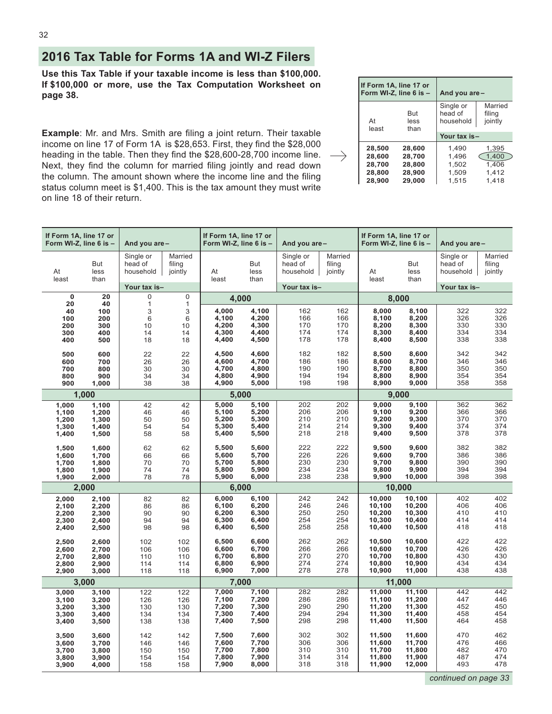## <span id="page-31-0"></span>**2016 Tax Table for Forms 1A and WI-Z Filers**

**Use this Tax Table if your taxable income is less than \$100,000. If \$100,000 or more, use the Tax Computation Worksheet on page 38.**

**Example**: Mr. and Mrs. Smith are filing a joint return. Their taxable income on line 17 of Form 1A is \$28,653. First, they find the \$28,000 heading in the table. Then they find the \$28,600-28,700 income line.  $\longrightarrow$ Next, they find the column for married filing jointly and read down the column. The amount shown where the income line and the filing status column meet is \$1,400. This is the tax amount they must write on line 18 of their return.

|             | If Form 1A, line 17 or<br>Form WI-Z, line 6 is - | And you are -                     |                              |  |  |  |
|-------------|--------------------------------------------------|-----------------------------------|------------------------------|--|--|--|
| At<br>least | But<br>less<br>than                              | Single or<br>head of<br>household | Married<br>filing<br>jointly |  |  |  |
|             |                                                  | Your tax is-                      |                              |  |  |  |
| 28,500      | 28,600                                           | 1.490                             | 1,395                        |  |  |  |
| 28.600      | 28.700                                           | 1,496                             | 1,400                        |  |  |  |
| 28,700      | 28,800                                           | 1,502                             | 1.406                        |  |  |  |
| 28,800      | 28,900                                           | 1,509                             | 1,412                        |  |  |  |
| 28,900      | 29,000                                           | 1,515                             | 1.418                        |  |  |  |

| If Form 1A, line 17 or<br>Form WI-Z, line 6 is - |                                           | And you are-                             |                                          |                                           | If Form 1A, line 17 or<br>Form WI-Z, line 6 is - |                                   | And you are-                    | If Form 1A, line 17 or<br>Form WI-Z, line 6 is - |                                                | And you are-                      |                                 |
|--------------------------------------------------|-------------------------------------------|------------------------------------------|------------------------------------------|-------------------------------------------|--------------------------------------------------|-----------------------------------|---------------------------------|--------------------------------------------------|------------------------------------------------|-----------------------------------|---------------------------------|
| At<br>least                                      | But<br>less<br>than                       | Single or<br>head of<br>household        | Married<br>filing<br>jointly             | At<br>least                               | But<br>less<br>than                              | Single or<br>head of<br>household | Married<br>filing<br>jointly    | At<br>least                                      | But<br>less<br>than                            | Single or<br>head of<br>household | Married<br>filing<br>jointly    |
|                                                  |                                           | Your tax is-                             |                                          |                                           |                                                  | Your tax is-                      |                                 |                                                  |                                                | Your tax is-                      |                                 |
| $\mathbf 0$                                      | 20                                        | 0                                        | 0                                        |                                           | 4.000                                            |                                   |                                 |                                                  | 8,000                                          |                                   |                                 |
| 20<br>40<br>100<br>200<br>300<br>400             | 40<br>100<br>200<br>300<br>400<br>500     | $\mathbf{1}$<br>3<br>6<br>10<br>14<br>18 | $\mathbf{1}$<br>3<br>6<br>10<br>14<br>18 | 4,000<br>4,100<br>4,200<br>4,300<br>4,400 | 4,100<br>4,200<br>4,300<br>4,400<br>4,500        | 162<br>166<br>170<br>174<br>178   | 162<br>166<br>170<br>174<br>178 | 8,000<br>8,100<br>8,200<br>8,300<br>8,400        | 8,100<br>8,200<br>8,300<br>8,400<br>8,500      | 322<br>326<br>330<br>334<br>338   | 322<br>326<br>330<br>334<br>338 |
| 500<br>600<br>700<br>800<br>900                  | 600<br>700<br>800<br>900<br>1,000         | 22<br>26<br>30<br>34<br>38               | 22<br>26<br>30<br>34<br>38               | 4,500<br>4,600<br>4,700<br>4,800<br>4,900 | 4,600<br>4,700<br>4,800<br>4,900<br>5,000        | 182<br>186<br>190<br>194<br>198   | 182<br>186<br>190<br>194<br>198 | 8,500<br>8,600<br>8,700<br>8,800<br>8,900        | 8,600<br>8,700<br>8,800<br>8,900<br>9,000      | 342<br>346<br>350<br>354<br>358   | 342<br>346<br>350<br>354<br>358 |
|                                                  | 1,000                                     |                                          |                                          |                                           | 5.000                                            |                                   |                                 |                                                  | 9.000                                          |                                   |                                 |
| 1,000<br>1,100<br>1,200<br>1,300<br>1,400        | 1,100<br>1,200<br>1,300<br>1,400<br>1,500 | 42<br>46<br>50<br>54<br>58               | 42<br>46<br>50<br>54<br>58               | 5.000<br>5,100<br>5,200<br>5,300<br>5,400 | 5,100<br>5,200<br>5,300<br>5,400<br>5,500        | 202<br>206<br>210<br>214<br>218   | 202<br>206<br>210<br>214<br>218 | 9.000<br>9,100<br>9,200<br>9,300<br>9,400        | 9,100<br>9,200<br>9,300<br>9,400<br>9,500      | 362<br>366<br>370<br>374<br>378   | 362<br>366<br>370<br>374<br>378 |
| 1,500<br>1,600<br>1,700<br>1,800<br>1,900        | 1,600<br>1,700<br>1,800<br>1,900<br>2,000 | 62<br>66<br>70<br>74<br>78               | 62<br>66<br>70<br>74<br>78               | 5,500<br>5,600<br>5,700<br>5,800<br>5,900 | 5,600<br>5,700<br>5,800<br>5,900<br>6,000        | 222<br>226<br>230<br>234<br>238   | 222<br>226<br>230<br>234<br>238 | 9,500<br>9,600<br>9,700<br>9,800<br>9,900        | 9,600<br>9,700<br>9,800<br>9,900<br>10,000     | 382<br>386<br>390<br>394<br>398   | 382<br>386<br>390<br>394<br>398 |
|                                                  | 2,000                                     |                                          |                                          | 6.000                                     |                                                  |                                   |                                 | 10,000                                           |                                                |                                   |                                 |
| 2,000<br>2,100<br>2,200<br>2,300<br>2,400        | 2,100<br>2,200<br>2,300<br>2,400<br>2,500 | 82<br>86<br>90<br>94<br>98               | 82<br>86<br>90<br>94<br>98               | 6,000<br>6,100<br>6,200<br>6,300<br>6,400 | 6,100<br>6,200<br>6,300<br>6,400<br>6,500        | 242<br>246<br>250<br>254<br>258   | 242<br>246<br>250<br>254<br>258 | 10,000<br>10,100<br>10,200<br>10,300<br>10,400   | 10,100<br>10,200<br>10,300<br>10,400<br>10,500 | 402<br>406<br>410<br>414<br>418   | 402<br>406<br>410<br>414<br>418 |
| 2,500<br>2,600<br>2,700<br>2,800<br>2,900        | 2,600<br>2,700<br>2,800<br>2,900<br>3,000 | 102<br>106<br>110<br>114<br>118          | 102<br>106<br>110<br>114<br>118          | 6,500<br>6,600<br>6,700<br>6,800<br>6,900 | 6,600<br>6,700<br>6,800<br>6,900<br>7,000        | 262<br>266<br>270<br>274<br>278   | 262<br>266<br>270<br>274<br>278 | 10,500<br>10,600<br>10,700<br>10,800<br>10,900   | 10,600<br>10,700<br>10,800<br>10,900<br>11,000 | 422<br>426<br>430<br>434<br>438   | 422<br>426<br>430<br>434<br>438 |
|                                                  | 3,000                                     |                                          |                                          | 7,000                                     |                                                  |                                   |                                 |                                                  | 11,000                                         |                                   |                                 |
| 3,000<br>3,100<br>3,200<br>3,300<br>3,400        | 3,100<br>3,200<br>3,300<br>3,400<br>3,500 | 122<br>126<br>130<br>134<br>138          | 122<br>126<br>130<br>134<br>138          | 7,000<br>7,100<br>7,200<br>7,300<br>7,400 | 7,100<br>7,200<br>7,300<br>7,400<br>7,500        | 282<br>286<br>290<br>294<br>298   | 282<br>286<br>290<br>294<br>298 | 11,000<br>11,100<br>11,200<br>11,300<br>11,400   | 11,100<br>11,200<br>11,300<br>11,400<br>11,500 | 442<br>447<br>452<br>458<br>464   | 442<br>446<br>450<br>454<br>458 |
| 3,500<br>3,600<br>3,700<br>3,800<br>3,900        | 3,600<br>3,700<br>3,800<br>3,900<br>4,000 | 142<br>146<br>150<br>154<br>158          | 142<br>146<br>150<br>154<br>158          | 7,500<br>7,600<br>7,700<br>7,800<br>7,900 | 7.600<br>7,700<br>7,800<br>7,900<br>8,000        | 302<br>306<br>310<br>314<br>318   | 302<br>306<br>310<br>314<br>318 | 11,500<br>11,600<br>11,700<br>11,800<br>11,900   | 11,600<br>11,700<br>11,800<br>11,900<br>12,000 | 470<br>476<br>482<br>487<br>493   | 462<br>466<br>470<br>474<br>478 |

*continued on page 33*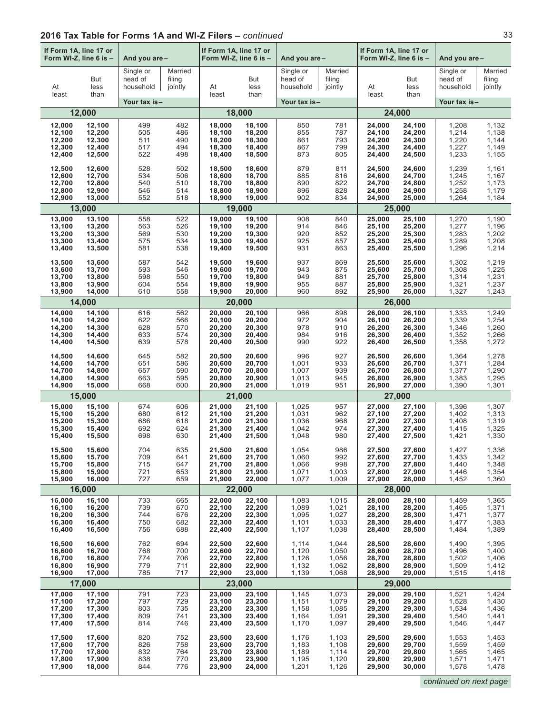| If Form 1A, line 17 or<br>Form WI-Z, line 6 is - |                     | And you are-                      |                              | If Form 1A, line 17 or<br>Form WI-Z, line 6 is - |                     | And you are -                     |                              | If Form 1A, line 17 or<br>Form WI-Z, line 6 is - |                     | And you are-                      |                              |
|--------------------------------------------------|---------------------|-----------------------------------|------------------------------|--------------------------------------------------|---------------------|-----------------------------------|------------------------------|--------------------------------------------------|---------------------|-----------------------------------|------------------------------|
| At<br>least                                      | But<br>less<br>than | Single or<br>head of<br>household | Married<br>filing<br>jointly | At<br>least                                      | But<br>less<br>than | Single or<br>head of<br>household | Married<br>filing<br>jointly | At<br>least                                      | But<br>less<br>than | Single or<br>head of<br>household | Married<br>filing<br>jointly |
|                                                  |                     | Your tax is-                      |                              |                                                  |                     | Your tax is-                      |                              |                                                  |                     | Your tax is-                      |                              |
|                                                  | 12,000              |                                   |                              |                                                  | 18,000              |                                   |                              |                                                  | 24,000              |                                   |                              |
| 12,000                                           | 12,100              | 499                               | 482                          | 18,000                                           | 18,100              | 850                               | 781                          | 24,000                                           | 24,100              | 1,208                             | 1,132                        |
| 12,100                                           | 12,200              | 505                               | 486                          | 18,100                                           | 18,200              | 855                               | 787                          | 24,100                                           | 24,200              | 1,214                             | 1,138                        |
| 12,200                                           | 12,300              | 511                               | 490                          | 18,200                                           | 18,300              | 861                               | 793                          | 24,200                                           | 24,300              | 1,220                             | 1,144                        |
| 12,300                                           | 12,400              | 517                               | 494                          | 18,300                                           | 18,400              | 867                               | 799                          | 24,300                                           | 24,400              | 1,227                             | 1,149                        |
| 12,400                                           | 12,500              | 522                               | 498                          | 18,400                                           | 18,500              | 873                               | 805                          | 24,400                                           | 24,500              | 1,233                             | 1,155                        |
| 12,500                                           | 12,600              | 528                               | 502                          | 18,500                                           | 18,600              | 879                               | 811                          | 24,500                                           | 24,600              | 1,239                             | 1,161                        |
| 12,600                                           | 12,700              | 534                               | 506                          | 18,600                                           | 18,700              | 885                               | 816                          | 24,600                                           | 24,700              | 1,245                             | 1,167                        |
| 12,700                                           | 12,800              | 540                               | 510                          | 18,700                                           | 18,800              | 890                               | 822                          | 24,700                                           | 24,800              | 1,252                             | 1,173                        |
| 12,800                                           | 12,900              | 546                               | 514                          | 18,800                                           | 18,900              | 896                               | 828                          | 24,800                                           | 24,900              | 1,258                             | 1,179                        |
| 12,900                                           | 13,000              | 552                               | 518                          | 18,900                                           | 19,000              | 902                               | 834                          | 24,900                                           | 25,000              | 1,264                             | 1,184                        |
|                                                  | 13,000              |                                   |                              |                                                  | 19,000              |                                   |                              |                                                  | 25,000              |                                   |                              |
| 13,000                                           | 13,100              | 558                               | 522                          | 19,000                                           | 19,100              | 908                               | 840                          | 25,000                                           | 25,100              | 1,270                             | 1,190                        |
| 13,100                                           | 13,200              | 563                               | 526                          | 19,100                                           | 19,200              | 914                               | 846                          | 25,100                                           | 25,200              | 1,277                             | 1,196                        |
| 13,200                                           | 13,300              | 569                               | 530                          | 19,200                                           | 19,300              | 920                               | 852                          | 25,200                                           | 25,300              | 1,283                             | 1,202                        |
| 13,300                                           | 13,400              | 575                               | 534                          | 19,300                                           | 19,400              | 925                               | 857                          | 25,300                                           | 25,400              | 1.289                             | 1,208                        |
| 13,400                                           | 13,500              | 581                               | 538                          | 19,400                                           | 19,500              | 931                               | 863                          | 25,400                                           | 25,500              | 1,296                             | 1,214                        |
| 13,500                                           | 13,600              | 587                               | 542                          | 19,500                                           | 19,600              | 937                               | 869                          | 25,500                                           | 25,600              | 1.302                             | 1,219                        |
| 13,600                                           | 13,700              | 593                               | 546                          | 19,600                                           | 19,700              | 943                               | 875                          | 25,600                                           | 25,700              | 1,308                             | 1,225                        |
| 13,700                                           | 13,800              | 598                               | 550                          | 19,700                                           | 19,800              | 949                               | 881                          | 25,700                                           | 25,800              | 1,314                             | 1,231                        |
| 13,800                                           | 13,900              | 604                               | 554                          | 19,800                                           | 19,900              | 955                               | 887                          | 25,800                                           | 25,900              | 1,321                             | 1,237                        |
| 13,900                                           | 14,000              | 610                               | 558                          | 19,900                                           | 20,000              | 960                               | 892                          | 25,900                                           | 26,000              | 1,327                             | 1,243                        |
|                                                  | 14,000              |                                   |                              |                                                  | 20,000              |                                   |                              |                                                  | 26,000              |                                   |                              |
| 14,000                                           | 14,100              | 616                               | 562                          | 20,000                                           | 20,100              | 966                               | 898                          | 26,000                                           | 26,100              | 1,333                             | 1,249                        |
| 14,100                                           | 14,200              | 622                               | 566                          | 20,100                                           | 20,200              | 972                               | 904                          | 26,100                                           | 26,200              | 1,339                             | 1,254                        |
| 14,200                                           | 14,300              | 628                               | 570                          | 20,200                                           | 20,300              | 978                               | 910                          | 26,200                                           | 26,300              | 1,346                             | 1,260                        |
| 14,300                                           | 14,400              | 633                               | 574                          | 20,300                                           | 20,400              | 984                               | 916                          | 26,300                                           | 26,400              | 1,352                             | 1,266                        |
| 14,400                                           | 14,500              | 639                               | 578                          | 20,400                                           | 20,500              | 990                               | 922                          | 26,400                                           | 26,500              | 1,358                             | 1,272                        |
| 14,500                                           | 14,600              | 645                               | 582                          | 20,500                                           | 20,600              | 996                               | 927                          | 26,500                                           | 26,600              | 1,364                             | 1,278                        |
| 14,600                                           | 14,700              | 651                               | 586                          | 20,600                                           | 20,700              | 1,001                             | 933                          | 26,600                                           | 26,700              | 1,371                             | 1,284                        |
| 14,700                                           | 14,800              | 657                               | 590                          | 20,700                                           | 20,800              | 1,007                             | 939                          | 26,700                                           | 26,800              | 1,377                             | 1,290                        |
| 14,800                                           | 14,900              | 663                               | 595                          | 20,800                                           | 20,900              | 1,013                             | 945                          | 26,800                                           | 26,900              | 1,383                             | 1,295                        |
| 14,900                                           | 15,000              | 668                               | 600                          | 20,900                                           | 21,000              | 1,019                             | 951                          | 26,900                                           | 27,000              | 1,390                             | 1,301                        |
|                                                  | 15,000              |                                   |                              |                                                  | 21,000              |                                   |                              |                                                  | 27,000              |                                   |                              |
| 15,000                                           | 15,100              | 674                               | 606                          | 21,000                                           | 21,100              | 1,025                             | 957                          | 27,000                                           | 27,100              | 1,396                             | 1,307                        |
| 15,100                                           | 15,200              | 680                               | 612                          | 21,100                                           | 21,200              | 1,031                             | 962                          | 27,100                                           | 27,200              | 1,402                             | 1,313                        |
| 15,200                                           | 15,300              | 686                               | 618                          | 21,200                                           | 21,300              | 1,036                             | 968                          | 27,200                                           | 27,300              | 1,408                             | 1,319                        |
| 15,300                                           | 15,400              | 692                               | 624                          | 21,300                                           | 21,400              | 1,042                             | 974                          | 27,300                                           | 27,400              | 1,415                             | 1,325                        |
| 15,400                                           | 15,500              | 698                               | 630                          | 21,400                                           | 21,500              | 1,048                             | 980                          | 27,400                                           | 27,500              | 1,421                             | 1,330                        |
| 15,500                                           | 15,600              | 704                               | 635                          | 21,500                                           | 21,600              | 1,054                             | 986                          | 27,500                                           | 27,600              | 1,427                             | 1,336                        |
| 15,600                                           | 15,700              | 709                               | 641                          | 21,600                                           | 21,700              | 1,060                             | 992                          | 27,600                                           | 27,700              | 1,433                             | 1,342                        |
| 15,700                                           | 15,800              | 715                               | 647                          | 21,700                                           | 21,800              | 1,066                             | 998                          | 27,700                                           | 27,800              | 1,440                             | 1,348                        |
| 15,800                                           | 15,900              | 721                               | 653                          | 21,800                                           | 21,900              | 1,071                             | 1,003                        | 27,800                                           | 27,900              | 1,446                             | 1,354                        |
| 15,900                                           | 16,000              | 727                               | 659                          | 21,900                                           | 22,000              | 1,077                             | 1,009                        | 27,900                                           | 28,000              | 1,452                             | 1,360                        |
|                                                  | 16,000              |                                   |                              |                                                  | 22,000              |                                   |                              |                                                  | 28,000              |                                   |                              |
| 16,000                                           | 16,100              | 733                               | 665                          | 22,000                                           | 22,100              | 1,083                             | 1,015                        | 28,000                                           | 28,100              | 1,459                             | 1,365                        |
| 16,100                                           | 16,200              | 739                               | 670                          | 22,100                                           | 22,200              | 1,089                             | 1,021                        | 28,100                                           | 28,200              | 1,465                             | 1,371                        |
| 16,200                                           | 16,300              | 744                               | 676                          | 22,200                                           | 22,300              | 1,095                             | 1,027                        | 28,200                                           | 28,300              | 1,471                             | 1,377                        |
| 16,300                                           | 16,400              | 750                               | 682                          | 22,300                                           | 22,400              | 1,101                             | 1,033                        | 28,300                                           | 28,400              | 1,477                             | 1,383                        |
| 16,400                                           | 16,500              | 756                               | 688                          | 22,400                                           | 22,500              | 1,107                             | 1,038                        | 28,400                                           | 28,500              | 1,484                             | 1,389                        |
| 16,500                                           | 16,600              | 762                               | 694                          | 22,500                                           | 22,600              | 1,114                             | 1,044                        | 28,500                                           | 28,600              | 1,490                             | 1,395                        |
| 16,600                                           | 16,700              | 768                               | 700                          | 22,600                                           | 22,700              | 1,120                             | 1,050                        | 28,600                                           | 28,700              | 1,496                             | 1,400                        |
| 16,700                                           | 16,800              | 774                               | 706                          | 22,700                                           | 22,800              | 1,126                             | 1,056                        | 28,700                                           | 28,800              | 1,502                             | 1,406                        |
| 16,800                                           | 16,900              | 779                               | 711                          | 22,800                                           | 22,900              | 1,132                             | 1,062                        | 28,800                                           | 28,900              | 1,509                             | 1,412                        |
| 16,900                                           | 17,000              | 785                               | 717                          | 22,900                                           | 23,000              | 1,139                             | 1,068                        | 28,900                                           | 29,000              | 1,515                             | 1,418                        |
|                                                  | 17,000              |                                   |                              |                                                  | 23,000              |                                   |                              |                                                  | 29,000              |                                   |                              |
| 17,000                                           | 17,100              | 791                               | 723                          | 23,000                                           | 23,100              | 1,145                             | 1,073                        | 29,000                                           | 29,100              | 1,521                             | 1,424                        |
| 17,100                                           | 17,200              | 797                               | 729                          | 23,100                                           | 23,200              | 1,151                             | 1,079                        | 29,100                                           | 29,200              | 1,528                             | 1,430                        |
| 17,200                                           | 17,300              | 803                               | 735                          | 23,200                                           | 23,300              | 1,158                             | 1,085                        | 29,200                                           | 29,300              | 1,534                             | 1,436                        |
| 17,300                                           | 17,400              | 809                               | 741                          | 23,300                                           | 23,400              | 1,164                             | 1,091                        | 29,300                                           | 29,400              | 1,540                             | 1,441                        |
| 17,400                                           | 17,500              | 814                               | 746                          | 23,400                                           | 23,500              | 1,170                             | 1,097                        | 29,400                                           | 29,500              | 1,546                             | 1,447                        |
| 17,500                                           | 17,600              | 820                               | 752                          | 23,500                                           | 23,600              | 1,176                             | 1,103                        | 29,500                                           | 29,600              | 1,553                             | 1,453                        |
| 17,600                                           | 17,700              | 826                               | 758                          | 23,600                                           | 23,700              | 1,183                             | 1,108                        | 29,600                                           | 29,700              | 1,559                             | 1,459                        |
| 17,700                                           | 17,800              | 832                               | 764                          | 23,700                                           | 23,800              | 1,189                             | 1,114                        | 29,700                                           | 29,800              | 1,565                             | 1,465                        |
| 17,800                                           | 17,900              | 838                               | 770                          | 23,800                                           | 23,900              | 1,195                             | 1,120                        | 29,800                                           | 29,900              | 1,571                             | 1,471                        |
| 17,900                                           | 18,000              | 844                               | 776                          | 23,900                                           | 24,000              | 1,201                             | 1,126                        | 29,900                                           | 30,000              | 1,578                             | 1,478                        |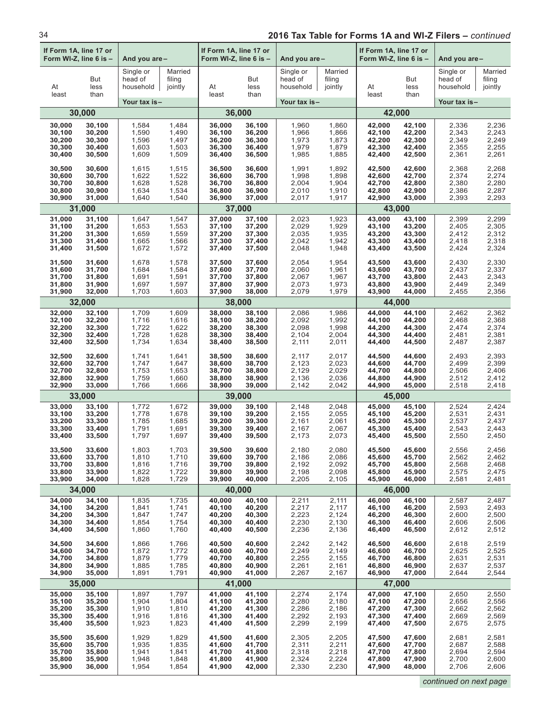| If Form 1A, line 17 or<br>Form WI-Z, line 6 is -<br>And you are- |                     | If Form 1A, line 17 or<br>Form WI-Z, line 6 is - |                              | And you are - |                     | If Form 1A, line 17 or<br>Form WI-Z, line 6 is - |                              | And you are- |                     |                                   |                              |
|------------------------------------------------------------------|---------------------|--------------------------------------------------|------------------------------|---------------|---------------------|--------------------------------------------------|------------------------------|--------------|---------------------|-----------------------------------|------------------------------|
| At<br>least                                                      | But<br>less<br>than | Single or<br>head of<br>household                | Married<br>filing<br>jointly | At<br>least   | But<br>less<br>than | Single or<br>head of<br>household                | Married<br>filing<br>jointly | At<br>least  | But<br>less<br>than | Single or<br>head of<br>household | Married<br>filing<br>jointly |
|                                                                  |                     | Your tax is-                                     |                              |               |                     | Your tax is-                                     |                              |              |                     | Your tax is-                      |                              |
|                                                                  | 30,000              |                                                  |                              | 36,000        |                     |                                                  |                              | 42,000       |                     |                                   |                              |
| 30,000                                                           | 30,100              | 1,584                                            | 1,484                        | 36,000        | 36,100              | 1,960                                            | 1,860                        | 42,000       | 42,100              | 2,336                             | 2,236                        |
| 30,100                                                           | 30,200              | 1,590                                            | 1,490                        | 36,100        | 36,200              | 1,966                                            | 1,866                        | 42,100       | 42,200              | 2,343                             | 2,243                        |
| 30,200                                                           | 30,300              | 1,596                                            | 1,497                        | 36,200        | 36,300              | 1,973                                            | 1,873                        | 42,200       | 42,300              | 2,349                             | 2,249                        |
| 30,300                                                           | 30,400              | 1,603                                            | 1,503                        | 36,300        | 36,400              | 1,979                                            | 1,879                        | 42,300       | 42,400              | 2,355                             | 2,255                        |
| 30,400                                                           | 30,500              | 1,609                                            | 1,509                        | 36,400        | 36,500              | 1,985                                            | 1,885                        | 42,400       | 42,500              | 2,361                             | 2,261                        |
| 30,500                                                           | 30,600              | 1,615                                            | 1,515                        | 36,500        | 36,600              | 1,991                                            | 1,892                        | 42,500       | 42,600              | 2,368                             | 2,268                        |
| 30,600                                                           | 30,700              | 1,622                                            | 1,522                        | 36,600        | 36,700              | 1,998                                            | 1,898                        | 42,600       | 42,700              | 2,374                             | 2,274                        |
| 30,700                                                           | 30,800              | 1,628                                            | 1,528                        | 36,700        | 36,800              | 2,004                                            | 1,904                        | 42,700       | 42,800              | 2,380                             | 2,280                        |
| 30,800                                                           | 30,900              | 1,634                                            | 1,534                        | 36,800        | 36,900              | 2,010                                            | 1,910                        | 42,800       | 42,900              | 2,386                             | 2,287                        |
| 30,900                                                           | 31,000              | 1,640                                            | 1,540                        | 36,900        | 37,000              | 2,017                                            | 1,917                        | 42,900       | 43,000              | 2,393                             | 2,293                        |
|                                                                  | 31,000              |                                                  |                              | 37,000        |                     |                                                  |                              | 43,000       |                     |                                   |                              |
| 31,000                                                           | 31,100              | 1,647                                            | 1,547                        | 37,000        | 37,100              | 2,023                                            | 1,923                        | 43.000       | 43,100              | 2,399                             | 2,299                        |
| 31,100                                                           | 31,200              | 1,653                                            | 1,553                        | 37,100        | 37,200              | 2,029                                            | 1,929                        | 43,100       | 43,200              | 2,405                             | 2,305                        |
| 31,200                                                           | 31,300              | 1,659                                            | 1,559                        | 37,200        | 37,300              | 2,035                                            | 1,935                        | 43,200       | 43,300              | 2,412                             | 2,312                        |
| 31,300                                                           | 31,400              | 1,665                                            | 1,566                        | 37,300        | 37,400              | 2,042                                            | 1,942                        | 43,300       | 43,400              | 2,418                             | 2,318                        |
| 31,400                                                           | 31,500              | 1,672                                            | 1,572                        | 37,400        | 37,500              | 2,048                                            | 1,948                        | 43,400       | 43,500              | 2,424                             | 2,324                        |
| 31,500                                                           | 31,600              | 1,678                                            | 1,578                        | 37,500        | 37,600              | 2,054                                            | 1,954                        | 43,500       | 43,600              | 2,430                             | 2,330                        |
| 31,600                                                           | 31,700              | 1,684                                            | 1,584                        | 37,600        | 37,700              | 2,060                                            | 1,961                        | 43,600       | 43,700              | 2,437                             | 2,337                        |
| 31,700                                                           | 31,800              | 1,691                                            | 1,591                        | 37,700        | 37,800              | 2,067                                            | 1,967                        | 43,700       | 43,800              | 2,443                             | 2,343                        |
| 31,800                                                           | 31,900              | 1,697                                            | 1,597                        | 37.800        | 37,900              | 2,073                                            | 1,973                        | 43,800       | 43,900              | 2,449                             | 2,349                        |
| 31,900                                                           | 32,000              | 1,703                                            | 1,603                        | 37,900        | 38,000              | 2,079                                            | 1,979                        | 43,900       | 44,000              | 2,455                             | 2,356                        |
|                                                                  | 32,000              |                                                  |                              | 38,000        |                     |                                                  |                              | 44,000       |                     |                                   |                              |
| 32,000                                                           | 32,100              | 1,709                                            | 1,609                        | 38,000        | 38,100              | 2,086                                            | 1,986                        | 44,000       | 44,100              | 2,462                             | 2,362                        |
| 32,100                                                           | 32,200              | 1,716                                            | 1,616                        | 38,100        | 38,200              | 2,092                                            | 1,992                        | 44,100       | 44,200              | 2,468                             | 2,368                        |
| 32,200                                                           | 32,300              | 1,722                                            | 1,622                        | 38,200        | 38,300              | 2,098                                            | 1,998                        | 44,200       | 44,300              | 2,474                             | 2,374                        |
| 32,300                                                           | 32,400              | 1,728                                            | 1,628                        | 38,300        | 38,400              | 2,104                                            | 2,004                        | 44,300       | 44,400              | 2,481                             | 2,381                        |
| 32,400                                                           | 32,500              | 1,734                                            | 1,634                        | 38,400        | 38,500              | 2,111                                            | 2,011                        | 44,400       | 44,500              | 2,487                             | 2,387                        |
| 32,500                                                           | 32,600              | 1,741                                            | 1,641                        | 38,500        | 38,600              | 2,117                                            | 2,017                        | 44,500       | 44,600              | 2,493                             | 2,393                        |
| 32,600                                                           | 32,700              | 1,747                                            | 1,647                        | 38,600        | 38,700              | 2,123                                            | 2,023                        | 44,600       | 44,700              | 2,499                             | 2,399                        |
| 32,700                                                           | 32,800              | 1,753                                            | 1,653                        | 38,700        | 38,800              | 2,129                                            | 2,029                        | 44,700       | 44,800              | 2,506                             | 2,406                        |
| 32,800                                                           | 32,900              | 1,759                                            | 1,660                        | 38,800        | 38,900              | 2,136                                            | 2,036                        | 44,800       | 44,900              | 2,512                             | 2,412                        |
| 32,900                                                           | 33,000              | 1,766                                            | 1,666                        | 38,900        | 39,000              | 2,142                                            | 2,042                        | 44,900       | 45,000              | 2,518                             | 2,418                        |
|                                                                  | 33,000              |                                                  |                              | 39,000        |                     |                                                  |                              | 45,000       |                     |                                   |                              |
| 33,000                                                           | 33,100              | 1,772                                            | 1,672                        | 39,000        | 39,100              | 2,148                                            | 2,048                        | 45,000       | 45,100              | 2,524                             | 2,424                        |
| 33,100                                                           | 33,200              | 1,778                                            | 1,678                        | 39,100        | 39,200              | 2,155                                            | 2,055                        | 45,100       | 45,200              | 2,531                             | 2,431                        |
| 33,200                                                           | 33,300              | 1,785                                            | 1,685                        | 39,200        | 39,300              | 2,161                                            | 2,061                        | 45,200       | 45,300              | 2,537                             | 2,437                        |
| 33,300                                                           | 33,400              | 1,791                                            | 1,691                        | 39,300        | 39,400              | 2,167                                            | 2,067                        | 45,300       | 45,400              | 2,543                             | 2,443                        |
| 33,400                                                           | 33,500              | 1,797                                            | 1,697                        | 39,400        | 39,500              | 2,173                                            | 2.073                        | 45,400       | 45,500              | 2,550                             | 2,450                        |
| 33,500                                                           | 33,600              | 1,803                                            | 1,703                        | 39,500        | 39,600              | 2,180                                            | 2,080                        | 45,500       | 45,600              | 2,556                             | 2,456                        |
| 33,600                                                           | 33,700              | 1,810                                            | 1,710                        | 39,600        | 39,700              | 2,186                                            | 2,086                        | 45,600       | 45,700              | 2,562                             | 2,462                        |
| 33,700                                                           | 33,800              | 1,816                                            | 1,716                        | 39,700        | 39,800              | 2,192                                            | 2,092                        | 45,700       | 45,800              | 2,568                             | 2,468                        |
| 33,800                                                           | 33,900              | 1,822                                            | 1,722                        | 39,800        | 39,900              | 2,198                                            | 2,098                        | 45,800       | 45,900              | 2,575                             | 2,475                        |
| 33,900                                                           | 34,000              | 1,828                                            | 1,729                        | 39,900        | 40,000              | 2,205                                            | 2,105                        | 45,900       | 46,000              | 2,581                             | 2,481                        |
|                                                                  | 34,000              |                                                  |                              | 40,000        |                     |                                                  |                              | 46,000       |                     |                                   |                              |
| 34,000                                                           | 34,100              | 1,835                                            | 1,735                        | 40.000        | 40,100              | 2,211                                            | 2,111                        | 46,000       | 46,100              | 2,587                             | 2,487                        |
| 34,100                                                           | 34,200              | 1,841                                            | 1,741                        | 40,100        | 40,200              | 2,217                                            | 2,117                        | 46,100       | 46,200              | 2,593                             | 2,493                        |
| 34,200                                                           | 34,300              | 1,847                                            | 1,747                        | 40,200        | 40,300              | 2,223                                            | 2,124                        | 46,200       | 46,300              | 2,600                             | 2,500                        |
| 34,300                                                           | 34,400              | 1,854                                            | 1,754                        | 40,300        | 40,400              | 2,230                                            | 2,130                        | 46,300       | 46,400              | 2,606                             | 2,506                        |
| 34,400                                                           | 34,500              | 1,860                                            | 1,760                        | 40,400        | 40,500              | 2,236                                            | 2,136                        | 46,400       | 46,500              | 2,612                             | 2,512                        |
| 34,500                                                           | 34,600              | 1,866                                            | 1,766                        | 40,500        | 40,600              | 2,242                                            | 2,142                        | 46.500       | 46,600              | 2,618                             | 2,519                        |
| 34,600                                                           | 34,700              | 1,872                                            | 1,772                        | 40,600        | 40,700              | 2,249                                            | 2,149                        | 46,600       | 46,700              | 2,625                             | 2,525                        |
| 34,700                                                           | 34,800              | 1,879                                            | 1,779                        | 40,700        | 40,800              | 2,255                                            | 2,155                        | 46,700       | 46,800              | 2,631                             | 2,531                        |
| 34,800                                                           | 34,900              | 1,885                                            | 1,785                        | 40,800        | 40,900              | 2,261                                            | 2,161                        | 46,800       | 46,900              | 2,637                             | 2,537                        |
| 34,900                                                           | 35,000              | 1,891                                            | 1,791                        | 40,900        | 41,000              | 2,267                                            | 2,167                        | 46,900       | 47,000              | 2,644                             | 2,544                        |
|                                                                  | 35,000              |                                                  |                              | 41,000        |                     |                                                  |                              | 47,000       |                     |                                   |                              |
| 35,000                                                           | 35,100              | 1,897                                            | 1,797                        | 41,000        | 41,100              | 2,274                                            | 2,174                        | 47,000       | 47,100              | 2,650                             | 2,550                        |
| 35,100                                                           | 35,200              | 1,904                                            | 1,804                        | 41,100        | 41,200              | 2,280                                            | 2,180                        | 47,100       | 47,200              | 2,656                             | 2,556                        |
| 35,200                                                           | 35,300              | 1,910                                            | 1,810                        | 41,200        | 41,300              | 2,286                                            | 2,186                        | 47,200       | 47,300              | 2,662                             | 2,562                        |
| 35,300                                                           | 35,400              | 1,916                                            | 1,816                        | 41,300        | 41,400              | 2,292                                            | 2,193                        | 47,300       | 47,400              | 2,669                             | 2,569                        |
| 35,400                                                           | 35,500              | 1,923                                            | 1,823                        | 41,400        | 41,500              | 2,299                                            | 2,199                        | 47,400       | 47,500              | 2,675                             | 2,575                        |
| 35,500                                                           | 35,600              | 1,929                                            | 1,829                        | 41,500        | 41,600              | 2,305                                            | 2,205                        | 47,500       | 47,600              | 2,681                             | 2,581                        |
| 35,600                                                           | 35,700              | 1,935                                            | 1,835                        | 41,600        | 41,700              | 2,311                                            | 2,211                        | 47,600       | 47,700              | 2,687                             | 2,588                        |
| 35,700                                                           | 35,800              | 1,941                                            | 1,841                        | 41,700        | 41,800              | 2,318                                            | 2,218                        | 47,700       | 47,800              | 2,694                             | 2,594                        |
| 35,800                                                           | 35,900              | 1,948                                            | 1,848                        | 41,800        | 41,900              | 2,324                                            | 2,224                        | 47,800       | 47,900              | 2,700                             | 2,600                        |
| 35,900                                                           | 36,000              | 1,954                                            | 1,854                        | 41,900        | 42,000              | 2,330                                            | 2,230                        | 47,900       | 48,000              | 2,706                             | 2,606                        |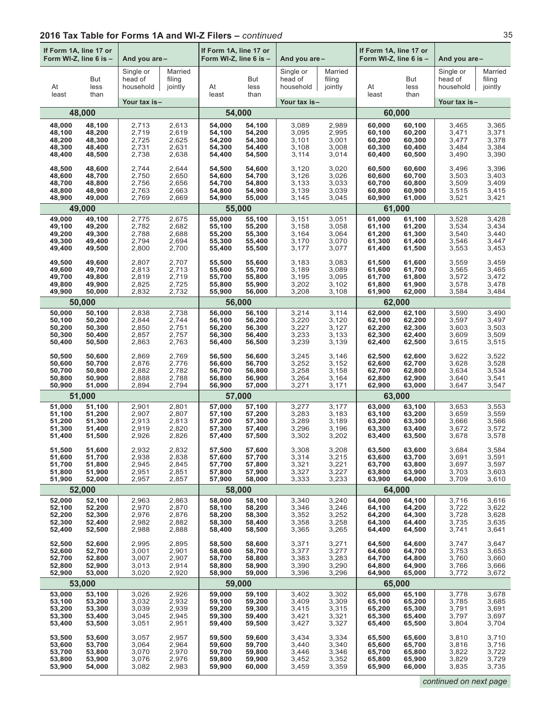| If Form 1A, line 17 or<br>Form WI-Z, line 6 is -<br>And you are- |                     | If Form 1A, line 17 or<br>Form WI-Z, line 6 is - |                              | And you are- |                     | If Form 1A, line 17 or<br>Form WI-Z, line 6 is - |                              | And you are- |                     |                                   |                              |
|------------------------------------------------------------------|---------------------|--------------------------------------------------|------------------------------|--------------|---------------------|--------------------------------------------------|------------------------------|--------------|---------------------|-----------------------------------|------------------------------|
| At<br>least                                                      | But<br>less<br>than | Single or<br>head of<br>household                | Married<br>filing<br>jointly | At<br>least  | But<br>less<br>than | Single or<br>head of<br>household                | Married<br>filing<br>jointly | At<br>least  | But<br>less<br>than | Single or<br>head of<br>household | Married<br>filing<br>jointly |
|                                                                  |                     | Your tax is-                                     |                              |              |                     | Your tax is-                                     |                              |              |                     | Your tax is-                      |                              |
|                                                                  | 48,000              |                                                  |                              | 54,000       |                     |                                                  |                              | 60,000       |                     |                                   |                              |
| 48,000                                                           | 48,100              | 2,713                                            | 2,613                        | 54,000       | 54,100              | 3,089                                            | 2,989                        | 60,000       | 60,100              | 3,465                             | 3,365                        |
| 48,100                                                           | 48,200              | 2,719                                            | 2,619                        | 54,100       | 54,200              | 3,095                                            | 2,995                        | 60,100       | 60,200              | 3,471                             | 3,371                        |
| 48,200                                                           | 48,300              | 2,725                                            | 2,625                        | 54,200       | 54,300              | 3,101                                            | 3,001                        | 60,200       | 60,300              | 3,477                             | 3,378                        |
| 48,300                                                           | 48,400              | 2,731                                            | 2,631                        | 54,300       | 54,400              | 3,108                                            | 3,008                        | 60,300       | 60,400              | 3,484                             | 3,384                        |
| 48,400                                                           | 48,500              | 2,738                                            | 2,638                        | 54,400       | 54,500              | 3,114                                            | 3,014                        | 60,400       | 60,500              | 3,490                             | 3,390                        |
| 48,500                                                           | 48,600              | 2,744                                            | 2,644                        | 54,500       | 54,600              | 3,120                                            | 3,020                        | 60,500       | 60,600              | 3,496                             | 3,396                        |
| 48,600                                                           | 48,700              | 2,750                                            | 2,650                        | 54,600       | 54,700              | 3,126                                            | 3,026                        | 60,600       | 60,700              | 3,503                             | 3,403                        |
| 48,700                                                           | 48,800              | 2,756                                            | 2,656                        | 54,700       | 54,800              | 3,133                                            | 3,033                        | 60,700       | 60,800              | 3,509                             | 3,409                        |
| 48,800                                                           | 48,900              | 2,763                                            | 2,663                        | 54,800       | 54,900              | 3,139                                            | 3,039                        | 60,800       | 60,900              | 3,515                             | 3,415                        |
| 48,900                                                           | 49,000              | 2,769                                            | 2,669                        | 54,900       | 55,000              | 3,145                                            | 3,045                        | 60,900       | 61,000              | 3,521                             | 3,421                        |
|                                                                  | 49,000              |                                                  |                              |              | 55,000              |                                                  |                              | 61,000       |                     |                                   |                              |
| 49,000                                                           | 49,100              | 2,775                                            | 2,675                        | 55,000       | 55,100              | 3,151                                            | 3,051                        | 61.000       | 61,100              | 3,528                             | 3,428                        |
| 49,100                                                           | 49,200              | 2,782                                            | 2,682                        | 55,100       | 55,200              | 3,158                                            | 3,058                        | 61,100       | 61,200              | 3,534                             | 3,434                        |
| 49,200                                                           | 49,300              | 2,788                                            | 2,688                        | 55,200       | 55,300              | 3,164                                            | 3,064                        | 61,200       | 61,300              | 3,540                             | 3,440                        |
| 49,300                                                           | 49,400              | 2,794                                            | 2,694                        | 55,300       | 55,400              | 3,170                                            | 3,070                        | 61,300       | 61,400              | 3.546                             | 3,447                        |
| 49,400                                                           | 49,500              | 2,800                                            | 2,700                        | 55,400       | 55,500              | 3,177                                            | 3,077                        | 61,400       | 61,500              | 3,553                             | 3,453                        |
| 49,500                                                           | 49,600              | 2,807                                            | 2,707                        | 55.500       | 55,600              | 3,183                                            | 3,083                        | 61,500       | 61,600              | 3,559                             | 3,459                        |
| 49,600                                                           | 49,700              | 2,813                                            | 2,713                        | 55,600       | 55,700              | 3,189                                            | 3,089                        | 61,600       | 61,700              | 3,565                             | 3,465                        |
| 49,700                                                           | 49,800              | 2,819                                            | 2,719                        | 55,700       | 55,800              | 3,195                                            | 3,095                        | 61,700       | 61,800              | 3,572                             | 3,472                        |
| 49,800                                                           | 49,900              | 2,825                                            | 2,725                        | 55,800       | 55,900              | 3,202                                            | 3,102                        | 61.800       | 61,900              | 3,578                             | 3,478                        |
| 49,900                                                           | 50,000              | 2,832                                            | 2,732                        | 55,900       | 56,000              | 3,208                                            | 3,108                        | 61,900       | 62,000              | 3,584                             | 3,484                        |
|                                                                  | 50,000              |                                                  |                              |              | 56,000              |                                                  |                              | 62,000       |                     |                                   |                              |
| 50,000                                                           | 50,100              | 2,838                                            | 2,738                        | 56,000       | 56,100              | 3,214                                            | 3,114                        | 62,000       | 62,100              | 3,590                             | 3,490                        |
| 50,100                                                           | 50,200              | 2,844                                            | 2,744                        | 56,100       | 56,200              | 3,220                                            | 3,120                        | 62,100       | 62,200              | 3,597                             | 3,497                        |
| 50,200                                                           | 50,300              | 2,850                                            | 2,751                        | 56,200       | 56,300              | 3,227                                            | 3,127                        | 62,200       | 62,300              | 3,603                             | 3,503                        |
| 50,300                                                           | 50,400              | 2,857                                            | 2,757                        | 56,300       | 56,400              | 3,233                                            | 3,133                        | 62,300       | 62,400              | 3,609                             | 3,509                        |
| 50,400                                                           | 50,500              | 2,863                                            | 2,763                        | 56,400       | 56,500              | 3,239                                            | 3,139                        | 62,400       | 62,500              | 3,615                             | 3,515                        |
| 50,500                                                           | 50,600              | 2,869                                            | 2,769                        | 56,500       | 56,600              | 3,245                                            | 3,146                        | 62,500       | 62,600              | 3,622                             | 3,522                        |
| 50,600                                                           | 50,700              | 2,876                                            | 2,776                        | 56,600       | 56,700              | 3,252                                            | 3,152                        | 62,600       | 62,700              | 3,628                             | 3,528                        |
| 50,700                                                           | 50,800              | 2,882                                            | 2,782                        | 56,700       | 56,800              | 3,258                                            | 3,158                        | 62,700       | 62,800              | 3,634                             | 3,534                        |
| 50,800                                                           | 50,900              | 2,888                                            | 2,788                        | 56,800       | 56,900              | 3,264                                            | 3,164                        | 62,800       | 62,900              | 3,640                             | 3,541                        |
| 50,900                                                           | 51,000              | 2,894                                            | 2,794                        | 56,900       | 57,000              | 3,271                                            | 3,171                        | 62,900       | 63,000              | 3,647                             | 3,547                        |
|                                                                  | 51,000              |                                                  |                              |              | 57,000              |                                                  |                              |              | 63,000              |                                   |                              |
| 51,000                                                           | 51,100              | 2,901                                            | 2,801                        | 57,000       | 57,100              | 3,277                                            | 3,177                        | 63,000       | 63,100              | 3,653                             | 3,553                        |
| 51,100                                                           | 51,200              | 2,907                                            | 2,807                        | 57,100       | 57,200              | 3,283                                            | 3,183                        | 63,100       | 63,200              | 3,659                             | 3,559                        |
| 51,200                                                           | 51,300              | 2,913                                            | 2,813                        | 57,200       | 57,300              | 3,289                                            | 3,189                        | 63,200       | 63,300              | 3,666                             | 3,566                        |
| 51,300                                                           | 51,400              | 2,919                                            | 2,820                        | 57,300       | 57,400              | 3,296                                            | 3,196                        | 63,300       | 63,400              | 3,672                             | 3,572                        |
| 51,400                                                           | 51,500              | 2,926                                            | 2,826                        | 57,400       | 57,500              | 3,302                                            | 3,202                        | 63,400       | 63,500              | 3,678                             | 3,578                        |
| 51,500                                                           | 51,600              | 2,932                                            | 2,832                        | 57,500       | 57,600              | 3,308                                            | 3,208                        | 63,500       | 63,600              | 3,684                             | 3,584                        |
| 51,600                                                           | 51,700              | 2,938                                            | 2,838                        | 57,600       | 57,700              | 3,314                                            | 3,215                        | 63,600       | 63,700              | 3,691                             | 3,591                        |
| 51,700                                                           | 51,800              | 2,945                                            | 2,845                        | 57,700       | 57,800              | 3,321                                            | 3,221                        | 63,700       | 63,800              | 3,697                             | 3,597                        |
| 51,800                                                           | 51,900              | 2,951                                            | 2,851                        | 57,800       | 57,900              | 3,327                                            | 3,227                        | 63,800       | 63,900              | 3,703                             | 3,603                        |
| 51,900                                                           | 52,000              | 2,957                                            | 2,857                        | 57,900       | 58,000              | 3,333                                            | 3,233                        | 63,900       | 64,000              | 3,709                             | 3,610                        |
|                                                                  | 52,000              |                                                  |                              |              | 58,000              |                                                  |                              |              | 64.000              |                                   |                              |
| 52,000                                                           | 52,100              | 2,963                                            | 2,863                        | 58.000       | 58,100              | 3,340                                            | 3,240                        | 64.000       | 64,100              | 3,716                             | 3,616                        |
| 52,100                                                           | 52,200              | 2,970                                            | 2,870                        | 58,100       | 58,200              | 3,346                                            | 3,246                        | 64,100       | 64,200              | 3,722                             | 3,622                        |
| 52,200                                                           | 52,300              | 2,976                                            | 2,876                        | 58,200       | 58,300              | 3,352                                            | 3,252                        | 64,200       | 64,300              | 3,728                             | 3,628                        |
| 52,300                                                           | 52,400              | 2,982                                            | 2,882                        | 58,300       | 58,400              | 3,358                                            | 3,258                        | 64,300       | 64,400              | 3,735                             | 3,635                        |
| 52,400                                                           | 52,500              | 2,988                                            | 2,888                        | 58,400       | 58,500              | 3,365                                            | 3,265                        | 64,400       | 64,500              | 3,741                             | 3,641                        |
| 52,500                                                           | 52,600              | 2,995                                            | 2,895                        | 58,500       | 58,600              | 3,371                                            | 3,271                        | 64,500       | 64,600              | 3,747                             | 3,647                        |
| 52,600                                                           | 52,700              | 3,001                                            | 2,901                        | 58,600       | 58,700              | 3,377                                            | 3,277                        | 64,600       | 64,700              | 3,753                             | 3,653                        |
| 52,700                                                           | 52,800              | 3,007                                            | 2,907                        | 58,700       | 58,800              | 3,383                                            | 3,283                        | 64,700       | 64,800              | 3,760                             | 3,660                        |
| 52,800                                                           | 52,900              | 3,013                                            | 2,914                        | 58,800       | 58,900              | 3,390                                            | 3,290                        | 64,800       | 64,900              | 3,766                             | 3,666                        |
| 52,900                                                           | 53,000              | 3,020                                            | 2,920                        | 58,900       | 59,000              | 3,396                                            | 3,296                        | 64,900       | 65,000              | 3,772                             | 3,672                        |
|                                                                  | 53,000              |                                                  |                              | 59,000       |                     |                                                  |                              |              | 65,000              |                                   |                              |
| 53,000                                                           | 53,100              | 3,026                                            | 2,926                        | 59,000       | 59,100              | 3,402                                            | 3,302                        | 65,000       | 65,100              | 3,778                             | 3,678                        |
| 53,100                                                           | 53,200              | 3,032                                            | 2,932                        | 59,100       | 59,200              | 3,409                                            | 3,309                        | 65,100       | 65,200              | 3,785                             | 3,685                        |
| 53,200                                                           | 53,300              | 3,039                                            | 2,939                        | 59,200       | 59,300              | 3,415                                            | 3,315                        | 65,200       | 65,300              | 3,791                             | 3,691                        |
| 53,300                                                           | 53,400              | 3,045                                            | 2,945                        | 59,300       | 59,400              | 3,421                                            | 3,321                        | 65,300       | 65,400              | 3,797                             | 3,697                        |
| 53,400                                                           | 53,500              | 3,051                                            | 2,951                        | 59,400       | 59,500              | 3,427                                            | 3,327                        | 65,400       | 65,500              | 3,804                             | 3,704                        |
| 53,500                                                           | 53,600              | 3,057                                            | 2,957                        | 59,500       | 59,600              | 3,434                                            | 3,334                        | 65,500       | 65,600              | 3,810                             | 3,710                        |
| 53,600                                                           | 53,700              | 3,064                                            | 2,964                        | 59,600       | 59,700              | 3,440                                            | 3,340                        | 65,600       | 65,700              | 3,816                             | 3,716                        |
| 53,700                                                           | 53,800              | 3,070                                            | 2,970                        | 59,700       | 59,800              | 3,446                                            | 3,346                        | 65,700       | 65,800              | 3,822                             | 3,722                        |
| 53,800                                                           | 53,900              | 3,076                                            | 2,976                        | 59,800       | 59,900              | 3,452                                            | 3,352                        | 65,800       | 65,900              | 3,829                             | 3,729                        |
| 53,900                                                           | 54,000              | 3,082                                            | 2,983                        | 59,900       | 60,000              | 3,459                                            | 3,359                        | 65,900       | 66,000              | 3,835                             | 3,735                        |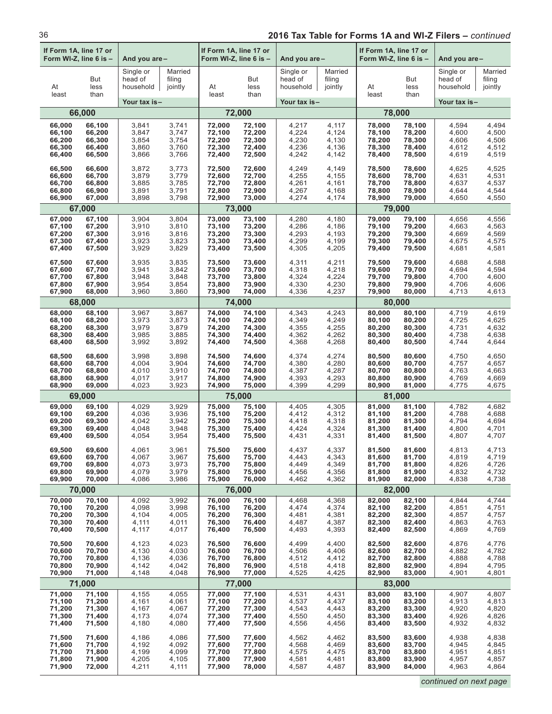| If Form 1A, line 17 or<br>Form WI-Z, line 6 is -<br>And you are- |                     | If Form 1A, line 17 or<br>Form WI-Z, line 6 is - |                              | And you are - |                     | If Form 1A, line 17 or<br>Form WI-Z, line 6 is - |                              | And you are- |                     |                                   |                              |  |
|------------------------------------------------------------------|---------------------|--------------------------------------------------|------------------------------|---------------|---------------------|--------------------------------------------------|------------------------------|--------------|---------------------|-----------------------------------|------------------------------|--|
| At<br>least                                                      | But<br>less<br>than | Single or<br>head of<br>household                | Married<br>filing<br>jointly | At<br>least   | But<br>less<br>than | Single or<br>head of<br>household                | Married<br>filing<br>jointly | At<br>least  | But<br>less<br>than | Single or<br>head of<br>household | Married<br>filing<br>jointly |  |
|                                                                  |                     | Your tax is-                                     |                              |               |                     | Your tax is-                                     |                              |              |                     | Your tax is-                      |                              |  |
|                                                                  | 66,000              |                                                  |                              |               | 72,000              |                                                  |                              |              | 78,000              |                                   |                              |  |
| 66,000                                                           | 66,100              | 3,841                                            | 3,741                        | 72,000        | 72,100              | 4,217                                            | 4,117                        | 78,000       | 78,100              | 4,594                             | 4,494                        |  |
| 66,100                                                           | 66,200              | 3,847                                            | 3,747                        | 72,100        | 72,200              | 4,224                                            | 4,124                        | 78,100       | 78,200              | 4,600                             | 4,500                        |  |
| 66,200                                                           | 66,300              | 3,854                                            | 3,754                        | 72,200        | 72,300              | 4,230                                            | 4,130                        | 78,200       | 78,300              | 4,606                             | 4,506                        |  |
| 66,300                                                           | 66,400              | 3,860                                            | 3,760                        | 72,300        | 72,400              | 4,236                                            | 4,136                        | 78,300       | 78,400              | 4,612                             | 4,512                        |  |
| 66,400                                                           | 66,500              | 3,866                                            | 3,766                        | 72,400        | 72,500              | 4,242                                            | 4,142                        | 78,400       | 78,500              | 4,619                             | 4,519                        |  |
| 66,500                                                           | 66,600              | 3,872                                            | 3,773                        | 72,500        | 72,600              | 4,249                                            | 4,149                        | 78,500       | 78,600              | 4,625                             | 4,525                        |  |
| 66,600                                                           | 66,700              | 3,879                                            | 3,779                        | 72,600        | 72,700              | 4,255                                            | 4,155                        | 78,600       | 78,700              | 4,631                             | 4,531                        |  |
| 66,700                                                           | 66,800              | 3,885                                            | 3,785                        | 72,700        | 72,800              | 4,261                                            | 4,161                        | 78,700       | 78,800              | 4,637                             | 4,537                        |  |
| 66,800                                                           | 66,900              | 3,891                                            | 3,791                        | 72,800        | 72,900              | 4,267                                            | 4,168                        | 78,800       | 78,900              | 4,644                             | 4,544                        |  |
| 66,900                                                           | 67,000              | 3,898                                            | 3,798                        | 72,900        | 73,000              | 4,274                                            | 4,174                        | 78,900       | 79,000              | 4,650                             | 4,550                        |  |
|                                                                  | 67,000              |                                                  |                              |               | 73,000              |                                                  |                              |              | 79,000              |                                   |                              |  |
| 67,000                                                           | 67,100              | 3,904                                            | 3,804                        | 73.000        | 73,100              | 4,280                                            | 4,180                        | 79,000       | 79,100              | 4,656                             | 4,556                        |  |
| 67,100                                                           | 67,200              | 3,910                                            | 3,810                        | 73,100        | 73,200              | 4,286                                            | 4,186                        | 79,100       | 79,200              | 4,663                             | 4,563                        |  |
| 67,200                                                           | 67,300              | 3,916                                            | 3,816                        | 73,200        | 73,300              | 4,293                                            | 4,193                        | 79,200       | 79,300              | 4,669                             | 4,569                        |  |
| 67,300                                                           | 67,400              | 3,923                                            | 3,823                        | 73,300        | 73,400              | 4,299                                            | 4,199                        | 79,300       | 79,400              | 4,675                             | 4,575                        |  |
| 67,400                                                           | 67,500              | 3,929                                            | 3,829                        | 73,400        | 73,500              | 4,305                                            | 4,205                        | 79,400       | 79,500              | 4,681                             | 4,581                        |  |
| 67,500                                                           | 67,600              | 3,935                                            | 3,835                        | 73,500        | 73,600              | 4,311                                            | 4,211                        | 79,500       | 79,600              | 4,688                             | 4,588                        |  |
| 67,600                                                           | 67,700              | 3,941                                            | 3,842                        | 73,600        | 73,700              | 4,318                                            | 4,218                        | 79,600       | 79,700              | 4,694                             | 4,594                        |  |
| 67,700                                                           | 67,800              | 3,948                                            | 3,848                        | 73,700        | 73,800              | 4,324                                            | 4,224                        | 79,700       | 79,800              | 4,700                             | 4,600                        |  |
| 67,800                                                           | 67,900              | 3,954                                            | 3,854                        | 73,800        | 73,900              | 4,330                                            | 4,230                        | 79,800       | 79,900              | 4,706                             | 4,606                        |  |
| 67,900                                                           | 68,000              | 3,960                                            | 3,860                        | 73,900        | 74,000              | 4,336                                            | 4,237                        | 79,900       | 80,000              | 4,713                             | 4,613                        |  |
|                                                                  | 68,000              |                                                  |                              |               | 74,000              |                                                  |                              |              | 80,000              |                                   |                              |  |
| 68,000                                                           | 68,100              | 3,967                                            | 3,867                        | 74,000        | 74,100              | 4,343                                            | 4,243                        | 80,000       | 80,100              | 4,719                             | 4,619                        |  |
| 68,100                                                           | 68,200              | 3,973                                            | 3,873                        | 74,100        | 74,200              | 4,349                                            | 4,249                        | 80,100       | 80,200              | 4,725                             | 4,625                        |  |
| 68,200                                                           | 68,300              | 3,979                                            | 3,879                        | 74,200        | 74,300              | 4,355                                            | 4,255                        | 80,200       | 80,300              | 4,731                             | 4,632                        |  |
| 68,300                                                           | 68,400              | 3,985                                            | 3,885                        | 74,300        | 74,400              | 4,362                                            | 4,262                        | 80,300       | 80,400              | 4,738                             | 4,638                        |  |
| 68,400                                                           | 68,500              | 3,992                                            | 3,892                        | 74,400        | 74,500              | 4,368                                            | 4,268                        | 80,400       | 80,500              | 4,744                             | 4,644                        |  |
| 68,500                                                           | 68,600              | 3,998                                            | 3,898                        | 74,500        | 74,600              | 4,374                                            | 4,274                        | 80,500       | 80,600              | 4,750                             | 4,650                        |  |
| 68,600                                                           | 68,700              | 4,004                                            | 3,904                        | 74,600        | 74,700              | 4,380                                            | 4,280                        | 80,600       | 80,700              | 4,757                             | 4,657                        |  |
| 68,700                                                           | 68,800              | 4,010                                            | 3,910                        | 74,700        | 74,800              | 4,387                                            | 4,287                        | 80,700       | 80,800              | 4,763                             | 4,663                        |  |
| 68,800                                                           | 68,900              | 4,017                                            | 3,917                        | 74,800        | 74,900              | 4,393                                            | 4,293                        | 80,800       | 80,900              | 4,769                             | 4,669                        |  |
| 68,900                                                           | 69,000              | 4,023                                            | 3,923                        | 74,900        | 75,000              | 4,399                                            | 4,299                        | 80,900       | 81,000              | 4,775                             | 4,675                        |  |
|                                                                  | 69,000              |                                                  |                              |               | 75,000              |                                                  |                              |              | 81,000              |                                   |                              |  |
| 69,000                                                           | 69,100              | 4,029                                            | 3,929                        | 75,000        | 75,100              | 4,405                                            | 4,305                        | 81,000       | 81,100              | 4,782                             | 4,682                        |  |
| 69,100                                                           | 69,200              | 4,036                                            | 3,936                        | 75,100        | 75,200              | 4,412                                            | 4,312                        | 81,100       | 81,200              | 4,788                             | 4,688                        |  |
| 69,200                                                           | 69,300              | 4,042                                            | 3,942                        | 75,200        | 75,300              | 4,418                                            | 4,318                        | 81,200       | 81,300              | 4,794                             | 4,694                        |  |
| 69,300                                                           | 69,400              | 4,048                                            | 3,948                        | 75,300        | 75,400              | 4,424                                            | 4,324                        | 81,300       | 81,400              | 4,800                             | 4,701                        |  |
| 69,400                                                           | 69,500              | 4,054                                            | 3,954                        | 75,400        | 75,500              | 4,431                                            | 4,331                        | 81,400       | 81,500              | 4,807                             | 4,707                        |  |
| 69,500                                                           | 69,600              | 4,061                                            | 3,961                        | 75,500        | 75,600              | 4,437                                            | 4,337                        | 81,500       | 81,600              | 4,813                             | 4,713                        |  |
| 69,600                                                           | 69,700              | 4,067                                            | 3,967                        | 75,600        | 75,700              | 4,443                                            | 4,343                        | 81,600       | 81,700              | 4,819                             | 4,719                        |  |
| 69,700                                                           | 69,800              | 4,073                                            | 3,973                        | 75,700        | 75,800              | 4,449                                            | 4,349                        | 81,700       | 81,800              | 4,826                             | 4,726                        |  |
| 69,800                                                           | 69,900              | 4,079                                            | 3,979                        | 75,800        | 75,900              | 4,456                                            | 4,356                        | 81,800       | 81,900              | 4,832                             | 4,732                        |  |
| 69,900                                                           | 70,000              | 4,086                                            | 3,986                        | 75,900        | 76,000              | 4,462                                            | 4,362                        | 81,900       | 82,000              | 4,838                             | 4,738                        |  |
|                                                                  | 70,000              |                                                  |                              |               | 76,000              |                                                  |                              |              | 82,000              |                                   |                              |  |
| 70,000                                                           | 70,100              | 4,092                                            | 3,992                        | 76,000        | 76,100              | 4,468                                            | 4,368                        | 82,000       | 82,100              | 4,844                             | 4,744                        |  |
| 70,100                                                           | 70,200              | 4,098                                            | 3,998                        | 76,100        | 76,200              | 4,474                                            | 4,374                        | 82,100       | 82,200              | 4,851                             | 4,751                        |  |
| 70,200                                                           | 70,300              | 4,104                                            | 4,005                        | 76,200        | 76,300              | 4,481                                            | 4,381                        | 82,200       | 82,300              | 4,857                             | 4,757                        |  |
| 70,300                                                           | 70,400              | 4,111                                            | 4,011                        | 76,300        | 76,400              | 4,487                                            | 4,387                        | 82,300       | 82,400              | 4,863                             | 4,763                        |  |
| 70,400                                                           | 70,500              | 4,117                                            | 4,017                        | 76,400        | 76,500              | 4,493                                            | 4,393                        | 82,400       | 82,500              | 4,869                             | 4,769                        |  |
| 70,500                                                           | 70,600              | 4,123                                            | 4,023                        | 76,500        | 76,600              | 4,499                                            | 4,400                        | 82,500       | 82,600              | 4,876                             | 4,776                        |  |
| 70,600                                                           | 70,700              | 4,130                                            | 4,030                        | 76,600        | 76,700              | 4,506                                            | 4,406                        | 82,600       | 82,700              | 4,882                             | 4,782                        |  |
| 70,700                                                           | 70,800              | 4,136                                            | 4,036                        | 76,700        | 76,800              | 4,512                                            | 4,412                        | 82,700       | 82,800              | 4,888                             | 4,788                        |  |
| 70,800                                                           | 70,900              | 4,142                                            | 4,042                        | 76,800        | 76,900              | 4,518                                            | 4,418                        | 82,800       | 82,900              | 4,894                             | 4,795                        |  |
| 70,900                                                           | 71,000              | 4,148                                            | 4,048                        | 76,900        | 77,000              | 4,525                                            | 4,425                        | 82,900       | 83,000              | 4,901                             | 4,801                        |  |
|                                                                  | 71,000              |                                                  |                              |               | 77,000              |                                                  |                              | 83,000       |                     |                                   |                              |  |
| 71,000                                                           | 71,100              | 4,155                                            | 4,055                        | 77,000        | 77,100              | 4,531                                            | 4,431                        | 83,000       | 83,100              | 4,907                             | 4,807                        |  |
| 71,100                                                           | 71,200              | 4,161                                            | 4,061                        | 77,100        | 77,200              | 4,537                                            | 4,437                        | 83,100       | 83,200              | 4,913                             | 4,813                        |  |
| 71,200                                                           | 71,300              | 4,167                                            | 4,067                        | 77,200        | 77,300              | 4,543                                            | 4,443                        | 83,200       | 83,300              | 4,920                             | 4,820                        |  |
| 71,300                                                           | 71,400              | 4,173                                            | 4,074                        | 77,300        | 77,400              | 4,550                                            | 4,450                        | 83,300       | 83,400              | 4,926                             | 4,826                        |  |
| 71,400                                                           | 71,500              | 4,180                                            | 4,080                        | 77,400        | 77,500              | 4,556                                            | 4,456                        | 83,400       | 83,500              | 4,932                             | 4,832                        |  |
| 71,500                                                           | 71,600              | 4,186                                            | 4,086                        | 77,500        | 77,600              | 4,562                                            | 4,462                        | 83,500       | 83,600              | 4,938                             | 4,838                        |  |
| 71,600                                                           | 71,700              | 4,192                                            | 4,092                        | 77,600        | 77,700              | 4,568                                            | 4,469                        | 83,600       | 83,700              | 4,945                             | 4,845                        |  |
| 71,700                                                           | 71,800              | 4,199                                            | 4,099                        | 77,700        | 77,800              | 4,575                                            | 4,475                        | 83,700       | 83,800              | 4,951                             | 4,851                        |  |
| 71,800                                                           | 71,900              | 4,205                                            | 4,105                        | 77,800        | 77,900              | 4,581                                            | 4,481                        | 83,800       | 83,900              | 4,957                             | 4,857                        |  |
| 71,900                                                           | 72,000              | 4,211                                            | 4,111                        | 77,900        | 78,000              | 4,587                                            | 4,487                        | 83,900       | 84,000              | 4,963                             | 4,864                        |  |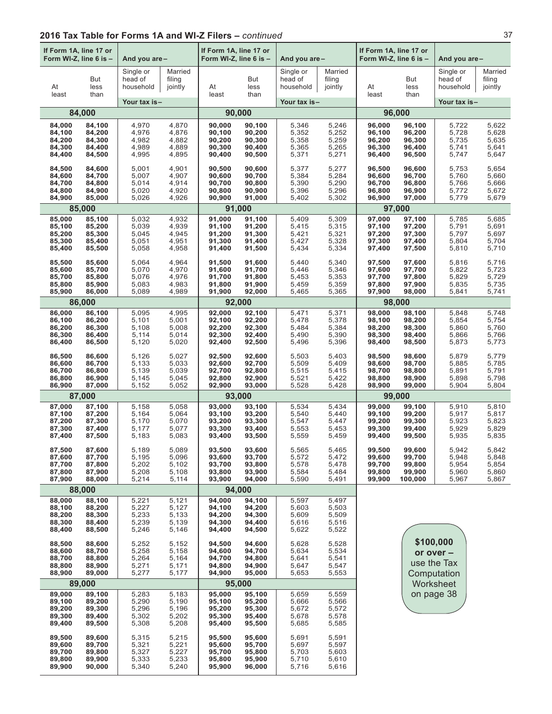| If Form 1A, line 17 or<br>Form WI-Z, line 6 is -<br>And you are- |                                                | If Form 1A, line 17 or<br>Form WI-Z, line 6 is -  |                                           | And you are -                                  |                                                | If Form 1A, line 17 or<br>Form WI-Z, line 6 is -  |                                           | And you are-                                         |                                                 |                                                   |                                           |
|------------------------------------------------------------------|------------------------------------------------|---------------------------------------------------|-------------------------------------------|------------------------------------------------|------------------------------------------------|---------------------------------------------------|-------------------------------------------|------------------------------------------------------|-------------------------------------------------|---------------------------------------------------|-------------------------------------------|
| At<br>least                                                      | But<br>less<br>than                            | Single or<br>head of<br>household<br>Your tax is- | Married<br>filing<br>jointly              | At<br>least                                    | But<br>less<br>than                            | Single or<br>head of<br>household<br>Your tax is- | Married<br>filing<br>jointly              | At<br>least                                          | But<br>less<br>than                             | Single or<br>head of<br>household<br>Your tax is- | Married<br>filing<br>jointly              |
|                                                                  | 84,000                                         |                                                   |                                           | 90,000                                         |                                                |                                                   |                                           |                                                      | 96,000                                          |                                                   |                                           |
| 84,000<br>84,100<br>84,200<br>84,300<br>84,400                   | 84,100<br>84,200<br>84,300<br>84,400<br>84,500 | 4,970<br>4,976<br>4,982<br>4,989<br>4,995         | 4,870<br>4,876<br>4,882<br>4,889<br>4,895 | 90,000<br>90,100<br>90,200<br>90,300<br>90,400 | 90,100<br>90,200<br>90,300<br>90,400<br>90,500 | 5,346<br>5,352<br>5,358<br>5,365<br>5,371         | 5,246<br>5,252<br>5,259<br>5,265<br>5,271 | 96,000<br>96,100<br>96,200<br>96,300<br>96,400       | 96,100<br>96,200<br>96,300<br>96,400<br>96,500  | 5,722<br>5,728<br>5,735<br>5,741<br>5,747         | 5,622<br>5,628<br>5,635<br>5,641<br>5,647 |
| 84,500<br>84,600<br>84,700<br>84,800<br>84,900                   | 84,600<br>84,700<br>84,800<br>84,900<br>85,000 | 5,001<br>5,007<br>5,014<br>5,020<br>5,026         | 4,901<br>4,907<br>4,914<br>4,920<br>4,926 | 90,500<br>90,600<br>90,700<br>90,800<br>90,900 | 90,600<br>90,700<br>90,800<br>90,900<br>91,000 | 5,377<br>5,384<br>5,390<br>5,396<br>5,402         | 5,277<br>5,284<br>5,290<br>5,296<br>5,302 | 96,500<br>96,600<br>96,700<br>96,800<br>96,900       | 96,600<br>96,700<br>96,800<br>96,900<br>97,000  | 5,753<br>5,760<br>5,766<br>5,772<br>5,779         | 5,654<br>5,660<br>5,666<br>5,672<br>5,679 |
|                                                                  | 85,000                                         |                                                   |                                           | 91,000                                         |                                                |                                                   |                                           |                                                      | 97,000                                          |                                                   |                                           |
| 85,000<br>85,100<br>85,200<br>85,300<br>85,400                   | 85,100<br>85,200<br>85,300<br>85,400<br>85,500 | 5,032<br>5,039<br>5,045<br>5,051<br>5,058         | 4,932<br>4,939<br>4,945<br>4,951<br>4,958 | 91,000<br>91,100<br>91,200<br>91,300<br>91,400 | 91,100<br>91,200<br>91,300<br>91,400<br>91,500 | 5,409<br>5,415<br>5,421<br>5,427<br>5,434         | 5,309<br>5,315<br>5,321<br>5,328<br>5,334 | 97,000<br>97,100<br>97,200<br>97,300<br>97,400       | 97,100<br>97,200<br>97,300<br>97,400<br>97,500  | 5,785<br>5,791<br>5,797<br>5,804<br>5,810         | 5,685<br>5,691<br>5,697<br>5,704<br>5,710 |
| 85,500<br>85,600<br>85,700<br>85,800<br>85,900                   | 85,600<br>85,700<br>85,800<br>85,900<br>86,000 | 5,064<br>5,070<br>5,076<br>5,083<br>5,089         | 4,964<br>4,970<br>4,976<br>4,983<br>4,989 | 91,500<br>91,600<br>91,700<br>91,800<br>91,900 | 91,600<br>91,700<br>91,800<br>91,900<br>92,000 | 5,440<br>5,446<br>5,453<br>5,459<br>5,465         | 5,340<br>5,346<br>5,353<br>5,359<br>5,365 | 97,500<br>97,600<br>97,700<br>97,800<br>97,900       | 97,600<br>97,700<br>97,800<br>97,900<br>98,000  | 5,816<br>5,822<br>5,829<br>5,835<br>5,841         | 5,716<br>5,723<br>5,729<br>5,735<br>5,741 |
|                                                                  | 86,000                                         |                                                   |                                           | 92,000                                         |                                                |                                                   |                                           |                                                      | 98,000                                          |                                                   |                                           |
| 86,000<br>86,100<br>86,200<br>86,300<br>86,400                   | 86,100<br>86,200<br>86,300<br>86,400<br>86,500 | 5,095<br>5,101<br>5,108<br>5,114<br>5,120         | 4,995<br>5,001<br>5,008<br>5,014<br>5,020 | 92,000<br>92,100<br>92,200<br>92,300<br>92,400 | 92,100<br>92,200<br>92,300<br>92,400<br>92,500 | 5,471<br>5,478<br>5,484<br>5,490<br>5,496         | 5,371<br>5,378<br>5,384<br>5,390<br>5,396 | 98,000<br>98,100<br>98,200<br>98,300<br>98,400       | 98,100<br>98,200<br>98,300<br>98,400<br>98,500  | 5,848<br>5,854<br>5,860<br>5,866<br>5,873         | 5,748<br>5,754<br>5,760<br>5,766<br>5,773 |
| 86,500<br>86,600<br>86,700<br>86,800<br>86,900                   | 86,600<br>86,700<br>86,800<br>86,900<br>87,000 | 5,126<br>5,133<br>5,139<br>5,145<br>5,152         | 5,027<br>5,033<br>5,039<br>5,045<br>5,052 | 92,500<br>92,600<br>92,700<br>92,800<br>92,900 | 92,600<br>92,700<br>92,800<br>92,900<br>93,000 | 5,503<br>5,509<br>5,515<br>5,521<br>5,528         | 5,403<br>5,409<br>5,415<br>5,422<br>5,428 | 98,500<br>98,600<br>98,700<br>98,800<br>98,900       | 98,600<br>98,700<br>98,800<br>98,900<br>99,000  | 5,879<br>5,885<br>5,891<br>5,898<br>5,904         | 5,779<br>5,785<br>5,791<br>5,798<br>5,804 |
|                                                                  | 87,000                                         |                                                   |                                           | 93,000                                         |                                                |                                                   |                                           |                                                      | 99,000                                          |                                                   |                                           |
| 87,000<br>87,100<br>87,200<br>87,300<br>87,400                   | 87,100<br>87,200<br>87,300<br>87,400<br>87,500 | 5,158<br>5,164<br>5,170<br>5,177<br>5,183         | 5,058<br>5,064<br>5,070<br>5,077<br>5,083 | 93,000<br>93,100<br>93,200<br>93,300<br>93,400 | 93,100<br>93,200<br>93,300<br>93,400<br>93,500 | 5,534<br>5,540<br>5,547<br>5,553<br>5,559         | 5,434<br>5,440<br>5,447<br>5,453<br>5,459 | 99,000<br>99,100<br>99,200<br>99,300<br>99,400       | 99,100<br>99,200<br>99,300<br>99,400<br>99,500  | 5,910<br>5,917<br>5,923<br>5,929<br>5,935         | 5,810<br>5,817<br>5,823<br>5,829<br>5,835 |
| 87,500<br>87,600<br>87,700<br>87,800<br>87,900                   | 87,600<br>87,700<br>87,800<br>87,900<br>88,000 | 5,189<br>5,195<br>5,202<br>5,208<br>5,214         | 5,089<br>5,096<br>5,102<br>5,108<br>5,114 | 93,500<br>93,600<br>93,700<br>93,800<br>93,900 | 93,600<br>93,700<br>93,800<br>93,900<br>94,000 | 5,565<br>5,572<br>5,578<br>5,584<br>5,590         | 5,465<br>5,472<br>5,478<br>5,484<br>5,491 | 99,500<br>99,600<br>99,700<br>99,800<br>99,900       | 99,600<br>99,700<br>99,800<br>99,900<br>100,000 | 5,942<br>5,948<br>5,954<br>5,960<br>5,967         | 5,842<br>5,848<br>5,854<br>5,860<br>5,867 |
|                                                                  | 88,000                                         |                                                   |                                           | 94,000                                         |                                                |                                                   |                                           |                                                      |                                                 |                                                   |                                           |
| 88,000<br>88,100<br>88,200<br>88,300<br>88,400                   | 88,100<br>88,200<br>88,300<br>88,400<br>88,500 | 5,221<br>5,227<br>5,233<br>5,239<br>5,246         | 5,121<br>5,127<br>5,133<br>5,139<br>5,146 | 94.000<br>94,100<br>94,200<br>94,300<br>94,400 | 94,100<br>94,200<br>94,300<br>94,400<br>94,500 | 5,597<br>5,603<br>5,609<br>5,616<br>5,622         | 5,497<br>5,503<br>5,509<br>5,516<br>5,522 |                                                      |                                                 |                                                   |                                           |
| 88,500<br>88,600<br>88,700<br>88,800<br>88,900                   | 88,600<br>88,700<br>88,800<br>88,900<br>89,000 | 5,252<br>5,258<br>5,264<br>5,271<br>5,277         | 5,152<br>5,158<br>5,164<br>5,171<br>5,177 | 94,500<br>94,600<br>94,700<br>94,800<br>94,900 | 94,600<br>94,700<br>94,800<br>94,900<br>95,000 | 5,628<br>5,634<br>5,641<br>5,647<br>5,653         | 5,528<br>5,534<br>5,541<br>5,547<br>5,553 | \$100,000<br>or over -<br>use the Tax<br>Computation |                                                 |                                                   |                                           |
|                                                                  | 89,000                                         |                                                   |                                           | 95,000                                         |                                                |                                                   |                                           |                                                      |                                                 | Worksheet                                         |                                           |
| 89,000<br>89,100<br>89,200<br>89,300<br>89,400                   | 89,100<br>89,200<br>89,300<br>89,400<br>89,500 | 5,283<br>5,290<br>5,296<br>5,302<br>5,308         | 5,183<br>5,190<br>5,196<br>5,202<br>5,208 | 95,000<br>95,100<br>95,200<br>95,300<br>95,400 | 95,100<br>95,200<br>95,300<br>95,400<br>95,500 | 5,659<br>5,666<br>5,672<br>5,678<br>5,685         | 5,559<br>5,566<br>5,572<br>5,578<br>5,585 |                                                      |                                                 | on page 38                                        |                                           |
| 89,500<br>89,600<br>89,700<br>89,800<br>89,900                   | 89,600<br>89,700<br>89,800<br>89,900<br>90,000 | 5,315<br>5,321<br>5,327<br>5,333<br>5,340         | 5,215<br>5,221<br>5,227<br>5,233<br>5,240 | 95,500<br>95,600<br>95,700<br>95,800<br>95,900 | 95,600<br>95,700<br>95,800<br>95,900<br>96,000 | 5,691<br>5,697<br>5,703<br>5,710<br>5,716         | 5,591<br>5,597<br>5,603<br>5,610<br>5,616 |                                                      |                                                 |                                                   |                                           |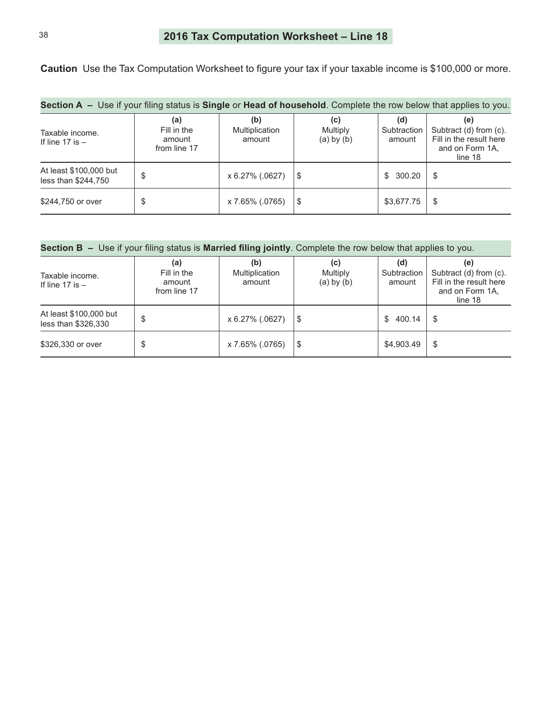<span id="page-37-0"></span>**Caution** Use the Tax Computation Worksheet to figure your tax if your taxable income is \$100,000 or more.

| <b>Section A</b> – Use if your filing status is <b>Single</b> or <b>Head of household</b> . Complete the row below that applies to you. |                                              |                                 |                                   |                              |                                                                                        |  |  |  |  |  |
|-----------------------------------------------------------------------------------------------------------------------------------------|----------------------------------------------|---------------------------------|-----------------------------------|------------------------------|----------------------------------------------------------------------------------------|--|--|--|--|--|
| Taxable income.<br>If line 17 is $-$                                                                                                    | (a)<br>Fill in the<br>amount<br>from line 17 | (b)<br>Multiplication<br>amount | (C)<br>Multiply<br>$(a)$ by $(b)$ | (d)<br>Subtraction<br>amount | (e)<br>Subtract (d) from (c).<br>Fill in the result here<br>and on Form 1A.<br>line 18 |  |  |  |  |  |
| At least \$100,000 but<br>less than \$244,750                                                                                           | \$                                           | x 6.27% (.0627)                 | S                                 | 300.20<br>SS.                | \$                                                                                     |  |  |  |  |  |
| \$244,750 or over                                                                                                                       | \$                                           | x 7.65% (.0765)                 | \$                                | \$3,677.75                   | \$                                                                                     |  |  |  |  |  |

| Section B - Use if your filing status is Married filing jointly. Complete the row below that applies to you. |  |
|--------------------------------------------------------------------------------------------------------------|--|
|--------------------------------------------------------------------------------------------------------------|--|

| Taxable income.<br>If line $17$ is $-$        | (a)<br>Fill in the<br>amount<br>from line 17 | (b)<br>Multiplication<br>amount | (c)<br><b>Multiply</b><br>$(a)$ by $(b)$ | (d)<br>Subtraction<br>amount | (e)<br>Subtract (d) from (c).<br>Fill in the result here<br>and on Form 1A,<br>line 18 |
|-----------------------------------------------|----------------------------------------------|---------------------------------|------------------------------------------|------------------------------|----------------------------------------------------------------------------------------|
| At least \$100,000 but<br>less than \$326,330 | \$                                           | x 6.27% (.0627)                 | S                                        | 400.14<br>S.                 | \$                                                                                     |
| \$326,330 or over                             | \$                                           | x 7.65% (.0765)                 | \$                                       | \$4,903.49                   | \$                                                                                     |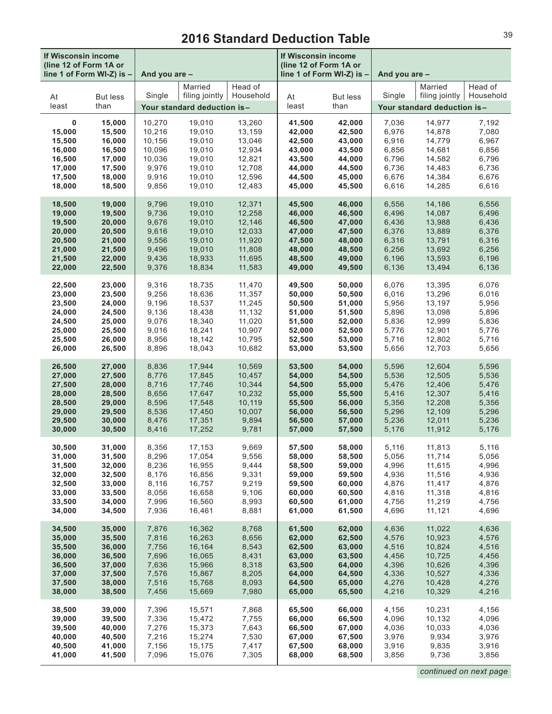## **2016 Standard Deduction Table**

<span id="page-38-0"></span>

| If Wisconsin income<br>(line 12 of Form 1A or<br>line 1 of Form WI-Z) is - |                         | And you are - |                                                          |                      | If Wisconsin income<br>(line 12 of Form 1A or | line 1 of Form WI-Z) is - | And you are - |                                                          |                      |  |
|----------------------------------------------------------------------------|-------------------------|---------------|----------------------------------------------------------|----------------------|-----------------------------------------------|---------------------------|---------------|----------------------------------------------------------|----------------------|--|
| At<br>least                                                                | <b>But less</b><br>than | Single        | Married<br>filing jointly<br>Your standard deduction is- | Head of<br>Household | At<br>least                                   | <b>But less</b><br>than   | Single        | Married<br>filing jointly<br>Your standard deduction is- | Head of<br>Household |  |
| 0                                                                          | 15,000                  | 10,270        | 19,010                                                   | 13,260               | 41,500                                        | 42,000                    | 7,036         | 14,977                                                   | 7,192                |  |
| 15,000                                                                     | 15,500                  | 10,216        | 19,010                                                   | 13,159               | 42,000                                        | 42,500                    | 6,976         | 14,878                                                   | 7,080                |  |
| 15,500                                                                     | 16,000                  | 10,156        | 19,010                                                   | 13,046               | 42,500                                        | 43,000                    | 6,916         | 14,779                                                   | 6,967                |  |
| 16,000                                                                     | 16,500                  | 10.096        | 19,010                                                   | 12,934               | 43,000                                        | 43,500                    | 6,856         | 14,681                                                   | 6,856                |  |
| 16,500                                                                     | 17,000                  | 10,036        | 19,010                                                   | 12,821               | 43,500                                        | 44,000                    | 6,796         | 14,582                                                   | 6,796                |  |
| 17,000                                                                     | 17,500                  | 9,976         | 19,010                                                   | 12,708               | 44,000                                        | 44,500                    | 6,736         | 14,483                                                   | 6,736                |  |
| 17,500                                                                     | 18,000                  | 9,916         | 19,010                                                   | 12,596               | 44,500                                        | 45,000                    | 6,676         | 14,384                                                   | 6,676                |  |
| 18,000                                                                     | 18,500                  | 9,856         | 19,010                                                   | 12,483               | 45,000                                        | 45,500                    | 6,616         | 14,285                                                   | 6,616                |  |
| 18,500                                                                     | 19,000                  | 9,796         | 19,010                                                   | 12,371               | 45,500                                        | 46,000                    | 6,556         | 14,186                                                   | 6,556                |  |
| 19,000                                                                     | 19,500                  | 9,736         | 19,010                                                   | 12,258               | 46,000                                        | 46,500                    | 6,496         | 14,087                                                   | 6,496                |  |
| 19,500                                                                     | 20,000                  | 9,676         | 19,010                                                   | 12,146               | 46,500                                        | 47,000                    | 6,436         | 13,988                                                   | 6,436                |  |
| 20,000                                                                     | 20,500                  | 9,616         | 19,010                                                   | 12,033               | 47,000                                        | 47,500                    | 6,376         | 13,889                                                   | 6,376                |  |
| 20,500                                                                     | 21,000                  | 9,556         | 19,010                                                   | 11,920               | 47,500                                        | 48,000                    | 6,316         | 13,791                                                   | 6,316                |  |
| 21,000                                                                     | 21,500                  | 9,496         | 19,010                                                   | 11,808               | 48,000                                        | 48,500                    | 6,256         | 13,692                                                   | 6,256                |  |
| 21,500                                                                     | 22,000                  | 9,436         | 18,933                                                   | 11,695               | 48,500                                        | 49,000                    | 6,196         | 13,593                                                   | 6,196                |  |
| 22,000                                                                     | 22,500                  | 9,376         | 18,834                                                   | 11,583               | 49,000                                        | 49,500                    | 6,136         | 13,494                                                   | 6,136                |  |
| 22,500                                                                     | 23,000                  | 9,316         | 18,735                                                   | 11,470               | 49,500                                        | 50,000                    | 6,076         | 13,395                                                   | 6,076                |  |
| 23,000                                                                     | 23,500                  | 9,256         | 18,636                                                   | 11,357               | 50,000                                        | 50,500                    | 6,016         | 13,296                                                   | 6,016                |  |
| 23,500                                                                     | 24,000                  | 9,196         | 18,537                                                   | 11,245               | 50,500                                        | 51,000                    | 5,956         | 13,197                                                   | 5,956                |  |
| 24,000                                                                     | 24,500                  | 9,136         | 18,438                                                   | 11,132               | 51,000                                        | 51,500                    | 5,896         | 13,098                                                   | 5,896                |  |
| 24,500                                                                     | 25,000                  | 9,076         | 18,340                                                   | 11,020               | 51,500                                        | 52,000                    | 5,836         | 12,999                                                   | 5,836                |  |
| 25,000                                                                     | 25,500                  | 9,016         | 18,241                                                   | 10,907               | 52,000                                        | 52,500                    | 5,776         | 12,901                                                   | 5,776                |  |
| 25,500                                                                     | 26,000                  | 8,956         | 18,142                                                   | 10,795               | 52,500                                        | 53,000                    | 5,716         | 12,802                                                   | 5,716                |  |
| 26,000                                                                     | 26,500                  | 8,896         | 18,043                                                   | 10,682               | 53,000                                        | 53,500                    | 5,656         | 12,703                                                   | 5,656                |  |
| 26,500                                                                     | 27,000                  | 8,836         | 17,944                                                   | 10,569               | 53,500                                        | 54,000                    | 5,596         | 12,604                                                   | 5,596                |  |
| 27,000                                                                     | 27,500                  | 8,776         | 17,845                                                   | 10,457               | 54,000                                        | 54,500                    | 5,536         | 12,505                                                   | 5,536                |  |
| 27,500                                                                     | 28,000                  | 8,716         | 17,746                                                   | 10,344               | 54,500                                        | 55,000                    | 5,476         | 12,406                                                   | 5,476                |  |
| 28,000                                                                     | 28,500                  | 8,656         | 17,647                                                   | 10,232               | 55,000                                        | 55,500                    | 5,416         | 12,307                                                   | 5,416                |  |
| 28,500                                                                     | 29,000                  | 8,596         | 17,548                                                   | 10,119               | 55,500                                        | 56,000                    | 5,356         | 12,208                                                   | 5,356                |  |
| 29,000                                                                     | 29,500                  | 8,536         | 17,450                                                   | 10,007               | 56,000                                        | 56,500                    | 5,296         | 12,109                                                   | 5,296                |  |
| 29,500                                                                     | 30,000                  | 8,476         | 17,351                                                   | 9,894                | 56,500                                        | 57,000                    | 5,236         | 12,011                                                   | 5,236                |  |
| 30,000                                                                     | 30,500                  | 8,416         | 17,252                                                   | 9,781                | 57,000                                        | 57,500                    | 5,176         | 11,912                                                   | 5,176                |  |
| 30,500                                                                     | 31,000                  | 8,356         | 17,153                                                   | 9,669                | 57,500                                        | 58,000                    | 5,116         | 11,813                                                   | 5,116                |  |
| 31,000                                                                     | 31,500                  | 8,296         | 17,054                                                   | 9,556                | 58,000                                        | 58,500                    | 5,056         | 11,714                                                   | 5,056                |  |
| 31,500                                                                     | 32,000                  | 8,236         | 16,955                                                   | 9,444                | 58,500                                        | 59,000                    | 4,996         | 11,615                                                   | 4,996                |  |
| 32,000                                                                     | 32,500                  | 8,176         | 16,856                                                   | 9,331                | 59,000                                        | 59,500                    | 4,936         | 11,516                                                   | 4,936                |  |
| 32,500                                                                     | 33,000                  | 8,116         | 16,757                                                   | 9,219                | 59,500                                        | 60,000                    | 4,876         | 11,417                                                   | 4,876                |  |
| 33,000                                                                     | 33,500                  | 8,056         | 16,658                                                   | 9,106                | 60,000                                        | 60,500                    | 4,816         | 11,318                                                   | 4,816                |  |
| 33,500                                                                     | 34,000                  | 7,996         | 16,560                                                   | 8,993                | 60,500                                        | 61,000                    | 4,756         | 11,219                                                   | 4,756                |  |
| 34,000                                                                     | 34,500                  | 7,936         | 16,461                                                   | 8,881                | 61,000                                        | 61,500                    | 4,696         | 11,121                                                   | 4,696                |  |
| 34,500                                                                     | 35,000                  | 7,876         | 16,362                                                   | 8,768                | 61,500                                        | 62,000                    | 4,636         | 11,022                                                   | 4,636                |  |
| 35,000                                                                     | 35,500                  | 7,816         | 16,263                                                   | 8,656                | 62,000                                        | 62,500                    | 4,576         | 10,923                                                   | 4,576                |  |
| 35,500                                                                     | 36,000                  | 7,756         | 16,164                                                   | 8,543                | 62,500                                        | 63,000                    | 4,516         | 10,824                                                   | 4,516                |  |
| 36,000                                                                     | 36,500                  | 7,696         | 16,065                                                   | 8,431                | 63,000                                        | 63,500                    | 4,456         | 10,725                                                   | 4,456                |  |
| 36,500                                                                     | 37,000                  | 7,636         | 15,966                                                   | 8,318                | 63,500                                        | 64,000                    | 4,396         | 10,626                                                   | 4,396                |  |
| 37,000                                                                     | 37,500                  | 7,576         | 15,867                                                   | 8,205                | 64,000                                        | 64,500                    | 4,336         | 10,527                                                   | 4,336                |  |
| 37,500                                                                     | 38,000                  | 7,516         | 15,768                                                   | 8,093                | 64,500                                        | 65,000                    | 4,276         | 10,428                                                   | 4,276                |  |
| 38,000                                                                     | 38,500                  | 7,456         | 15,669                                                   | 7,980                | 65,000                                        | 65,500                    | 4,216         | 10,329                                                   | 4,216                |  |
| 38,500                                                                     | 39,000                  | 7,396         | 15,571                                                   | 7,868                | 65,500                                        | 66,000                    | 4,156         | 10,231                                                   | 4,156                |  |
| 39,000                                                                     | 39,500                  | 7,336         | 15,472                                                   | 7,755                | 66,000                                        | 66,500                    | 4,096         | 10,132                                                   | 4,096                |  |
| 39,500                                                                     | 40,000                  | 7,276         | 15,373                                                   | 7,643                | 66,500                                        | 67,000                    | 4,036         | 10,033                                                   | 4,036                |  |
| 40,000                                                                     | 40,500                  | 7,216         | 15,274                                                   | 7,530                | 67,000                                        | 67,500                    | 3,976         | 9,934                                                    | 3,976                |  |
| 40,500                                                                     | 41,000                  | 7,156         | 15,175                                                   | 7,417                | 67,500                                        | 68,000                    | 3,916         | 9,835                                                    | 3,916                |  |
| 41,000                                                                     | 41,500                  | 7,096         | 15,076                                                   | 7,305                | 68,000                                        | 68,500                    | 3,856         | 9,736                                                    | 3,856                |  |